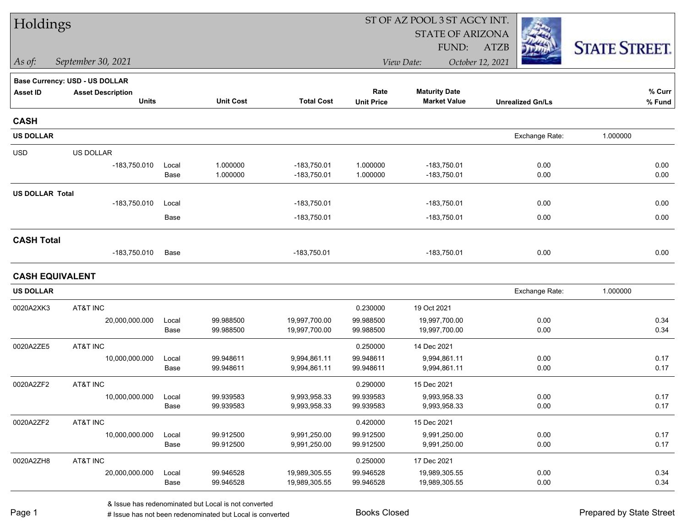| Holdings               |                                |       |                  | ST OF AZ POOL 3 ST AGCY INT. |                   |                         |                         |                      |  |  |  |
|------------------------|--------------------------------|-------|------------------|------------------------------|-------------------|-------------------------|-------------------------|----------------------|--|--|--|
|                        |                                |       |                  |                              |                   | <b>STATE OF ARIZONA</b> |                         |                      |  |  |  |
|                        |                                |       |                  |                              |                   | FUND:                   | <b>ATZB</b>             | <b>STATE STREET.</b> |  |  |  |
| As of:                 | September 30, 2021             |       |                  |                              |                   | View Date:              | October 12, 2021        |                      |  |  |  |
|                        | Base Currency: USD - US DOLLAR |       |                  |                              |                   |                         |                         |                      |  |  |  |
| <b>Asset ID</b>        | <b>Asset Description</b>       |       |                  |                              | Rate              | <b>Maturity Date</b>    |                         | % Curr               |  |  |  |
|                        | <b>Units</b>                   |       | <b>Unit Cost</b> | <b>Total Cost</b>            | <b>Unit Price</b> | <b>Market Value</b>     | <b>Unrealized Gn/Ls</b> | $%$ Fund             |  |  |  |
| <b>CASH</b>            |                                |       |                  |                              |                   |                         |                         |                      |  |  |  |
| <b>US DOLLAR</b>       |                                |       |                  |                              |                   |                         | Exchange Rate:          | 1.000000             |  |  |  |
| <b>USD</b>             | US DOLLAR                      |       |                  |                              |                   |                         |                         |                      |  |  |  |
|                        | -183,750.010                   | Local | 1.000000         | $-183,750.01$                | 1.000000          | $-183,750.01$           | 0.00                    | 0.00                 |  |  |  |
|                        |                                | Base  | 1.000000         | $-183,750.01$                | 1.000000          | $-183,750.01$           | 0.00                    | 0.00                 |  |  |  |
| <b>US DOLLAR Total</b> |                                |       |                  |                              |                   |                         |                         |                      |  |  |  |
|                        | $-183,750.010$                 | Local |                  | $-183,750.01$                |                   | $-183,750.01$           | 0.00                    | 0.00                 |  |  |  |
|                        |                                | Base  |                  | -183,750.01                  |                   | $-183,750.01$           | 0.00                    | 0.00                 |  |  |  |
| <b>CASH Total</b>      |                                |       |                  |                              |                   |                         |                         |                      |  |  |  |
|                        | $-183,750.010$                 | Base  |                  | $-183,750.01$                |                   | $-183,750.01$           | 0.00                    | 0.00                 |  |  |  |
| <b>CASH EQUIVALENT</b> |                                |       |                  |                              |                   |                         |                         |                      |  |  |  |
| <b>US DOLLAR</b>       |                                |       |                  |                              |                   |                         | Exchange Rate:          | 1.000000             |  |  |  |
| 0020A2XK3              | AT&T INC                       |       |                  |                              | 0.230000          | 19 Oct 2021             |                         |                      |  |  |  |
|                        | 20,000,000.000                 | Local | 99.988500        | 19,997,700.00                | 99.988500         | 19,997,700.00           | 0.00                    | 0.34                 |  |  |  |
|                        |                                | Base  | 99.988500        | 19,997,700.00                | 99.988500         | 19,997,700.00           | 0.00                    | 0.34                 |  |  |  |
| 0020A2ZE5              | AT&T INC                       |       |                  |                              | 0.250000          | 14 Dec 2021             |                         |                      |  |  |  |
|                        | 10,000,000.000                 | Local | 99.948611        | 9,994,861.11                 | 99.948611         | 9,994,861.11            | 0.00                    | 0.17                 |  |  |  |
|                        |                                | Base  | 99.948611        | 9,994,861.11                 | 99.948611         | 9,994,861.11            | 0.00                    | 0.17                 |  |  |  |
| 0020A2ZF2              | AT&T INC                       |       |                  |                              | 0.290000          | 15 Dec 2021             |                         |                      |  |  |  |
|                        | 10,000,000.000                 | Local | 99.939583        | 9,993,958.33                 | 99.939583         | 9,993,958.33            | 0.00                    | 0.17                 |  |  |  |
|                        |                                | Base  | 99.939583        | 9,993,958.33                 | 99.939583         | 9,993,958.33            | 0.00                    | 0.17                 |  |  |  |
| 0020A2ZF2              | AT&T INC                       |       |                  |                              | 0.420000          | 15 Dec 2021             |                         |                      |  |  |  |
|                        | 10,000,000.000                 | Local | 99.912500        | 9,991,250.00                 | 99.912500         | 9,991,250.00            | 0.00                    | 0.17                 |  |  |  |
|                        |                                | Base  | 99.912500        | 9,991,250.00                 | 99.912500         | 9,991,250.00            | 0.00                    | 0.17                 |  |  |  |
| 0020A2ZH8              | AT&T INC                       |       |                  |                              | 0.250000          | 17 Dec 2021             |                         |                      |  |  |  |
|                        | 20,000,000.000                 | Local | 99.946528        | 19,989,305.55                | 99.946528         | 19,989,305.55           | 0.00                    | 0.34                 |  |  |  |
|                        |                                | Base  | 99.946528        | 19,989,305.55                | 99.946528         | 19,989,305.55           | 0.00                    | 0.34                 |  |  |  |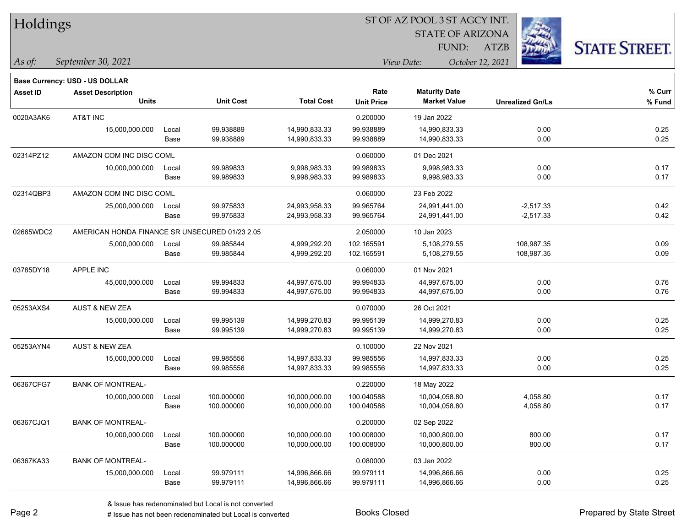| Holdings        |                                                |       |                  |                   |                   | ST OF AZ POOL 3 ST AGCY INT. |                         |                      |
|-----------------|------------------------------------------------|-------|------------------|-------------------|-------------------|------------------------------|-------------------------|----------------------|
|                 |                                                |       |                  |                   |                   | <b>STATE OF ARIZONA</b>      |                         |                      |
|                 |                                                |       |                  |                   |                   | FUND:                        | ATZB                    | <b>STATE STREET.</b> |
| As of:          | September 30, 2021                             |       |                  |                   |                   | View Date:                   | October 12, 2021        |                      |
|                 | Base Currency: USD - US DOLLAR                 |       |                  |                   |                   |                              |                         |                      |
| <b>Asset ID</b> | <b>Asset Description</b>                       |       |                  |                   | Rate              | <b>Maturity Date</b>         |                         | % Curr               |
|                 | <b>Units</b>                                   |       | <b>Unit Cost</b> | <b>Total Cost</b> | <b>Unit Price</b> | <b>Market Value</b>          | <b>Unrealized Gn/Ls</b> | % Fund               |
| 0020A3AK6       | AT&T INC                                       |       |                  |                   | 0.200000          | 19 Jan 2022                  |                         |                      |
|                 | 15,000,000.000                                 | Local | 99.938889        | 14,990,833.33     | 99.938889         | 14,990,833.33                | 0.00                    | 0.25                 |
|                 |                                                | Base  | 99.938889        | 14,990,833.33     | 99.938889         | 14,990,833.33                | 0.00                    | 0.25                 |
| 02314PZ12       | AMAZON COM INC DISC COML                       |       |                  |                   | 0.060000          | 01 Dec 2021                  |                         |                      |
|                 | 10,000,000.000                                 | Local | 99.989833        | 9,998,983.33      | 99.989833         | 9,998,983.33                 | 0.00                    | 0.17                 |
|                 |                                                | Base  | 99.989833        | 9,998,983.33      | 99.989833         | 9,998,983.33                 | 0.00                    | 0.17                 |
| 02314QBP3       | AMAZON COM INC DISC COML                       |       |                  |                   | 0.060000          | 23 Feb 2022                  |                         |                      |
|                 | 25,000,000.000                                 | Local | 99.975833        | 24,993,958.33     | 99.965764         | 24,991,441.00                | $-2,517.33$             | 0.42                 |
|                 |                                                | Base  | 99.975833        | 24,993,958.33     | 99.965764         | 24,991,441.00                | $-2,517.33$             | 0.42                 |
| 02665WDC2       | AMERICAN HONDA FINANCE SR UNSECURED 01/23 2.05 |       |                  |                   | 2.050000          | 10 Jan 2023                  |                         |                      |
|                 | 5,000,000.000                                  | Local | 99.985844        | 4,999,292.20      | 102.165591        | 5,108,279.55                 | 108,987.35              | 0.09                 |
|                 |                                                | Base  | 99.985844        | 4,999,292.20      | 102.165591        | 5,108,279.55                 | 108,987.35              | 0.09                 |
| 03785DY18       | APPLE INC                                      |       |                  |                   | 0.060000          | 01 Nov 2021                  |                         |                      |
|                 | 45,000,000.000                                 | Local | 99.994833        | 44,997,675.00     | 99.994833         | 44,997,675.00                | 0.00                    | 0.76                 |
|                 |                                                | Base  | 99.994833        | 44,997,675.00     | 99.994833         | 44,997,675.00                | 0.00                    | 0.76                 |
| 05253AXS4       | <b>AUST &amp; NEW ZEA</b>                      |       |                  |                   | 0.070000          | 26 Oct 2021                  |                         |                      |
|                 | 15,000,000.000                                 | Local | 99.995139        | 14,999,270.83     | 99.995139         | 14,999,270.83                | 0.00                    | 0.25                 |
|                 |                                                | Base  | 99.995139        | 14,999,270.83     | 99.995139         | 14,999,270.83                | 0.00                    | 0.25                 |
| 05253AYN4       | <b>AUST &amp; NEW ZEA</b>                      |       |                  |                   | 0.100000          | 22 Nov 2021                  |                         |                      |
|                 | 15,000,000.000                                 | Local | 99.985556        | 14,997,833.33     | 99.985556         | 14,997,833.33                | 0.00                    | 0.25                 |
|                 |                                                | Base  | 99.985556        | 14,997,833.33     | 99.985556         | 14,997,833.33                | 0.00                    | 0.25                 |
| 06367CFG7       | <b>BANK OF MONTREAL-</b>                       |       |                  |                   | 0.220000          | 18 May 2022                  |                         |                      |
|                 | 10,000,000.000                                 | Local | 100.000000       | 10,000,000.00     | 100.040588        | 10,004,058.80                | 4,058.80                | 0.17                 |
|                 |                                                | Base  | 100.000000       | 10,000,000.00     | 100.040588        | 10,004,058.80                | 4,058.80                | 0.17                 |
| 06367CJQ1       | <b>BANK OF MONTREAL-</b>                       |       |                  |                   | 0.200000          | 02 Sep 2022                  |                         |                      |
|                 | 10,000,000.000                                 | Local | 100.000000       | 10,000,000.00     | 100.008000        | 10,000,800.00                | 800.00                  | 0.17                 |
|                 |                                                | Base  | 100.000000       | 10,000,000.00     | 100.008000        | 10,000,800.00                | 800.00                  | 0.17                 |
| 06367KA33       | <b>BANK OF MONTREAL-</b>                       |       |                  |                   | 0.080000          | 03 Jan 2022                  |                         |                      |
|                 | 15,000,000.000                                 | Local | 99.979111        | 14,996,866.66     | 99.979111         | 14,996,866.66                | 0.00                    | 0.25                 |
|                 |                                                | Base  | 99.979111        | 14,996,866.66     | 99.979111         | 14,996,866.66                | 0.00                    | 0.25                 |

-

 $\overline{\phantom{0}}$ 

÷.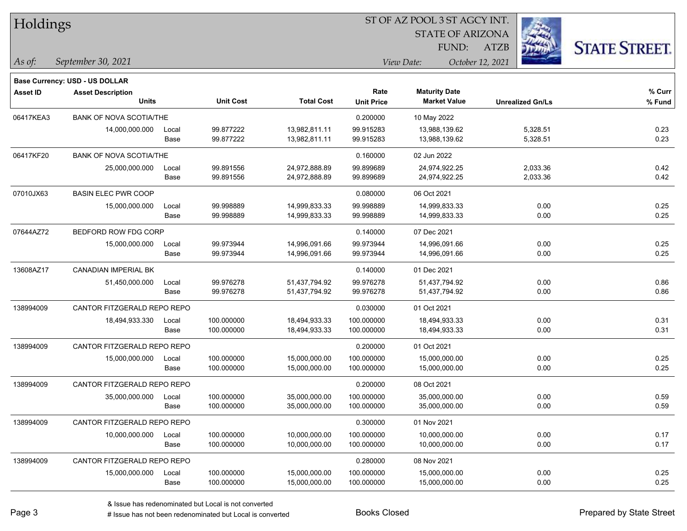| Holdings        |                                          |               |                          |                                |                           | <b>STATE OF ARIZONA</b><br>FUND:            | <b>ATZB</b>             | <b>STATE STREET.</b> |
|-----------------|------------------------------------------|---------------|--------------------------|--------------------------------|---------------------------|---------------------------------------------|-------------------------|----------------------|
| As of:          | September 30, 2021                       |               |                          |                                |                           | View Date:                                  | October 12, 2021        |                      |
|                 | Base Currency: USD - US DOLLAR           |               |                          |                                |                           |                                             |                         |                      |
| <b>Asset ID</b> | <b>Asset Description</b><br><b>Units</b> |               | <b>Unit Cost</b>         | <b>Total Cost</b>              | Rate<br><b>Unit Price</b> | <b>Maturity Date</b><br><b>Market Value</b> | <b>Unrealized Gn/Ls</b> | % Curr<br>% Fund     |
| 06417KEA3       | <b>BANK OF NOVA SCOTIA/THE</b>           |               |                          |                                | 0.200000                  | 10 May 2022                                 |                         |                      |
|                 | 14,000,000.000                           | Local<br>Base | 99.877222<br>99.877222   | 13,982,811.11<br>13,982,811.11 | 99.915283<br>99.915283    | 13,988,139.62<br>13,988,139.62              | 5,328.51<br>5,328.51    | 0.23<br>0.23         |
| 06417KF20       | <b>BANK OF NOVA SCOTIA/THE</b>           |               |                          |                                | 0.160000                  | 02 Jun 2022                                 |                         |                      |
|                 | 25,000,000.000                           | Local<br>Base | 99.891556<br>99.891556   | 24,972,888.89<br>24,972,888.89 | 99.899689<br>99.899689    | 24,974,922.25<br>24,974,922.25              | 2,033.36<br>2,033.36    | 0.42<br>0.42         |
| 07010JX63       | <b>BASIN ELEC PWR COOP</b>               |               |                          |                                | 0.080000                  | 06 Oct 2021                                 |                         |                      |
|                 | 15,000,000.000                           | Local<br>Base | 99.998889<br>99.998889   | 14,999,833.33<br>14,999,833.33 | 99.998889<br>99.998889    | 14,999,833.33<br>14,999,833.33              | 0.00<br>0.00            | 0.25<br>0.25         |
| 07644AZ72       | BEDFORD ROW FDG CORP                     |               |                          |                                | 0.140000                  | 07 Dec 2021                                 |                         |                      |
|                 | 15,000,000.000                           | Local<br>Base | 99.973944<br>99.973944   | 14,996,091.66<br>14,996,091.66 | 99.973944<br>99.973944    | 14,996,091.66<br>14,996,091.66              | 0.00<br>0.00            | 0.25<br>0.25         |
| 13608AZ17       | <b>CANADIAN IMPERIAL BK</b>              |               |                          |                                | 0.140000                  | 01 Dec 2021                                 |                         |                      |
|                 | 51,450,000.000                           | Local<br>Base | 99.976278<br>99.976278   | 51,437,794.92<br>51,437,794.92 | 99.976278<br>99.976278    | 51,437,794.92<br>51,437,794.92              | 0.00<br>0.00            | 0.86<br>0.86         |
| 138994009       | CANTOR FITZGERALD REPO REPO              |               |                          |                                | 0.030000                  | 01 Oct 2021                                 |                         |                      |
|                 | 18,494,933.330                           | Local<br>Base | 100.000000<br>100.000000 | 18,494,933.33<br>18,494,933.33 | 100.000000<br>100.000000  | 18,494,933.33<br>18,494,933.33              | 0.00<br>0.00            | 0.31<br>0.31         |
| 138994009       | CANTOR FITZGERALD REPO REPO              |               |                          |                                | 0.200000                  | 01 Oct 2021                                 |                         |                      |
|                 | 15,000,000.000                           | Local<br>Base | 100.000000<br>100.000000 | 15,000,000.00<br>15,000,000.00 | 100.000000<br>100.000000  | 15,000,000.00<br>15,000,000.00              | 0.00<br>0.00            | 0.25<br>0.25         |
| 138994009       | CANTOR FITZGERALD REPO REPO              |               |                          |                                | 0.200000                  | 08 Oct 2021                                 |                         |                      |
|                 | 35,000,000.000                           | Local<br>Base | 100.000000<br>100.000000 | 35,000,000.00<br>35,000,000.00 | 100.000000<br>100.000000  | 35,000,000.00<br>35,000,000.00              | 0.00<br>0.00            | 0.59<br>0.59         |
| 138994009       | CANTOR FITZGERALD REPO REPO              |               |                          |                                | 0.300000                  | 01 Nov 2021                                 |                         |                      |
|                 | 10,000,000.000                           | Local<br>Base | 100.000000<br>100.000000 | 10,000,000.00<br>10,000,000.00 | 100.000000<br>100.000000  | 10,000,000.00<br>10,000,000.00              | 0.00<br>0.00            | 0.17<br>0.17         |
| 138994009       | CANTOR FITZGERALD REPO REPO              |               |                          |                                | 0.280000                  | 08 Nov 2021                                 |                         |                      |
|                 | 15,000,000.000                           | Local<br>Base | 100.000000<br>100.000000 | 15,000,000.00<br>15,000,000.00 | 100.000000<br>100.000000  | 15,000,000.00<br>15,000,000.00              | 0.00<br>0.00            | 0.25<br>0.25         |

**CONSTRUCTION** 

 $TT.1.1:$ 

 $\overline{\phantom{0}}$ 

 $\overline{\phantom{0}}$ 

 $\overline{\phantom{a}}$ 

 $\overline{\phantom{0}}$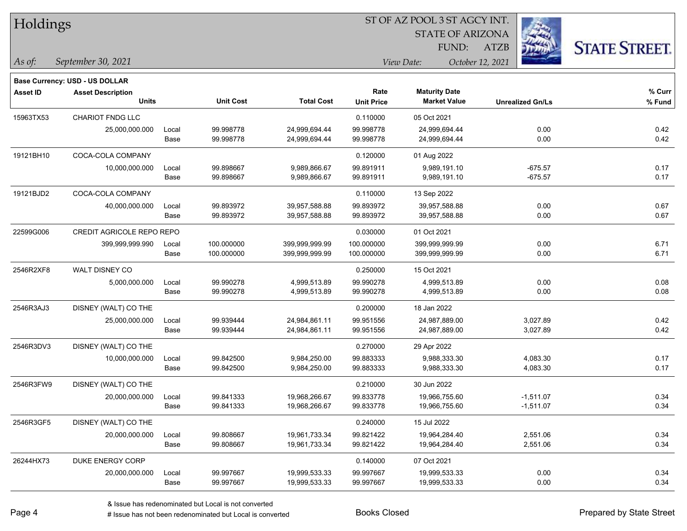| Holdings<br>As of: | September 30, 2021                                                                |               |                          |                                  |                           | <b>STATE OF ARIZONA</b><br>FUND:<br>View Date: | <b>ATZB</b><br>October 12, 2021 | <b>STATE STREET.</b> |
|--------------------|-----------------------------------------------------------------------------------|---------------|--------------------------|----------------------------------|---------------------------|------------------------------------------------|---------------------------------|----------------------|
|                    |                                                                                   |               |                          |                                  |                           |                                                |                                 |                      |
| <b>Asset ID</b>    | <b>Base Currency: USD - US DOLLAR</b><br><b>Asset Description</b><br><b>Units</b> |               | <b>Unit Cost</b>         | <b>Total Cost</b>                | Rate<br><b>Unit Price</b> | <b>Maturity Date</b><br><b>Market Value</b>    | <b>Unrealized Gn/Ls</b>         | % Curr<br>% Fund     |
| 15963TX53          | <b>CHARIOT FNDG LLC</b>                                                           |               |                          |                                  | 0.110000                  | 05 Oct 2021                                    |                                 |                      |
|                    | 25,000,000.000                                                                    | Local<br>Base | 99.998778<br>99.998778   | 24,999,694.44<br>24,999,694.44   | 99.998778<br>99.998778    | 24,999,694.44<br>24,999,694.44                 | 0.00<br>0.00                    | 0.42<br>0.42         |
| 19121BH10          | COCA-COLA COMPANY                                                                 |               |                          |                                  | 0.120000                  | 01 Aug 2022                                    |                                 |                      |
|                    | 10,000,000.000                                                                    | Local<br>Base | 99.898667<br>99.898667   | 9,989,866.67<br>9,989,866.67     | 99.891911<br>99.891911    | 9,989,191.10<br>9,989,191.10                   | $-675.57$<br>$-675.57$          | 0.17<br>0.17         |
| 19121BJD2          | COCA-COLA COMPANY                                                                 |               |                          |                                  | 0.110000                  | 13 Sep 2022                                    |                                 |                      |
|                    | 40,000,000.000                                                                    | Local<br>Base | 99.893972<br>99.893972   | 39,957,588.88<br>39,957,588.88   | 99.893972<br>99.893972    | 39,957,588.88<br>39,957,588.88                 | 0.00<br>0.00                    | 0.67<br>0.67         |
| 22599G006          | CREDIT AGRICOLE REPO REPO                                                         |               |                          |                                  | 0.030000                  | 01 Oct 2021                                    |                                 |                      |
|                    | 399,999,999.990                                                                   | Local<br>Base | 100.000000<br>100.000000 | 399,999,999.99<br>399,999,999.99 | 100.000000<br>100.000000  | 399,999,999.99<br>399,999,999.99               | 0.00<br>0.00                    | 6.71<br>6.71         |
| 2546R2XF8          | WALT DISNEY CO                                                                    |               |                          |                                  | 0.250000                  | 15 Oct 2021                                    |                                 |                      |
|                    | 5,000,000.000                                                                     | Local<br>Base | 99.990278<br>99.990278   | 4,999,513.89<br>4,999,513.89     | 99.990278<br>99.990278    | 4,999,513.89<br>4,999,513.89                   | 0.00<br>0.00                    | 0.08<br>0.08         |
| 2546R3AJ3          | DISNEY (WALT) CO THE                                                              |               |                          |                                  | 0.200000                  | 18 Jan 2022                                    |                                 |                      |
|                    | 25,000,000.000                                                                    | Local<br>Base | 99.939444<br>99.939444   | 24,984,861.11<br>24,984,861.11   | 99.951556<br>99.951556    | 24,987,889.00<br>24,987,889.00                 | 3,027.89<br>3,027.89            | 0.42<br>0.42         |
| 2546R3DV3          | DISNEY (WALT) CO THE                                                              |               |                          |                                  | 0.270000                  | 29 Apr 2022                                    |                                 |                      |
|                    | 10,000,000.000                                                                    | Local<br>Base | 99.842500<br>99.842500   | 9,984,250.00<br>9,984,250.00     | 99.883333<br>99.883333    | 9,988,333.30<br>9,988,333.30                   | 4,083.30<br>4,083.30            | 0.17<br>0.17         |
| 2546R3FW9          | DISNEY (WALT) CO THE                                                              |               |                          |                                  | 0.210000                  | 30 Jun 2022                                    |                                 |                      |
|                    | 20,000,000.000                                                                    | Local<br>Base | 99.841333<br>99.841333   | 19,968,266.67<br>19,968,266.67   | 99.833778<br>99.833778    | 19,966,755.60<br>19,966,755.60                 | $-1,511.07$<br>$-1,511.07$      | 0.34<br>0.34         |
| 2546R3GF5          | DISNEY (WALT) CO THE                                                              |               |                          |                                  | 0.240000                  | 15 Jul 2022                                    |                                 |                      |
|                    | 20,000,000.000                                                                    | Local<br>Base | 99.808667<br>99.808667   | 19,961,733.34<br>19,961,733.34   | 99.821422<br>99.821422    | 19,964,284.40<br>19,964,284.40                 | 2,551.06<br>2,551.06            | 0.34<br>0.34         |

26244HX73 DUKE ENERGY CORP 0.140000 07 Oct 2021

 $TT.11$ 

Base 99.997667 19,999,533.33 99.997667 19,999,533.33 0.00 0.34

20,000,000.000 Local 99.997667 19,999,533.33 99.997667 19,999,533.33 0.00 0.34

ST OF AZ POOL 3 ST AGCY INT.

**SILL STATE SECTION**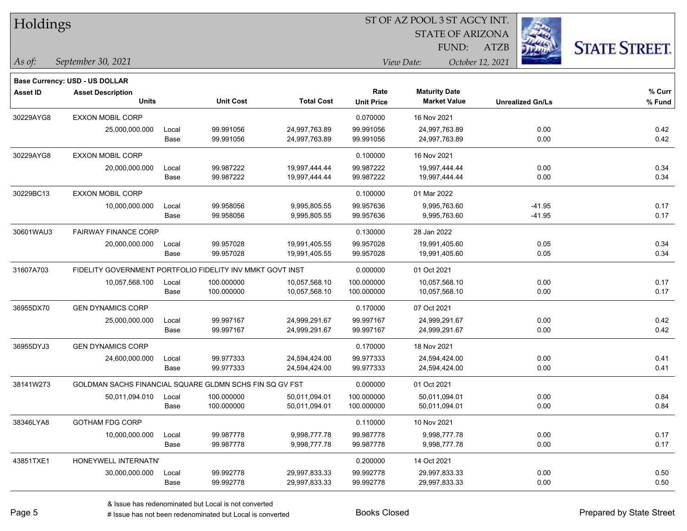| Holdings |
|----------|
|----------|

STATE OF ARIZONA

ATZB



*September 30, 2021 As of: View Date: October 12, 2021*

**Base Currency: USD - US DOLLAR**

| Asset ID  | <b>Asset Description</b>                                  |       |                  |                   | Rate              | <b>Maturity Date</b> |                         | % Curr |
|-----------|-----------------------------------------------------------|-------|------------------|-------------------|-------------------|----------------------|-------------------------|--------|
|           | <b>Units</b>                                              |       | <b>Unit Cost</b> | <b>Total Cost</b> | <b>Unit Price</b> | <b>Market Value</b>  | <b>Unrealized Gn/Ls</b> | % Fund |
| 30229AYG8 | <b>EXXON MOBIL CORP</b>                                   |       |                  |                   | 0.070000          | 16 Nov 2021          |                         |        |
|           | 25,000,000.000                                            | Local | 99.991056        | 24,997,763.89     | 99.991056         | 24,997,763.89        | 0.00                    | 0.42   |
|           |                                                           | Base  | 99.991056        | 24,997,763.89     | 99.991056         | 24,997,763.89        | 0.00                    | 0.42   |
| 30229AYG8 | <b>EXXON MOBIL CORP</b>                                   |       |                  |                   | 0.100000          | 16 Nov 2021          |                         |        |
|           | 20,000,000.000                                            | Local | 99.987222        | 19,997,444.44     | 99.987222         | 19,997,444.44        | 0.00                    | 0.34   |
|           |                                                           | Base  | 99.987222        | 19,997,444.44     | 99.987222         | 19,997,444.44        | 0.00                    | 0.34   |
| 30229BC13 | <b>EXXON MOBIL CORP</b>                                   |       |                  |                   | 0.100000          | 01 Mar 2022          |                         |        |
|           | 10,000,000.000                                            | Local | 99.958056        | 9,995,805.55      | 99.957636         | 9,995,763.60         | $-41.95$                | 0.17   |
|           |                                                           | Base  | 99.958056        | 9,995,805.55      | 99.957636         | 9,995,763.60         | $-41.95$                | 0.17   |
| 30601WAU3 | <b>FAIRWAY FINANCE CORP</b>                               |       |                  |                   | 0.130000          | 28 Jan 2022          |                         |        |
|           | 20,000,000.000                                            | Local | 99.957028        | 19,991,405.55     | 99.957028         | 19,991,405.60        | 0.05                    | 0.34   |
|           |                                                           | Base  | 99.957028        | 19,991,405.55     | 99.957028         | 19,991,405.60        | 0.05                    | 0.34   |
| 31607A703 | FIDELITY GOVERNMENT PORTFOLIO FIDELITY INV MMKT GOVT INST |       |                  |                   | 0.000000          | 01 Oct 2021          |                         |        |
|           | 10,057,568.100                                            | Local | 100.000000       | 10,057,568.10     | 100.000000        | 10,057,568.10        | 0.00                    | 0.17   |
|           |                                                           | Base  | 100.000000       | 10,057,568.10     | 100.000000        | 10,057,568.10        | 0.00                    | 0.17   |
| 36955DX70 | <b>GEN DYNAMICS CORP</b>                                  |       |                  |                   | 0.170000          | 07 Oct 2021          |                         |        |
|           | 25,000,000.000                                            | Local | 99.997167        | 24,999,291.67     | 99.997167         | 24,999,291.67        | 0.00                    | 0.42   |
|           |                                                           | Base  | 99.997167        | 24,999,291.67     | 99.997167         | 24,999,291.67        | 0.00                    | 0.42   |
| 36955DYJ3 | <b>GEN DYNAMICS CORP</b>                                  |       |                  |                   | 0.170000          | 18 Nov 2021          |                         |        |
|           | 24,600,000.000                                            | Local | 99.977333        | 24,594,424.00     | 99.977333         | 24,594,424.00        | 0.00                    | 0.41   |
|           |                                                           | Base  | 99.977333        | 24,594,424.00     | 99.977333         | 24,594,424.00        | 0.00                    | 0.41   |
| 38141W273 | GOLDMAN SACHS FINANCIAL SQUARE GLDMN SCHS FIN SQ GV FST   |       |                  |                   | 0.000000          | 01 Oct 2021          |                         |        |
|           | 50,011,094.010                                            | Local | 100.000000       | 50,011,094.01     | 100.000000        | 50,011,094.01        | 0.00                    | 0.84   |
|           |                                                           | Base  | 100.000000       | 50,011,094.01     | 100.000000        | 50,011,094.01        | 0.00                    | 0.84   |
| 38346LYA8 | <b>GOTHAM FDG CORP</b>                                    |       |                  |                   | 0.110000          | 10 Nov 2021          |                         |        |
|           | 10,000,000.000                                            | Local | 99.987778        | 9,998,777.78      | 99.987778         | 9,998,777.78         | 0.00                    | 0.17   |
|           |                                                           | Base  | 99.987778        | 9,998,777.78      | 99.987778         | 9,998,777.78         | 0.00                    | 0.17   |
| 43851TXE1 | HONEYWELL INTERNATN'                                      |       |                  |                   | 0.200000          | 14 Oct 2021          |                         |        |
|           | 30,000,000.000                                            | Local | 99.992778        | 29,997,833.33     | 99.992778         | 29,997,833.33        | 0.00                    | 0.50   |
|           |                                                           | Base  | 99.992778        | 29,997,833.33     | 99.992778         | 29,997,833.33        | 0.00                    | 0.50   |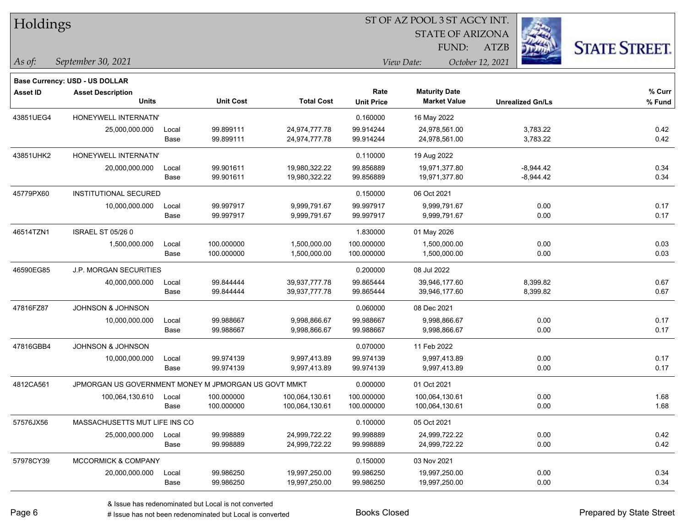| Holdings        |                                                            |       |                  |                   | ST OF AZ POOL 3 ST AGCY INT. |                         |                         |                      |  |
|-----------------|------------------------------------------------------------|-------|------------------|-------------------|------------------------------|-------------------------|-------------------------|----------------------|--|
|                 |                                                            |       |                  |                   |                              | <b>STATE OF ARIZONA</b> |                         |                      |  |
|                 |                                                            |       |                  |                   |                              | FUND:                   | <b>ATZB</b>             | <b>STATE STREET.</b> |  |
| $\vert$ As of:  | September 30, 2021                                         |       |                  |                   |                              | View Date:              | October 12, 2021        |                      |  |
|                 |                                                            |       |                  |                   |                              |                         |                         |                      |  |
| <b>Asset ID</b> | Base Currency: USD - US DOLLAR<br><b>Asset Description</b> |       |                  |                   | Rate                         | <b>Maturity Date</b>    |                         | % Curr               |  |
|                 | <b>Units</b>                                               |       | <b>Unit Cost</b> | <b>Total Cost</b> | <b>Unit Price</b>            | <b>Market Value</b>     | <b>Unrealized Gn/Ls</b> | % Fund               |  |
| 43851UEG4       | HONEYWELL INTERNATN'                                       |       |                  |                   | 0.160000                     | 16 May 2022             |                         |                      |  |
|                 | 25,000,000.000                                             | Local | 99.899111        | 24,974,777.78     | 99.914244                    | 24,978,561.00           | 3,783.22                | 0.42                 |  |
|                 |                                                            | Base  | 99.899111        | 24,974,777.78     | 99.914244                    | 24,978,561.00           | 3,783.22                | 0.42                 |  |
| 43851UHK2       | HONEYWELL INTERNATN'                                       |       |                  |                   | 0.110000                     | 19 Aug 2022             |                         |                      |  |
|                 | 20,000,000.000                                             | Local | 99.901611        | 19,980,322.22     | 99.856889                    | 19,971,377.80           | $-8,944.42$             | 0.34                 |  |
|                 |                                                            | Base  | 99.901611        | 19,980,322.22     | 99.856889                    | 19,971,377.80           | $-8,944.42$             | 0.34                 |  |
| 45779PX60       | <b>INSTITUTIONAL SECURED</b>                               |       |                  |                   | 0.150000                     | 06 Oct 2021             |                         |                      |  |
|                 | 10,000,000.000                                             | Local | 99.997917        | 9,999,791.67      | 99.997917                    | 9,999,791.67            | 0.00                    | 0.17                 |  |
|                 |                                                            | Base  | 99.997917        | 9,999,791.67      | 99.997917                    | 9,999,791.67            | 0.00                    | 0.17                 |  |
| 46514TZN1       | <b>ISRAEL ST 05/26 0</b>                                   |       |                  |                   | 1.830000                     | 01 May 2026             |                         |                      |  |
|                 | 1,500,000.000                                              | Local | 100.000000       | 1,500,000.00      | 100.000000                   | 1,500,000.00            | 0.00                    | 0.03                 |  |
|                 |                                                            | Base  | 100.000000       | 1,500,000.00      | 100.000000                   | 1,500,000.00            | 0.00                    | 0.03                 |  |
| 46590EG85       | <b>J.P. MORGAN SECURITIES</b>                              |       |                  |                   | 0.200000                     | 08 Jul 2022             |                         |                      |  |
|                 | 40,000,000.000                                             | Local | 99.844444        | 39,937,777.78     | 99.865444                    | 39,946,177.60           | 8,399.82                | 0.67                 |  |
|                 |                                                            | Base  | 99.844444        | 39,937,777.78     | 99.865444                    | 39,946,177.60           | 8,399.82                | 0.67                 |  |
| 47816FZ87       | JOHNSON & JOHNSON                                          |       |                  |                   | 0.060000                     | 08 Dec 2021             |                         |                      |  |
|                 | 10,000,000.000                                             | Local | 99.988667        | 9,998,866.67      | 99.988667                    | 9,998,866.67            | 0.00                    | 0.17                 |  |
|                 |                                                            | Base  | 99.988667        | 9,998,866.67      | 99.988667                    | 9,998,866.67            | 0.00                    | 0.17                 |  |
| 47816GBB4       | JOHNSON & JOHNSON                                          |       |                  |                   | 0.070000                     | 11 Feb 2022             |                         |                      |  |
|                 | 10,000,000.000                                             | Local | 99.974139        | 9,997,413.89      | 99.974139                    | 9,997,413.89            | 0.00                    | 0.17                 |  |
|                 |                                                            | Base  | 99.974139        | 9,997,413.89      | 99.974139                    | 9,997,413.89            | 0.00                    | 0.17                 |  |
| 4812CA561       | JPMORGAN US GOVERNMENT MONEY M JPMORGAN US GOVT MMKT       |       |                  |                   | 0.000000                     | 01 Oct 2021             |                         |                      |  |
|                 | 100,064,130.610                                            | Local | 100.000000       | 100,064,130.61    | 100.000000                   | 100,064,130.61          | 0.00                    | 1.68                 |  |
|                 |                                                            | Base  | 100.000000       | 100,064,130.61    | 100.000000                   | 100,064,130.61          | 0.00                    | 1.68                 |  |
| 57576JX56       | MASSACHUSETTS MUT LIFE INS CO                              |       |                  |                   | 0.100000                     | 05 Oct 2021             |                         |                      |  |
|                 | 25,000,000.000                                             | Local | 99.998889        | 24,999,722.22     | 99.998889                    | 24,999,722.22           | 0.00                    | 0.42                 |  |
|                 |                                                            | Base  | 99.998889        | 24,999,722.22     | 99.998889                    | 24,999,722.22           | 0.00                    | 0.42                 |  |
| 57978CY39       | MCCORMICK & COMPANY                                        |       |                  |                   | 0.150000                     | 03 Nov 2021             |                         |                      |  |
|                 | 20,000,000.000                                             | Local | 99.986250        | 19,997,250.00     | 99.986250                    | 19,997,250.00           | 0.00                    | 0.34                 |  |
|                 |                                                            | Base  | 99.986250        | 19,997,250.00     | 99.986250                    | 19,997,250.00           | 0.00                    | 0.34                 |  |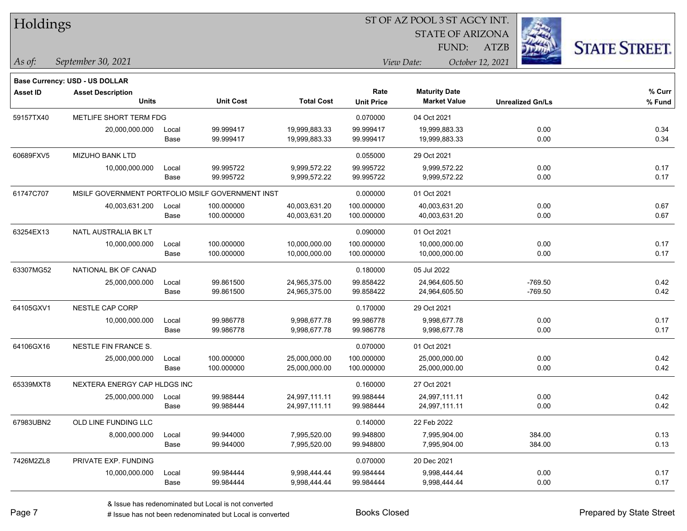| Holdings        |                                          |       |                                                  |                   |                   | ST OF AZ POOL 3 ST AGCY INT.                |                         |                      |  |
|-----------------|------------------------------------------|-------|--------------------------------------------------|-------------------|-------------------|---------------------------------------------|-------------------------|----------------------|--|
|                 |                                          |       |                                                  |                   |                   | <b>STATE OF ARIZONA</b>                     |                         |                      |  |
|                 |                                          |       |                                                  |                   |                   | FUND:                                       | <b>ATZB</b>             | <b>STATE STREET.</b> |  |
| $\vert$ As of:  | September 30, 2021                       |       |                                                  |                   |                   | View Date:                                  | October 12, 2021        |                      |  |
|                 |                                          |       |                                                  |                   |                   |                                             |                         |                      |  |
|                 | <b>Base Currency: USD - US DOLLAR</b>    |       |                                                  |                   | Rate              |                                             |                         | $%$ Curr             |  |
| <b>Asset ID</b> | <b>Asset Description</b><br><b>Units</b> |       | <b>Unit Cost</b>                                 | <b>Total Cost</b> | <b>Unit Price</b> | <b>Maturity Date</b><br><b>Market Value</b> | <b>Unrealized Gn/Ls</b> | % Fund               |  |
| 59157TX40       | METLIFE SHORT TERM FDG                   |       |                                                  |                   | 0.070000          | 04 Oct 2021                                 |                         |                      |  |
|                 | 20,000,000.000                           | Local | 99.999417                                        | 19,999,883.33     | 99.999417         | 19,999,883.33                               | 0.00                    | 0.34                 |  |
|                 |                                          | Base  | 99.999417                                        | 19,999,883.33     | 99.999417         | 19,999,883.33                               | 0.00                    | 0.34                 |  |
| 60689FXV5       | <b>MIZUHO BANK LTD</b>                   |       |                                                  |                   | 0.055000          | 29 Oct 2021                                 |                         |                      |  |
|                 | 10,000,000.000                           | Local | 99.995722                                        | 9,999,572.22      | 99.995722         | 9,999,572.22                                | 0.00                    | 0.17                 |  |
|                 |                                          | Base  | 99.995722                                        | 9,999,572.22      | 99.995722         | 9,999,572.22                                | 0.00                    | 0.17                 |  |
| 61747C707       |                                          |       | MSILF GOVERNMENT PORTFOLIO MSILF GOVERNMENT INST |                   | 0.000000          | 01 Oct 2021                                 |                         |                      |  |
|                 | 40,003,631.200                           | Local | 100.000000                                       | 40,003,631.20     | 100.000000        | 40,003,631.20                               | 0.00                    | 0.67                 |  |
|                 |                                          | Base  | 100.000000                                       | 40,003,631.20     | 100.000000        | 40,003,631.20                               | 0.00                    | 0.67                 |  |
| 63254EX13       | NATL AUSTRALIA BK LT                     |       |                                                  |                   | 0.090000          | 01 Oct 2021                                 |                         |                      |  |
|                 | 10,000,000.000                           | Local | 100.000000                                       | 10,000,000.00     | 100.000000        | 10,000,000.00                               | 0.00                    | 0.17                 |  |
|                 |                                          | Base  | 100.000000                                       | 10,000,000.00     | 100.000000        | 10,000,000.00                               | 0.00                    | 0.17                 |  |
| 63307MG52       | NATIONAL BK OF CANAD                     |       |                                                  |                   | 0.180000          | 05 Jul 2022                                 |                         |                      |  |
|                 | 25,000,000.000                           | Local | 99.861500                                        | 24,965,375.00     | 99.858422         | 24,964,605.50                               | $-769.50$               | 0.42                 |  |
|                 |                                          | Base  | 99.861500                                        | 24,965,375.00     | 99.858422         | 24,964,605.50                               | $-769.50$               | 0.42                 |  |
| 64105GXV1       | <b>NESTLE CAP CORP</b>                   |       |                                                  |                   | 0.170000          | 29 Oct 2021                                 |                         |                      |  |
|                 | 10,000,000.000                           | Local | 99.986778                                        | 9,998,677.78      | 99.986778         | 9,998,677.78                                | 0.00                    | 0.17                 |  |
|                 |                                          | Base  | 99.986778                                        | 9,998,677.78      | 99.986778         | 9,998,677.78                                | 0.00                    | 0.17                 |  |
| 64106GX16       | NESTLE FIN FRANCE S.                     |       |                                                  |                   | 0.070000          | 01 Oct 2021                                 |                         |                      |  |
|                 | 25,000,000.000                           | Local | 100.000000                                       | 25,000,000.00     | 100.000000        | 25,000,000.00                               | 0.00                    | 0.42                 |  |
|                 |                                          | Base  | 100.000000                                       | 25,000,000.00     | 100.000000        | 25,000,000.00                               | 0.00                    | 0.42                 |  |
| 65339MXT8       | NEXTERA ENERGY CAP HLDGS INC             |       |                                                  |                   | 0.160000          | 27 Oct 2021                                 |                         |                      |  |
|                 | 25,000,000.000                           | Local | 99.988444                                        | 24,997,111.11     | 99.988444         | 24,997,111.11                               | 0.00                    | 0.42                 |  |
|                 |                                          | Base  | 99.988444                                        | 24,997,111.11     | 99.988444         | 24,997,111.11                               | 0.00                    | 0.42                 |  |
| 67983UBN2       | OLD LINE FUNDING LLC                     |       |                                                  |                   | 0.140000          | 22 Feb 2022                                 |                         |                      |  |
|                 | 8,000,000.000                            | Local | 99.944000                                        | 7,995,520.00      | 99.948800         | 7,995,904.00                                | 384.00                  | 0.13                 |  |
|                 |                                          | Base  | 99.944000                                        | 7,995,520.00      | 99.948800         | 7,995,904.00                                | 384.00                  | 0.13                 |  |
| 7426M2ZL8       | PRIVATE EXP. FUNDING                     |       |                                                  |                   | 0.070000          | 20 Dec 2021                                 |                         |                      |  |
|                 | 10,000,000.000                           | Local | 99.984444                                        | 9,998,444.44      | 99.984444         | 9,998,444.44                                | 0.00                    | 0.17                 |  |
|                 |                                          | Base  | 99.984444                                        | 9,998,444.44      | 99.984444         | 9,998,444.44                                | 0.00                    | 0.17                 |  |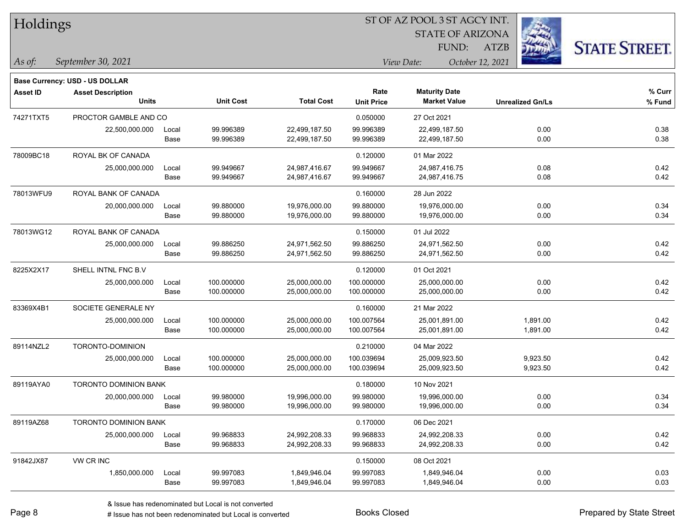|  | Holdings |
|--|----------|
|--|----------|

STATE OF ARIZONA

ATZB



*September 30, 2021 As of: View Date: October 12, 2021*

**Base Currency: USD - US DOLLAR**

| <b>Asset ID</b> | <b>Asset Description</b>     |       |                  |                   | Rate              | <b>Maturity Date</b> |                         | % Curr |
|-----------------|------------------------------|-------|------------------|-------------------|-------------------|----------------------|-------------------------|--------|
|                 | <b>Units</b>                 |       | <b>Unit Cost</b> | <b>Total Cost</b> | <b>Unit Price</b> | <b>Market Value</b>  | <b>Unrealized Gn/Ls</b> | % Fund |
| 74271TXT5       | PROCTOR GAMBLE AND CO        |       |                  |                   | 0.050000          | 27 Oct 2021          |                         |        |
|                 | 22,500,000.000               | Local | 99.996389        | 22,499,187.50     | 99.996389         | 22,499,187.50        | 0.00                    | 0.38   |
|                 |                              | Base  | 99.996389        | 22,499,187.50     | 99.996389         | 22,499,187.50        | 0.00                    | 0.38   |
| 78009BC18       | ROYAL BK OF CANADA           |       |                  |                   | 0.120000          | 01 Mar 2022          |                         |        |
|                 | 25,000,000.000               | Local | 99.949667        | 24,987,416.67     | 99.949667         | 24,987,416.75        | 0.08                    | 0.42   |
|                 |                              | Base  | 99.949667        | 24,987,416.67     | 99.949667         | 24,987,416.75        | 0.08                    | 0.42   |
| 78013WFU9       | ROYAL BANK OF CANADA         |       |                  |                   | 0.160000          | 28 Jun 2022          |                         |        |
|                 | 20,000,000.000               | Local | 99.880000        | 19,976,000.00     | 99.880000         | 19,976,000.00        | 0.00                    | 0.34   |
|                 |                              | Base  | 99.880000        | 19,976,000.00     | 99.880000         | 19,976,000.00        | 0.00                    | 0.34   |
| 78013WG12       | ROYAL BANK OF CANADA         |       |                  |                   | 0.150000          | 01 Jul 2022          |                         |        |
|                 | 25,000,000.000               | Local | 99.886250        | 24,971,562.50     | 99.886250         | 24,971,562.50        | 0.00                    | 0.42   |
|                 |                              | Base  | 99.886250        | 24,971,562.50     | 99.886250         | 24,971,562.50        | 0.00                    | 0.42   |
| 8225X2X17       | SHELL INTNL FNC B.V          |       |                  |                   | 0.120000          | 01 Oct 2021          |                         |        |
|                 | 25,000,000.000               | Local | 100.000000       | 25,000,000.00     | 100.000000        | 25,000,000.00        | 0.00                    | 0.42   |
|                 |                              | Base  | 100.000000       | 25,000,000.00     | 100.000000        | 25,000,000.00        | 0.00                    | 0.42   |
| 83369X4B1       | SOCIETE GENERALE NY          |       |                  |                   | 0.160000          | 21 Mar 2022          |                         |        |
|                 | 25,000,000.000               | Local | 100.000000       | 25,000,000.00     | 100.007564        | 25,001,891.00        | 1,891.00                | 0.42   |
|                 |                              | Base  | 100.000000       | 25,000,000.00     | 100.007564        | 25,001,891.00        | 1,891.00                | 0.42   |
| 89114NZL2       | TORONTO-DOMINION             |       |                  |                   | 0.210000          | 04 Mar 2022          |                         |        |
|                 | 25,000,000.000               | Local | 100.000000       | 25,000,000.00     | 100.039694        | 25,009,923.50        | 9,923.50                | 0.42   |
|                 |                              | Base  | 100.000000       | 25,000,000.00     | 100.039694        | 25,009,923.50        | 9,923.50                | 0.42   |
| 89119AYA0       | <b>TORONTO DOMINION BANK</b> |       |                  |                   | 0.180000          | 10 Nov 2021          |                         |        |
|                 | 20,000,000.000               | Local | 99.980000        | 19,996,000.00     | 99.980000         | 19,996,000.00        | 0.00                    | 0.34   |
|                 |                              | Base  | 99.980000        | 19,996,000.00     | 99.980000         | 19,996,000.00        | 0.00                    | 0.34   |
| 89119AZ68       | <b>TORONTO DOMINION BANK</b> |       |                  |                   | 0.170000          | 06 Dec 2021          |                         |        |
|                 | 25,000,000.000               | Local | 99.968833        | 24,992,208.33     | 99.968833         | 24,992,208.33        | 0.00                    | 0.42   |
|                 |                              | Base  | 99.968833        | 24,992,208.33     | 99.968833         | 24,992,208.33        | 0.00                    | 0.42   |
| 91842JX87       | VW CR INC                    |       |                  |                   | 0.150000          | 08 Oct 2021          |                         |        |
|                 | 1,850,000.000                | Local | 99.997083        | 1,849,946.04      | 99.997083         | 1,849,946.04         | 0.00                    | 0.03   |
|                 |                              | Base  | 99.997083        | 1,849,946.04      | 99.997083         | 1,849,946.04         | 0.00                    | 0.03   |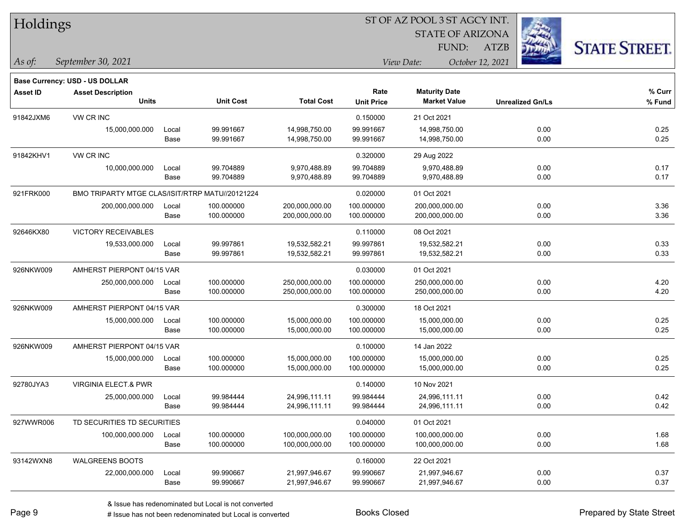|  | Holdings |
|--|----------|
|--|----------|

STATE OF ARIZONA

ATZB



*September 30, 2021 As of: View Date: October 12, 2021*

**Base Currency: USD - US DOLLAR**

| Asset ID  | <b>Asset Description</b>                        |                  |                   |                     | Rate<br><b>Unit Price</b> | <b>Maturity Date</b> | <b>Unrealized Gn/Ls</b> | $%$ Curr |
|-----------|-------------------------------------------------|------------------|-------------------|---------------------|---------------------------|----------------------|-------------------------|----------|
|           | <b>Units</b>                                    | <b>Unit Cost</b> | <b>Total Cost</b> | <b>Market Value</b> |                           | % Fund               |                         |          |
| 91842JXM6 | VW CR INC                                       |                  |                   |                     | 0.150000                  | 21 Oct 2021          |                         |          |
|           | 15,000,000.000                                  | Local            | 99.991667         | 14,998,750.00       | 99.991667                 | 14,998,750.00        | 0.00                    | 0.25     |
|           |                                                 | Base             | 99.991667         | 14,998,750.00       | 99.991667                 | 14,998,750.00        | 0.00                    | 0.25     |
| 91842KHV1 | VW CR INC                                       |                  |                   |                     | 0.320000                  | 29 Aug 2022          |                         |          |
|           | 10,000,000.000                                  | Local            | 99.704889         | 9,970,488.89        | 99.704889                 | 9,970,488.89         | 0.00                    | 0.17     |
|           |                                                 | Base             | 99.704889         | 9,970,488.89        | 99.704889                 | 9,970,488.89         | 0.00                    | 0.17     |
| 921FRK000 | BMO TRIPARTY MTGE CLAS/ISIT/RTRP MATU//20121224 |                  |                   |                     | 0.020000                  | 01 Oct 2021          |                         |          |
|           | 200,000,000.000                                 | Local            | 100.000000        | 200,000,000.00      | 100.000000                | 200,000,000.00       | 0.00                    | 3.36     |
|           |                                                 | Base             | 100.000000        | 200,000,000.00      | 100.000000                | 200,000,000.00       | 0.00                    | 3.36     |
| 92646KX80 | <b>VICTORY RECEIVABLES</b>                      |                  |                   |                     | 0.110000                  | 08 Oct 2021          |                         |          |
|           | 19,533,000.000                                  | Local            | 99.997861         | 19,532,582.21       | 99.997861                 | 19,532,582.21        | 0.00                    | 0.33     |
|           |                                                 | Base             | 99.997861         | 19,532,582.21       | 99.997861                 | 19,532,582.21        | 0.00                    | 0.33     |
| 926NKW009 | AMHERST PIERPONT 04/15 VAR                      |                  |                   |                     | 0.030000                  | 01 Oct 2021          |                         |          |
|           | 250,000,000.000                                 | Local            | 100.000000        | 250,000,000.00      | 100.000000                | 250,000,000.00       | 0.00                    | 4.20     |
|           |                                                 | Base             | 100.000000        | 250,000,000.00      | 100.000000                | 250,000,000.00       | 0.00                    | 4.20     |
| 926NKW009 | AMHERST PIERPONT 04/15 VAR                      |                  |                   |                     | 0.300000                  | 18 Oct 2021          |                         |          |
|           | 15,000,000.000                                  | Local            | 100.000000        | 15,000,000.00       | 100.000000                | 15,000,000.00        | 0.00                    | 0.25     |
|           |                                                 | Base             | 100.000000        | 15,000,000.00       | 100.000000                | 15,000,000.00        | 0.00                    | 0.25     |
| 926NKW009 | AMHERST PIERPONT 04/15 VAR                      |                  |                   |                     | 0.100000                  | 14 Jan 2022          |                         |          |
|           | 15,000,000.000                                  | Local            | 100.000000        | 15,000,000.00       | 100.000000                | 15,000,000.00        | 0.00                    | 0.25     |
|           |                                                 | Base             | 100.000000        | 15,000,000.00       | 100.000000                | 15,000,000.00        | 0.00                    | 0.25     |
| 92780JYA3 | <b>VIRGINIA ELECT.&amp; PWR</b>                 |                  |                   |                     | 0.140000                  | 10 Nov 2021          |                         |          |
|           | 25,000,000.000                                  | Local            | 99.984444         | 24,996,111.11       | 99.984444                 | 24,996,111.11        | 0.00                    | 0.42     |
|           |                                                 | Base             | 99.984444         | 24,996,111.11       | 99.984444                 | 24,996,111.11        | 0.00                    | 0.42     |
| 927WWR006 | TD SECURITIES TD SECURITIES                     |                  |                   |                     | 0.040000                  | 01 Oct 2021          |                         |          |
|           | 100,000,000.000                                 | Local            | 100.000000        | 100,000,000.00      | 100.000000                | 100,000,000.00       | 0.00                    | 1.68     |
|           |                                                 | Base             | 100.000000        | 100,000,000.00      | 100.000000                | 100,000,000.00       | 0.00                    | 1.68     |
| 93142WXN8 | <b>WALGREENS BOOTS</b>                          |                  |                   |                     | 0.160000                  | 22 Oct 2021          |                         |          |
|           | 22,000,000.000                                  | Local            | 99.990667         | 21,997,946.67       | 99.990667                 | 21,997,946.67        | 0.00                    | 0.37     |
|           |                                                 | Base             | 99.990667         | 21,997,946.67       | 99.990667                 | 21,997,946.67        | 0.00                    | 0.37     |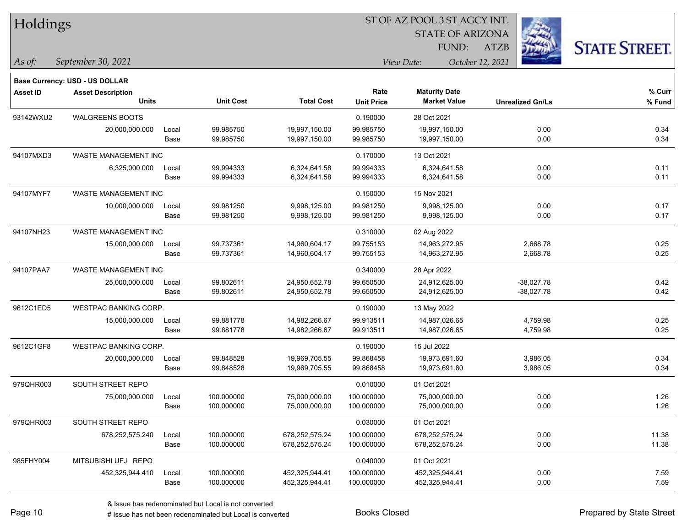|  | <b>Holdings</b> |
|--|-----------------|
|--|-----------------|

STATE OF ARIZONA

ATZB



*September 30, 2021 As of: View Date: October 12, 2021*

**Base Currency: USD - US DOLLAR**

| Asset ID  | <b>Asset Description</b>     |       |                  |                   | Rate              | <b>Maturity Date</b> |                         | % Curr |
|-----------|------------------------------|-------|------------------|-------------------|-------------------|----------------------|-------------------------|--------|
|           | <b>Units</b>                 |       | <b>Unit Cost</b> | <b>Total Cost</b> | <b>Unit Price</b> | <b>Market Value</b>  | <b>Unrealized Gn/Ls</b> | % Fund |
| 93142WXU2 | <b>WALGREENS BOOTS</b>       |       |                  |                   | 0.190000          | 28 Oct 2021          |                         |        |
|           | 20,000,000.000               | Local | 99.985750        | 19,997,150.00     | 99.985750         | 19,997,150.00        | 0.00                    | 0.34   |
|           |                              | Base  | 99.985750        | 19,997,150.00     | 99.985750         | 19,997,150.00        | 0.00                    | 0.34   |
| 94107MXD3 | WASTE MANAGEMENT INC         |       |                  |                   | 0.170000          | 13 Oct 2021          |                         |        |
|           | 6,325,000.000                | Local | 99.994333        | 6,324,641.58      | 99.994333         | 6,324,641.58         | 0.00                    | 0.11   |
|           |                              | Base  | 99.994333        | 6,324,641.58      | 99.994333         | 6,324,641.58         | 0.00                    | 0.11   |
| 94107MYF7 | WASTE MANAGEMENT INC         |       |                  |                   | 0.150000          | 15 Nov 2021          |                         |        |
|           | 10,000,000.000               | Local | 99.981250        | 9,998,125.00      | 99.981250         | 9,998,125.00         | 0.00                    | 0.17   |
|           |                              | Base  | 99.981250        | 9,998,125.00      | 99.981250         | 9,998,125.00         | 0.00                    | 0.17   |
| 94107NH23 | WASTE MANAGEMENT INC         |       |                  |                   | 0.310000          | 02 Aug 2022          |                         |        |
|           | 15,000,000.000               | Local | 99.737361        | 14,960,604.17     | 99.755153         | 14,963,272.95        | 2,668.78                | 0.25   |
|           |                              | Base  | 99.737361        | 14,960,604.17     | 99.755153         | 14,963,272.95        | 2,668.78                | 0.25   |
| 94107PAA7 | <b>WASTE MANAGEMENT INC</b>  |       |                  |                   | 0.340000          | 28 Apr 2022          |                         |        |
|           | 25,000,000.000               | Local | 99.802611        | 24,950,652.78     | 99.650500         | 24,912,625.00        | $-38,027.78$            | 0.42   |
|           |                              | Base  | 99.802611        | 24,950,652.78     | 99.650500         | 24,912,625.00        | $-38,027.78$            | 0.42   |
| 9612C1ED5 | <b>WESTPAC BANKING CORP.</b> |       |                  |                   | 0.190000          | 13 May 2022          |                         |        |
|           | 15,000,000.000               | Local | 99.881778        | 14,982,266.67     | 99.913511         | 14,987,026.65        | 4,759.98                | 0.25   |
|           |                              | Base  | 99.881778        | 14,982,266.67     | 99.913511         | 14,987,026.65        | 4,759.98                | 0.25   |
| 9612C1GF8 | <b>WESTPAC BANKING CORP.</b> |       |                  |                   | 0.190000          | 15 Jul 2022          |                         |        |
|           | 20,000,000.000               | Local | 99.848528        | 19,969,705.55     | 99.868458         | 19,973,691.60        | 3,986.05                | 0.34   |
|           |                              | Base  | 99.848528        | 19,969,705.55     | 99.868458         | 19,973,691.60        | 3,986.05                | 0.34   |
| 979QHR003 | SOUTH STREET REPO            |       |                  |                   | 0.010000          | 01 Oct 2021          |                         |        |
|           | 75,000,000.000               | Local | 100.000000       | 75,000,000.00     | 100.000000        | 75,000,000.00        | 0.00                    | 1.26   |
|           |                              | Base  | 100.000000       | 75,000,000.00     | 100.000000        | 75,000,000.00        | 0.00                    | 1.26   |
| 979QHR003 | SOUTH STREET REPO            |       |                  |                   | 0.030000          | 01 Oct 2021          |                         |        |
|           | 678,252,575.240              | Local | 100.000000       | 678,252,575.24    | 100.000000        | 678,252,575.24       | 0.00                    | 11.38  |
|           |                              | Base  | 100.000000       | 678,252,575.24    | 100.000000        | 678,252,575.24       | 0.00                    | 11.38  |
| 985FHY004 | MITSUBISHI UFJ REPO          |       |                  |                   | 0.040000          | 01 Oct 2021          |                         |        |
|           | 452,325,944.410              | Local | 100.000000       | 452,325,944.41    | 100.000000        | 452,325,944.41       | 0.00                    | 7.59   |
|           |                              | Base  | 100.000000       | 452,325,944.41    | 100.000000        | 452,325,944.41       | 0.00                    | 7.59   |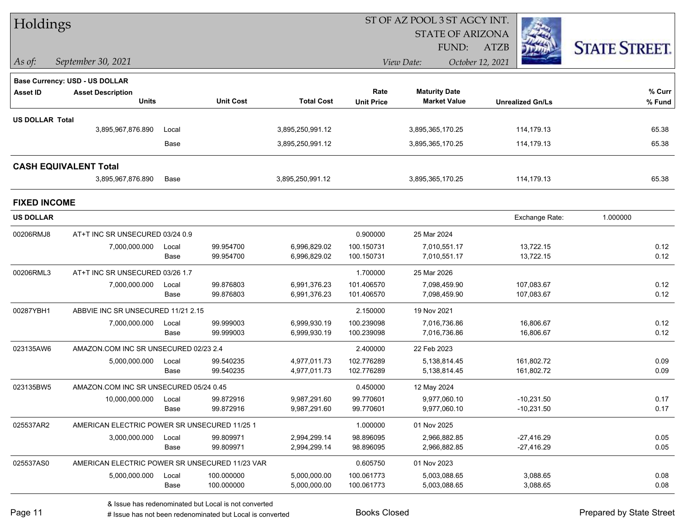| Holdings               |                                                |       |                  |                   |                   |                         |                  |                         |                      |
|------------------------|------------------------------------------------|-------|------------------|-------------------|-------------------|-------------------------|------------------|-------------------------|----------------------|
|                        |                                                |       |                  |                   |                   | <b>STATE OF ARIZONA</b> |                  |                         |                      |
|                        |                                                |       |                  |                   |                   | FUND:                   | <b>ATZB</b>      |                         | <b>STATE STREET.</b> |
| $ $ As of:             | September 30, 2021                             |       |                  |                   |                   | View Date:              | October 12, 2021 |                         |                      |
|                        | Base Currency: USD - US DOLLAR                 |       |                  |                   |                   |                         |                  |                         |                      |
| <b>Asset ID</b>        | <b>Asset Description</b>                       |       |                  |                   | Rate              | <b>Maturity Date</b>    |                  |                         | % Curr               |
|                        | <b>Units</b>                                   |       | <b>Unit Cost</b> | <b>Total Cost</b> | <b>Unit Price</b> | <b>Market Value</b>     |                  | <b>Unrealized Gn/Ls</b> | % Fund               |
| <b>US DOLLAR Total</b> |                                                |       |                  |                   |                   |                         |                  |                         |                      |
|                        | 3,895,967,876.890                              | Local |                  | 3,895,250,991.12  |                   | 3,895,365,170.25        |                  | 114,179.13              | 65.38                |
|                        |                                                | Base  |                  | 3,895,250,991.12  |                   | 3,895,365,170.25        |                  | 114,179.13              | 65.38                |
|                        | <b>CASH EQUIVALENT Total</b>                   |       |                  |                   |                   |                         |                  |                         |                      |
|                        | 3,895,967,876.890                              | Base  |                  | 3,895,250,991.12  |                   | 3,895,365,170.25        |                  | 114,179.13              | 65.38                |
| <b>FIXED INCOME</b>    |                                                |       |                  |                   |                   |                         |                  |                         |                      |
| <b>US DOLLAR</b>       |                                                |       |                  |                   |                   |                         |                  | Exchange Rate:          | 1.000000             |
| 00206RMJ8              | AT+T INC SR UNSECURED 03/24 0.9                |       |                  |                   | 0.900000          | 25 Mar 2024             |                  |                         |                      |
|                        | 7,000,000.000                                  | Local | 99.954700        | 6,996,829.02      | 100.150731        | 7,010,551.17            |                  | 13,722.15               | 0.12                 |
|                        |                                                | Base  | 99.954700        | 6,996,829.02      | 100.150731        | 7,010,551.17            |                  | 13,722.15               | 0.12                 |
| 00206RML3              | AT+T INC SR UNSECURED 03/26 1.7                |       |                  |                   | 1.700000          | 25 Mar 2026             |                  |                         |                      |
|                        | 7,000,000.000                                  | Local | 99.876803        | 6,991,376.23      | 101.406570        | 7,098,459.90            |                  | 107,083.67              | 0.12                 |
|                        |                                                | Base  | 99.876803        | 6,991,376.23      | 101.406570        | 7,098,459.90            |                  | 107,083.67              | 0.12                 |
| 00287YBH1              | ABBVIE INC SR UNSECURED 11/21 2.15             |       |                  |                   | 2.150000          | 19 Nov 2021             |                  |                         |                      |
|                        | 7,000,000.000                                  | Local | 99.999003        | 6,999,930.19      | 100.239098        | 7,016,736.86            |                  | 16,806.67               | 0.12                 |
|                        |                                                | Base  | 99.999003        | 6,999,930.19      | 100.239098        | 7,016,736.86            |                  | 16,806.67               | 0.12                 |
| 023135AW6              | AMAZON.COM INC SR UNSECURED 02/23 2.4          |       |                  |                   | 2.400000          | 22 Feb 2023             |                  |                         |                      |
|                        | 5,000,000.000                                  | Local | 99.540235        | 4,977,011.73      | 102.776289        | 5,138,814.45            |                  | 161,802.72              | 0.09                 |
|                        |                                                | Base  | 99.540235        | 4,977,011.73      | 102.776289        | 5,138,814.45            |                  | 161,802.72              | 0.09                 |
| 023135BW5              | AMAZON.COM INC SR UNSECURED 05/24 0.45         |       |                  |                   | 0.450000          | 12 May 2024             |                  |                         |                      |
|                        | 10,000,000.000                                 | Local | 99.872916        | 9,987,291.60      | 99.770601         | 9,977,060.10            |                  | $-10,231.50$            | 0.17                 |
|                        |                                                | Base  | 99.872916        | 9,987,291.60      | 99.770601         | 9,977,060.10            |                  | $-10,231.50$            | 0.17                 |
| 025537AR2              | AMERICAN ELECTRIC POWER SR UNSECURED 11/25 1   |       |                  |                   | 1.000000          | 01 Nov 2025             |                  |                         |                      |
|                        | 3,000,000.000                                  | Local | 99.809971        | 2,994,299.14      | 98.896095         | 2,966,882.85            |                  | $-27,416.29$            | 0.05                 |
|                        |                                                | Base  | 99.809971        | 2,994,299.14      | 98.896095         | 2,966,882.85            |                  | $-27,416.29$            | 0.05                 |
| 025537AS0              | AMERICAN ELECTRIC POWER SR UNSECURED 11/23 VAR |       |                  |                   | 0.605750          | 01 Nov 2023             |                  |                         |                      |
|                        | 5,000,000.000                                  | Local | 100.000000       | 5,000,000.00      | 100.061773        | 5,003,088.65            |                  | 3,088.65                | 0.08                 |
|                        |                                                | Base  | 100.000000       | 5,000,000.00      | 100.061773        | 5,003,088.65            |                  | 3,088.65                | 0.08                 |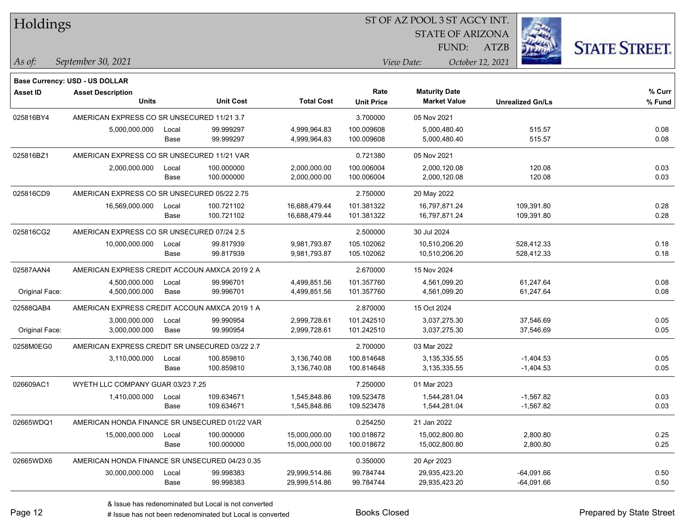| Holdings        |                                                |       |                  |                   |                                | ST OF AZ POOL 3 ST AGCY INT. |                         |             |                         |                      |
|-----------------|------------------------------------------------|-------|------------------|-------------------|--------------------------------|------------------------------|-------------------------|-------------|-------------------------|----------------------|
|                 |                                                |       |                  |                   |                                |                              | <b>STATE OF ARIZONA</b> |             |                         |                      |
|                 |                                                |       |                  |                   |                                |                              | FUND:                   | <b>ATZB</b> |                         | <b>STATE STREET.</b> |
| As of:          | September 30, 2021                             |       |                  |                   | View Date:<br>October 12, 2021 |                              |                         |             |                         |                      |
|                 | <b>Base Currency: USD - US DOLLAR</b>          |       |                  |                   |                                |                              |                         |             |                         |                      |
| <b>Asset ID</b> | <b>Asset Description</b>                       |       |                  |                   | Rate                           | <b>Maturity Date</b>         |                         |             |                         | % Curr               |
|                 | <b>Units</b>                                   |       | <b>Unit Cost</b> | <b>Total Cost</b> | <b>Unit Price</b>              |                              | <b>Market Value</b>     |             | <b>Unrealized Gn/Ls</b> | % Fund               |
| 025816BY4       | AMERICAN EXPRESS CO SR UNSECURED 11/21 3.7     |       |                  |                   | 3.700000                       | 05 Nov 2021                  |                         |             |                         |                      |
|                 | 5,000,000.000                                  | Local | 99.999297        | 4,999,964.83      | 100.009608                     | 5,000,480.40                 |                         |             | 515.57                  | 0.08                 |
|                 |                                                | Base  | 99.999297        | 4,999,964.83      | 100.009608                     | 5,000,480.40                 |                         |             | 515.57                  | 0.08                 |
| 025816BZ1       | AMERICAN EXPRESS CO SR UNSECURED 11/21 VAR     |       |                  |                   | 0.721380                       | 05 Nov 2021                  |                         |             |                         |                      |
|                 | 2,000,000.000                                  | Local | 100.000000       | 2,000,000.00      | 100.006004                     | 2,000,120.08                 |                         |             | 120.08                  | 0.03                 |
|                 |                                                | Base  | 100.000000       | 2,000,000.00      | 100.006004                     | 2,000,120.08                 |                         |             | 120.08                  | 0.03                 |
| 025816CD9       | AMERICAN EXPRESS CO SR UNSECURED 05/22 2.75    |       |                  |                   | 2.750000                       | 20 May 2022                  |                         |             |                         |                      |
|                 | 16,569,000.000                                 | Local | 100.721102       | 16,688,479.44     | 101.381322                     | 16,797,871.24                |                         |             | 109,391.80              | 0.28                 |
|                 |                                                | Base  | 100.721102       | 16,688,479.44     | 101.381322                     | 16,797,871.24                |                         |             | 109,391.80              | 0.28                 |
| 025816CG2       | AMERICAN EXPRESS CO SR UNSECURED 07/24 2.5     |       |                  |                   | 2.500000                       | 30 Jul 2024                  |                         |             |                         |                      |
|                 | 10,000,000.000                                 | Local | 99.817939        | 9,981,793.87      | 105.102062                     | 10,510,206.20                |                         |             | 528.412.33              | 0.18                 |
|                 |                                                | Base  | 99.817939        | 9,981,793.87      | 105.102062                     | 10,510,206.20                |                         |             | 528,412.33              | 0.18                 |
| 02587AAN4       | AMERICAN EXPRESS CREDIT ACCOUN AMXCA 2019 2 A  |       |                  |                   | 2.670000                       | 15 Nov 2024                  |                         |             |                         |                      |
|                 | 4,500,000.000                                  | Local | 99.996701        | 4,499,851.56      | 101.357760                     | 4,561,099.20                 |                         |             | 61,247.64               | 0.08                 |
| Original Face:  | 4,500,000.000                                  | Base  | 99.996701        | 4,499,851.56      | 101.357760                     | 4,561,099.20                 |                         |             | 61,247.64               | 0.08                 |
| 02588QAB4       | AMERICAN EXPRESS CREDIT ACCOUN AMXCA 2019 1 A  |       |                  |                   | 2.870000                       | 15 Oct 2024                  |                         |             |                         |                      |
|                 | 3,000,000.000                                  | Local | 99.990954        | 2,999,728.61      | 101.242510                     | 3,037,275.30                 |                         |             | 37,546.69               | 0.05                 |
| Original Face:  | 3,000,000.000                                  | Base  | 99.990954        | 2,999,728.61      | 101.242510                     | 3,037,275.30                 |                         |             | 37,546.69               | 0.05                 |
| 0258M0EG0       | AMERICAN EXPRESS CREDIT SR UNSECURED 03/22 2.7 |       |                  |                   | 2.700000                       | 03 Mar 2022                  |                         |             |                         |                      |
|                 | 3,110,000.000                                  | Local | 100.859810       | 3,136,740.08      | 100.814648                     | 3,135,335.55                 |                         |             | $-1,404.53$             | 0.05                 |
|                 |                                                | Base  | 100.859810       | 3,136,740.08      | 100.814648                     | 3, 135, 335.55               |                         |             | $-1,404.53$             | 0.05                 |
| 026609AC1       | WYETH LLC COMPANY GUAR 03/23 7.25              |       |                  |                   | 7.250000                       | 01 Mar 2023                  |                         |             |                         |                      |
|                 | 1,410,000.000                                  | Local | 109.634671       | 1.545.848.86      | 109.523478                     | 1,544,281.04                 |                         |             | $-1,567.82$             | 0.03                 |
|                 |                                                | Base  | 109.634671       | 1,545,848.86      | 109.523478                     | 1,544,281.04                 |                         |             | $-1,567.82$             | 0.03                 |
| 02665WDQ1       | AMERICAN HONDA FINANCE SR UNSECURED 01/22 VAR  |       |                  |                   | 0.254250                       | 21 Jan 2022                  |                         |             |                         |                      |
|                 | 15,000,000.000                                 | Local | 100.000000       | 15,000,000.00     | 100.018672                     | 15,002,800.80                |                         |             | 2,800.80                | 0.25                 |
|                 |                                                | Base  | 100.000000       | 15,000,000.00     | 100.018672                     | 15,002,800.80                |                         |             | 2,800.80                | 0.25                 |
| 02665WDX6       | AMERICAN HONDA FINANCE SR UNSECURED 04/23 0.35 |       |                  |                   | 0.350000                       | 20 Apr 2023                  |                         |             |                         |                      |
|                 | 30,000,000.000                                 | Local | 99.998383        | 29,999,514.86     | 99.784744                      | 29,935,423.20                |                         |             | $-64,091.66$            | 0.50                 |
|                 |                                                | Base  | 99.998383        | 29,999,514.86     | 99.784744                      | 29,935,423.20                |                         |             | $-64,091.66$            | 0.50                 |

 $\overline{\phantom{0}}$ 

 $\overline{\phantom{a}}$ 

 $\overline{\phantom{0}}$ 

 $\overline{\phantom{0}}$ 

 $\overline{\phantom{0}}$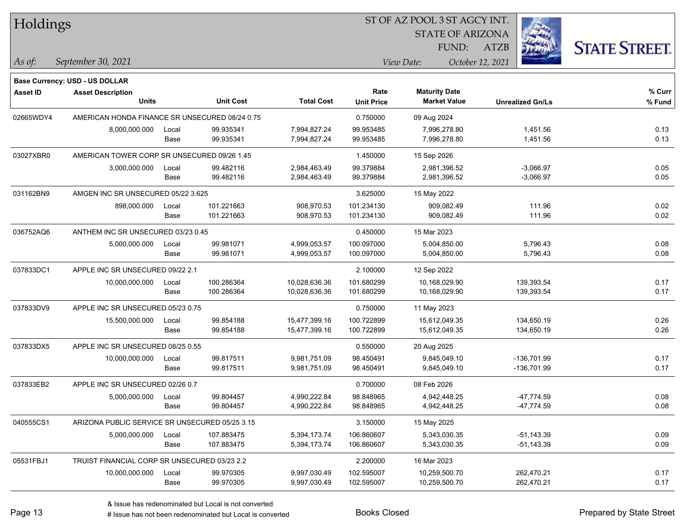| Holdings        |                                                |       |                  |                   |                   | ST OF AZ POOL 3 ST AGCY INT. |                         |                      |
|-----------------|------------------------------------------------|-------|------------------|-------------------|-------------------|------------------------------|-------------------------|----------------------|
|                 |                                                |       |                  |                   |                   | <b>STATE OF ARIZONA</b>      |                         |                      |
|                 |                                                |       |                  |                   |                   | FUND:                        | <b>ATZB</b>             | <b>STATE STREET.</b> |
| $ $ As of:      | September 30, 2021                             |       |                  |                   |                   | View Date:                   | October 12, 2021        |                      |
|                 | <b>Base Currency: USD - US DOLLAR</b>          |       |                  |                   |                   |                              |                         |                      |
| <b>Asset ID</b> | <b>Asset Description</b>                       |       |                  |                   | Rate              | <b>Maturity Date</b>         |                         | % Curr               |
|                 | <b>Units</b>                                   |       | <b>Unit Cost</b> | <b>Total Cost</b> | <b>Unit Price</b> | <b>Market Value</b>          | <b>Unrealized Gn/Ls</b> | % Fund               |
| 02665WDY4       | AMERICAN HONDA FINANCE SR UNSECURED 08/24 0.75 |       |                  |                   | 0.750000          | 09 Aug 2024                  |                         |                      |
|                 | 8,000,000.000                                  | Local | 99.935341        | 7,994,827.24      | 99.953485         | 7,996,278.80                 | 1,451.56                | 0.13                 |
|                 |                                                | Base  | 99.935341        | 7,994,827.24      | 99.953485         | 7,996,278.80                 | 1,451.56                | 0.13                 |
| 03027XBR0       | AMERICAN TOWER CORP SR UNSECURED 09/26 1.45    |       |                  |                   | 1.450000          | 15 Sep 2026                  |                         |                      |
|                 | 3,000,000.000                                  | Local | 99.482116        | 2,984,463.49      | 99.379884         | 2,981,396.52                 | $-3,066.97$             | 0.05                 |
|                 |                                                | Base  | 99.482116        | 2,984,463.49      | 99.379884         | 2,981,396.52                 | $-3,066.97$             | 0.05                 |
| 031162BN9       | AMGEN INC SR UNSECURED 05/22 3.625             |       |                  |                   | 3.625000          | 15 May 2022                  |                         |                      |
|                 | 898,000.000                                    | Local | 101.221663       | 908,970.53        | 101.234130        | 909,082.49                   | 111.96                  | 0.02                 |
|                 |                                                | Base  | 101.221663       | 908,970.53        | 101.234130        | 909,082.49                   | 111.96                  | 0.02                 |
| 036752AQ6       | ANTHEM INC SR UNSECURED 03/23 0.45             |       |                  |                   | 0.450000          | 15 Mar 2023                  |                         |                      |
|                 | 5,000,000.000                                  | Local | 99.981071        | 4,999,053.57      | 100.097000        | 5,004,850.00                 | 5,796.43                | 0.08                 |
|                 |                                                | Base  | 99.981071        | 4,999,053.57      | 100.097000        | 5,004,850.00                 | 5,796.43                | 0.08                 |
| 037833DC1       | APPLE INC SR UNSECURED 09/22 2.1               |       |                  |                   | 2.100000          | 12 Sep 2022                  |                         |                      |
|                 | 10,000,000.000                                 | Local | 100.286364       | 10,028,636.36     | 101.680299        | 10,168,029.90                | 139,393.54              | 0.17                 |
|                 |                                                | Base  | 100.286364       | 10,028,636.36     | 101.680299        | 10,168,029.90                | 139,393.54              | 0.17                 |
| 037833DV9       | APPLE INC SR UNSECURED 05/23 0.75              |       |                  |                   | 0.750000          | 11 May 2023                  |                         |                      |
|                 | 15,500,000.000                                 | Local | 99.854188        | 15,477,399.16     | 100.722899        | 15,612,049.35                | 134,650.19              | 0.26                 |
|                 |                                                | Base  | 99.854188        | 15,477,399.16     | 100.722899        | 15,612,049.35                | 134,650.19              | 0.26                 |
| 037833DX5       | APPLE INC SR UNSECURED 08/25 0.55              |       |                  |                   | 0.550000          | 20 Aug 2025                  |                         |                      |
|                 | 10,000,000.000                                 | Local | 99.817511        | 9,981,751.09      | 98.450491         | 9,845,049.10                 | -136,701.99             | 0.17                 |
|                 |                                                | Base  | 99.817511        | 9,981,751.09      | 98.450491         | 9,845,049.10                 | -136,701.99             | 0.17                 |
| 037833EB2       | APPLE INC SR UNSECURED 02/26 0.7               |       |                  |                   | 0.700000          | 08 Feb 2026                  |                         |                      |
|                 | 5,000,000.000                                  | Local | 99.804457        | 4,990,222.84      | 98.848965         | 4,942,448.25                 | $-47,774.59$            | 0.08                 |
|                 |                                                | Base  | 99.804457        | 4,990,222.84      | 98.848965         | 4,942,448.25                 | -47,774.59              | 0.08                 |
| 040555CS1       | ARIZONA PUBLIC SERVICE SR UNSECURED 05/25 3.15 |       |                  |                   | 3.150000          | 15 May 2025                  |                         |                      |
|                 | 5,000,000.000                                  | Local | 107.883475       | 5,394,173.74      | 106.860607        | 5,343,030.35                 | $-51,143.39$            | 0.09                 |
|                 |                                                | Base  | 107.883475       | 5,394,173.74      | 106.860607        | 5,343,030.35                 | $-51,143.39$            | 0.09                 |
| 05531FBJ1       | TRUIST FINANCIAL CORP SR UNSECURED 03/23 2.2   |       |                  |                   | 2.200000          | 16 Mar 2023                  |                         |                      |
|                 | 10,000,000.000                                 | Local | 99.970305        | 9,997,030.49      | 102.595007        | 10,259,500.70                | 262,470.21              | 0.17                 |
|                 |                                                | Base  | 99.970305        | 9,997,030.49      | 102.595007        | 10,259,500.70                | 262,470.21              | 0.17                 |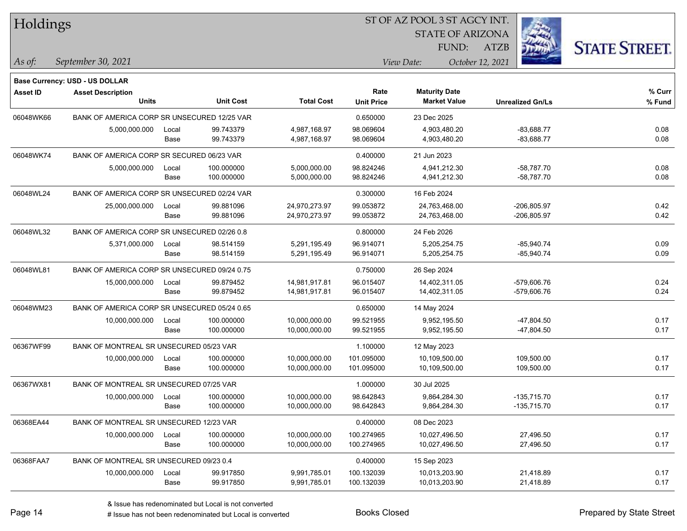| Holdings        |                                              |               |                          |                                |                           |                                             | <b>STATE OF ARIZONA</b> |                                |                      |
|-----------------|----------------------------------------------|---------------|--------------------------|--------------------------------|---------------------------|---------------------------------------------|-------------------------|--------------------------------|----------------------|
|                 |                                              |               |                          |                                |                           | FUND:                                       | <b>ATZB</b>             |                                | <b>STATE STREET.</b> |
| $\vert$ As of:  | September 30, 2021                           |               |                          |                                |                           | View Date:                                  | October 12, 2021        |                                |                      |
|                 | <b>Base Currency: USD - US DOLLAR</b>        |               |                          |                                |                           |                                             |                         |                                |                      |
| <b>Asset ID</b> | <b>Asset Description</b><br><b>Units</b>     |               | <b>Unit Cost</b>         | <b>Total Cost</b>              | Rate<br><b>Unit Price</b> | <b>Maturity Date</b><br><b>Market Value</b> |                         | <b>Unrealized Gn/Ls</b>        | $%$ Curr<br>% Fund   |
| 06048WK66       | BANK OF AMERICA CORP SR UNSECURED 12/25 VAR  |               |                          |                                | 0.650000                  | 23 Dec 2025                                 |                         |                                |                      |
|                 | 5,000,000.000                                | Local<br>Base | 99.743379<br>99.743379   | 4,987,168.97<br>4,987,168.97   | 98.069604<br>98.069604    | 4,903,480.20<br>4,903,480.20                |                         | $-83,688.77$<br>$-83,688.77$   | 0.08<br>0.08         |
| 06048WK74       | BANK OF AMERICA CORP SR SECURED 06/23 VAR    |               |                          |                                | 0.400000                  | 21 Jun 2023                                 |                         |                                |                      |
|                 | 5,000,000.000                                | Local<br>Base | 100.000000<br>100.000000 | 5,000,000.00<br>5,000,000.00   | 98.824246<br>98.824246    | 4,941,212.30<br>4,941,212.30                |                         | $-58,787.70$<br>$-58,787.70$   | 0.08<br>0.08         |
| 06048WL24       | BANK OF AMERICA CORP SR UNSECURED 02/24 VAR  |               |                          |                                | 0.300000                  | 16 Feb 2024                                 |                         |                                |                      |
|                 | 25,000,000.000                               | Local<br>Base | 99.881096<br>99.881096   | 24,970,273.97<br>24,970,273.97 | 99.053872<br>99.053872    | 24,763,468.00<br>24,763,468.00              |                         | -206,805.97<br>-206,805.97     | 0.42<br>0.42         |
| 06048WL32       | BANK OF AMERICA CORP SR UNSECURED 02/26 0.8  |               |                          |                                | 0.800000                  | 24 Feb 2026                                 |                         |                                |                      |
|                 | 5,371,000.000                                | Local<br>Base | 98.514159<br>98.514159   | 5,291,195.49<br>5,291,195.49   | 96.914071<br>96.914071    | 5,205,254.75<br>5,205,254.75                |                         | $-85,940.74$<br>$-85,940.74$   | 0.09<br>0.09         |
| 06048WL81       | BANK OF AMERICA CORP SR UNSECURED 09/24 0.75 |               |                          |                                | 0.750000                  | 26 Sep 2024                                 |                         |                                |                      |
|                 | 15,000,000.000                               | Local<br>Base | 99.879452<br>99.879452   | 14,981,917.81<br>14,981,917.81 | 96.015407<br>96.015407    | 14,402,311.05<br>14,402,311.05              |                         | -579,606.76<br>-579,606.76     | 0.24<br>0.24         |
| 06048WM23       | BANK OF AMERICA CORP SR UNSECURED 05/24 0.65 |               |                          |                                | 0.650000                  | 14 May 2024                                 |                         |                                |                      |
|                 | 10,000,000.000                               | Local<br>Base | 100.000000<br>100.000000 | 10,000,000.00<br>10,000,000.00 | 99.521955<br>99.521955    | 9,952,195.50<br>9,952,195.50                |                         | $-47,804.50$<br>$-47,804.50$   | 0.17<br>0.17         |
| 06367WF99       | BANK OF MONTREAL SR UNSECURED 05/23 VAR      |               |                          |                                | 1.100000                  | 12 May 2023                                 |                         |                                |                      |
|                 | 10,000,000.000                               | Local<br>Base | 100.000000<br>100.000000 | 10,000,000.00<br>10,000,000.00 | 101.095000<br>101.095000  | 10,109,500.00<br>10,109,500.00              |                         | 109,500.00<br>109,500.00       | 0.17<br>0.17         |
| 06367WX81       | BANK OF MONTREAL SR UNSECURED 07/25 VAR      |               |                          |                                | 1.000000                  | 30 Jul 2025                                 |                         |                                |                      |
|                 | 10,000,000.000                               | Local<br>Base | 100.000000<br>100.000000 | 10,000,000.00<br>10,000,000.00 | 98.642843<br>98.642843    | 9,864,284.30<br>9,864,284.30                |                         | $-135,715.70$<br>$-135,715.70$ | 0.17<br>0.17         |
| 06368EA44       | BANK OF MONTREAL SR UNSECURED 12/23 VAR      |               |                          |                                | 0.400000                  | 08 Dec 2023                                 |                         |                                |                      |
|                 | 10,000,000.000                               | Local<br>Base | 100.000000<br>100.000000 | 10,000,000.00<br>10,000,000.00 | 100.274965<br>100.274965  | 10,027,496.50<br>10,027,496.50              |                         | 27,496.50<br>27,496.50         | 0.17<br>0.17         |
| 06368FAA7       | BANK OF MONTREAL SR UNSECURED 09/23 0.4      |               |                          |                                | 0.400000                  | 15 Sep 2023                                 |                         |                                |                      |
|                 | 10,000,000.000                               | Local<br>Base | 99.917850<br>99.917850   | 9,991,785.01<br>9,991,785.01   | 100.132039<br>100.132039  | 10,013,203.90<br>10,013,203.90              |                         | 21,418.89<br>21,418.89         | 0.17<br>0.17         |

**STATE AND INCOME.** 

 $TT = 1.11$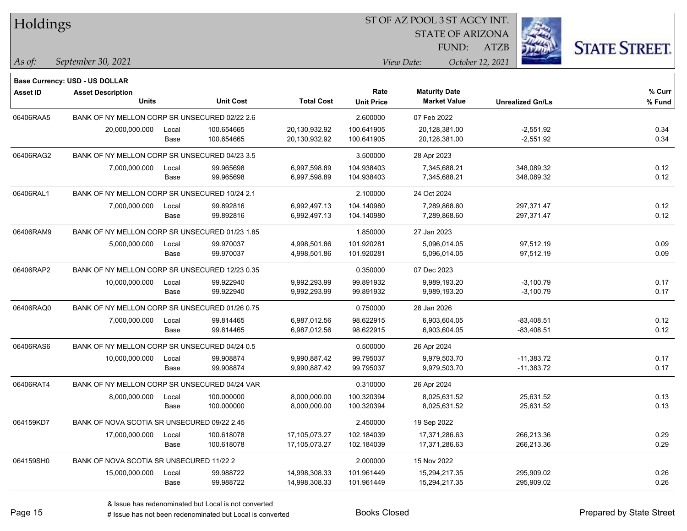| Holdings        |                                                |       |                  |                   |                   |                      | ST OF AZ POOL 3 ST AGCY INT. |                         |                      |
|-----------------|------------------------------------------------|-------|------------------|-------------------|-------------------|----------------------|------------------------------|-------------------------|----------------------|
|                 |                                                |       |                  |                   |                   |                      | <b>STATE OF ARIZONA</b>      |                         |                      |
|                 |                                                |       |                  |                   |                   |                      | FUND:<br><b>ATZB</b>         |                         | <b>STATE STREET.</b> |
| As of:          | September 30, 2021                             |       |                  |                   |                   | View Date:           | October 12, 2021             |                         |                      |
|                 | Base Currency: USD - US DOLLAR                 |       |                  |                   |                   |                      |                              |                         |                      |
| <b>Asset ID</b> | <b>Asset Description</b>                       |       |                  |                   | Rate              | <b>Maturity Date</b> |                              |                         | % Curr               |
|                 | <b>Units</b>                                   |       | <b>Unit Cost</b> | <b>Total Cost</b> | <b>Unit Price</b> | <b>Market Value</b>  |                              | <b>Unrealized Gn/Ls</b> | % Fund               |
| 06406RAA5       | BANK OF NY MELLON CORP SR UNSECURED 02/22 2.6  |       |                  |                   | 2.600000          | 07 Feb 2022          |                              |                         |                      |
|                 | 20,000,000.000                                 | Local | 100.654665       | 20,130,932.92     | 100.641905        | 20,128,381.00        |                              | $-2,551.92$             | 0.34                 |
|                 |                                                | Base  | 100.654665       | 20,130,932.92     | 100.641905        | 20,128,381.00        |                              | $-2,551.92$             | 0.34                 |
| 06406RAG2       | BANK OF NY MELLON CORP SR UNSECURED 04/23 3.5  |       |                  |                   | 3.500000          | 28 Apr 2023          |                              |                         |                      |
|                 | 7,000,000.000                                  | Local | 99.965698        | 6,997,598.89      | 104.938403        | 7,345,688.21         |                              | 348,089.32              | 0.12                 |
|                 |                                                | Base  | 99.965698        | 6,997,598.89      | 104.938403        | 7,345,688.21         |                              | 348,089.32              | 0.12                 |
| 06406RAL1       | BANK OF NY MELLON CORP SR UNSECURED 10/24 2.1  |       |                  |                   | 2.100000          | 24 Oct 2024          |                              |                         |                      |
|                 | 7,000,000.000                                  | Local | 99.892816        | 6,992,497.13      | 104.140980        | 7,289,868.60         |                              | 297,371.47              | 0.12                 |
|                 |                                                | Base  | 99.892816        | 6,992,497.13      | 104.140980        | 7,289,868.60         |                              | 297,371.47              | 0.12                 |
| 06406RAM9       | BANK OF NY MELLON CORP SR UNSECURED 01/23 1.85 |       |                  |                   | 1.850000          | 27 Jan 2023          |                              |                         |                      |
|                 | 5,000,000.000                                  | Local | 99.970037        | 4,998,501.86      | 101.920281        | 5,096,014.05         |                              | 97,512.19               | 0.09                 |
|                 |                                                | Base  | 99.970037        | 4,998,501.86      | 101.920281        | 5,096,014.05         |                              | 97,512.19               | 0.09                 |
| 06406RAP2       | BANK OF NY MELLON CORP SR UNSECURED 12/23 0.35 |       |                  |                   | 0.350000          | 07 Dec 2023          |                              |                         |                      |
|                 | 10,000,000.000                                 | Local | 99.922940        | 9,992,293.99      | 99.891932         | 9,989,193.20         |                              | $-3,100.79$             | 0.17                 |
|                 |                                                | Base  | 99.922940        | 9,992,293.99      | 99.891932         | 9,989,193.20         |                              | $-3,100.79$             | 0.17                 |
| 06406RAQ0       | BANK OF NY MELLON CORP SR UNSECURED 01/26 0.75 |       |                  |                   | 0.750000          | 28 Jan 2026          |                              |                         |                      |
|                 | 7,000,000.000                                  | Local | 99.814465        | 6,987,012.56      | 98.622915         | 6,903,604.05         |                              | -83,408.51              | 0.12                 |
|                 |                                                | Base  | 99.814465        | 6,987,012.56      | 98.622915         | 6,903,604.05         |                              | -83,408.51              | 0.12                 |
| 06406RAS6       | BANK OF NY MELLON CORP SR UNSECURED 04/24 0.5  |       |                  |                   | 0.500000          | 26 Apr 2024          |                              |                         |                      |
|                 | 10,000,000.000                                 | Local | 99.908874        | 9,990,887.42      | 99.795037         | 9,979,503.70         |                              | $-11,383.72$            | 0.17                 |
|                 |                                                | Base  | 99.908874        | 9,990,887.42      | 99.795037         | 9,979,503.70         |                              | $-11,383.72$            | 0.17                 |
| 06406RAT4       | BANK OF NY MELLON CORP SR UNSECURED 04/24 VAR  |       |                  |                   | 0.310000          | 26 Apr 2024          |                              |                         |                      |
|                 | 8,000,000.000                                  | Local | 100.000000       | 8,000,000.00      | 100.320394        | 8,025,631.52         |                              | 25,631.52               | 0.13                 |
|                 |                                                | Base  | 100.000000       | 8,000,000.00      | 100.320394        | 8,025,631.52         |                              | 25,631.52               | 0.13                 |
| 064159KD7       | BANK OF NOVA SCOTIA SR UNSECURED 09/22 2.45    |       |                  |                   | 2.450000          | 19 Sep 2022          |                              |                         |                      |
|                 | 17,000,000.000                                 | Local | 100.618078       | 17,105,073.27     | 102.184039        | 17,371,286.63        |                              | 266,213.36              | 0.29                 |
|                 |                                                | Base  | 100.618078       | 17,105,073.27     | 102.184039        | 17,371,286.63        |                              | 266,213.36              | 0.29                 |
| 064159SH0       | BANK OF NOVA SCOTIA SR UNSECURED 11/22 2       |       |                  |                   | 2.000000          | 15 Nov 2022          |                              |                         |                      |
|                 | 15,000,000.000                                 | Local | 99.988722        | 14,998,308.33     | 101.961449        | 15,294,217.35        |                              | 295,909.02              | 0.26                 |
|                 |                                                | Base  | 99.988722        | 14,998,308.33     | 101.961449        | 15,294,217.35        |                              | 295,909.02              | 0.26                 |

 $\overline{\phantom{0}}$ 

 $\overline{\phantom{0}}$ 

 $\overline{\phantom{0}}$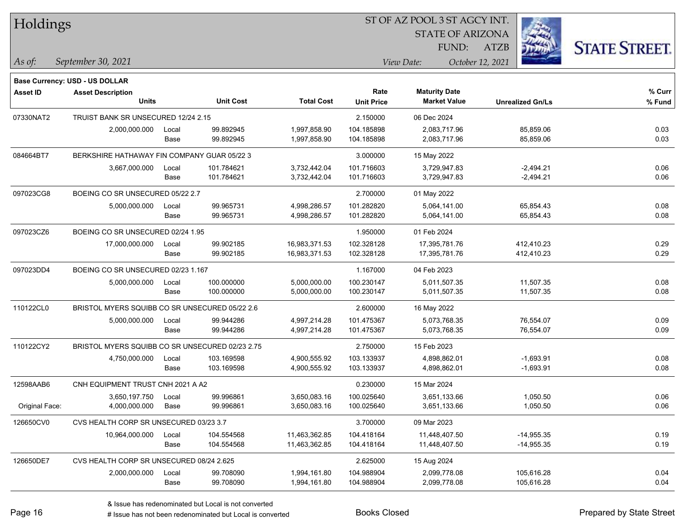| Holdings        |                                                 |       |                  |                   |                           |                                             |                         |                      |
|-----------------|-------------------------------------------------|-------|------------------|-------------------|---------------------------|---------------------------------------------|-------------------------|----------------------|
|                 |                                                 |       |                  |                   |                           | <b>STATE OF ARIZONA</b>                     |                         |                      |
|                 |                                                 |       |                  |                   |                           | FUND:                                       | <b>ATZB</b>             | <b>STATE STREET.</b> |
| $\vert$ As of:  | September 30, 2021                              |       |                  |                   |                           | View Date:                                  | October 12, 2021        |                      |
|                 |                                                 |       |                  |                   |                           |                                             |                         |                      |
|                 | <b>Base Currency: USD - US DOLLAR</b>           |       |                  |                   |                           |                                             |                         |                      |
| <b>Asset ID</b> | <b>Asset Description</b><br><b>Units</b>        |       | <b>Unit Cost</b> | <b>Total Cost</b> | Rate<br><b>Unit Price</b> | <b>Maturity Date</b><br><b>Market Value</b> | <b>Unrealized Gn/Ls</b> | % Curr<br>% Fund     |
| 07330NAT2       | TRUIST BANK SR UNSECURED 12/24 2.15             |       |                  |                   | 2.150000                  | 06 Dec 2024                                 |                         |                      |
|                 | 2,000,000.000                                   | Local | 99.892945        | 1,997,858.90      | 104.185898                | 2,083,717.96                                | 85,859.06               | 0.03                 |
|                 |                                                 | Base  | 99.892945        | 1,997,858.90      | 104.185898                | 2,083,717.96                                | 85,859.06               | 0.03                 |
| 084664BT7       | BERKSHIRE HATHAWAY FIN COMPANY GUAR 05/22 3     |       |                  |                   | 3.000000                  | 15 May 2022                                 |                         |                      |
|                 | 3,667,000.000                                   | Local | 101.784621       | 3,732,442.04      | 101.716603                | 3,729,947.83                                | $-2,494.21$             | 0.06                 |
|                 |                                                 | Base  | 101.784621       | 3,732,442.04      | 101.716603                | 3,729,947.83                                | $-2,494.21$             | 0.06                 |
| 097023CG8       | BOEING CO SR UNSECURED 05/22 2.7                |       |                  |                   | 2.700000                  | 01 May 2022                                 |                         |                      |
|                 | 5,000,000.000                                   | Local | 99.965731        | 4,998,286.57      | 101.282820                | 5,064,141.00                                | 65,854.43               | 0.08                 |
|                 |                                                 | Base  | 99.965731        | 4,998,286.57      | 101.282820                | 5,064,141.00                                | 65,854.43               | 0.08                 |
| 097023CZ6       | BOEING CO SR UNSECURED 02/24 1.95               |       |                  |                   | 1.950000                  | 01 Feb 2024                                 |                         |                      |
|                 | 17,000,000.000                                  | Local | 99.902185        | 16,983,371.53     | 102.328128                | 17,395,781.76                               | 412,410.23              | 0.29                 |
|                 |                                                 | Base  | 99.902185        | 16,983,371.53     | 102.328128                | 17,395,781.76                               | 412,410.23              | 0.29                 |
| 097023DD4       | BOEING CO SR UNSECURED 02/23 1.167              |       |                  |                   | 1.167000                  | 04 Feb 2023                                 |                         |                      |
|                 | 5,000,000.000                                   | Local | 100.000000       | 5,000,000.00      | 100.230147                | 5,011,507.35                                | 11,507.35               | 0.08                 |
|                 |                                                 | Base  | 100.000000       | 5,000,000.00      | 100.230147                | 5,011,507.35                                | 11,507.35               | 0.08                 |
| 110122CL0       | BRISTOL MYERS SQUIBB CO SR UNSECURED 05/22 2.6  |       |                  |                   | 2.600000                  | 16 May 2022                                 |                         |                      |
|                 | 5,000,000.000                                   | Local | 99.944286        | 4,997,214.28      | 101.475367                | 5,073,768.35                                | 76,554.07               | 0.09                 |
|                 |                                                 | Base  | 99.944286        | 4,997,214.28      | 101.475367                | 5,073,768.35                                | 76,554.07               | 0.09                 |
| 110122CY2       | BRISTOL MYERS SQUIBB CO SR UNSECURED 02/23 2.75 |       |                  |                   | 2.750000                  | 15 Feb 2023                                 |                         |                      |
|                 | 4,750,000.000                                   | Local | 103.169598       | 4,900,555.92      | 103.133937                | 4,898,862.01                                | $-1,693.91$             | 0.08                 |
|                 |                                                 | Base  | 103.169598       | 4,900,555.92      | 103.133937                | 4,898,862.01                                | $-1,693.91$             | 0.08                 |
| 12598AAB6       | CNH EQUIPMENT TRUST CNH 2021 A A2               |       |                  |                   | 0.230000                  | 15 Mar 2024                                 |                         |                      |
|                 | 3,650,197.750                                   | Local | 99.996861        | 3,650,083.16      | 100.025640                | 3,651,133.66                                | 1,050.50                | 0.06                 |
| Original Face:  | 4,000,000.000                                   | Base  | 99.996861        | 3,650,083.16      | 100.025640                | 3,651,133.66                                | 1,050.50                | 0.06                 |
| 126650CV0       | CVS HEALTH CORP SR UNSECURED 03/23 3.7          |       |                  |                   | 3.700000                  | 09 Mar 2023                                 |                         |                      |
|                 | 10,964,000.000                                  | Local | 104.554568       | 11,463,362.85     | 104.418164                | 11,448,407.50                               | $-14,955.35$            | 0.19                 |
|                 |                                                 | Base  | 104.554568       | 11,463,362.85     | 104.418164                | 11,448,407.50                               | -14,955.35              | 0.19                 |
| 126650DE7       | CVS HEALTH CORP SR UNSECURED 08/24 2.625        |       |                  |                   | 2.625000                  | 15 Aug 2024                                 |                         |                      |
|                 | 2,000,000.000                                   | Local | 99.708090        | 1,994,161.80      | 104.988904                | 2,099,778.08                                | 105,616.28              | 0.04                 |
|                 |                                                 | Base  | 99.708090        | 1,994,161.80      | 104.988904                | 2,099,778.08                                | 105,616.28              | 0.04                 |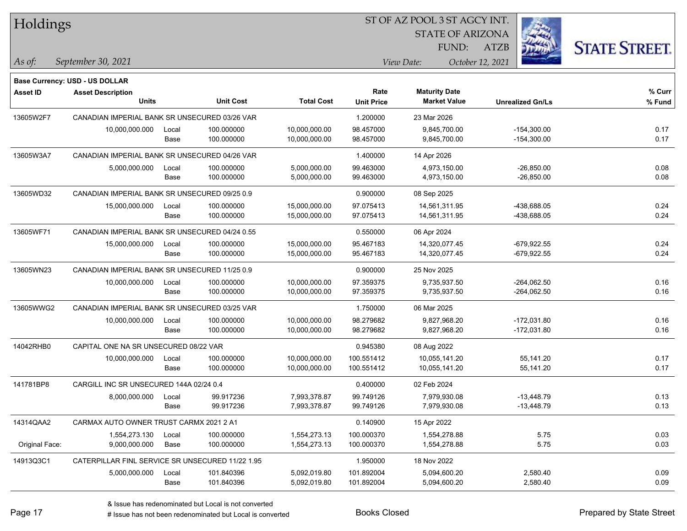| Holdings        |                                                            |       |                  | ST OF AZ POOL 3 ST AGCY INT. |                   |                         |                         |                      |  |  |
|-----------------|------------------------------------------------------------|-------|------------------|------------------------------|-------------------|-------------------------|-------------------------|----------------------|--|--|
|                 |                                                            |       |                  |                              |                   | <b>STATE OF ARIZONA</b> |                         |                      |  |  |
|                 |                                                            |       |                  |                              |                   | FUND:                   | <b>ATZB</b>             | <b>STATE STREET.</b> |  |  |
| As of:          | September 30, 2021                                         |       |                  |                              |                   | View Date:              | October 12, 2021        |                      |  |  |
|                 |                                                            |       |                  |                              |                   |                         |                         |                      |  |  |
| <b>Asset ID</b> | Base Currency: USD - US DOLLAR<br><b>Asset Description</b> |       |                  |                              | Rate              | <b>Maturity Date</b>    |                         | % Curr               |  |  |
|                 | <b>Units</b>                                               |       | <b>Unit Cost</b> | <b>Total Cost</b>            | <b>Unit Price</b> | <b>Market Value</b>     | <b>Unrealized Gn/Ls</b> | % Fund               |  |  |
| 13605W2F7       | CANADIAN IMPERIAL BANK SR UNSECURED 03/26 VAR              |       |                  |                              | 1.200000          | 23 Mar 2026             |                         |                      |  |  |
|                 | 10,000,000.000                                             | Local | 100.000000       | 10,000,000.00                | 98.457000         | 9,845,700.00            | $-154,300.00$           | 0.17                 |  |  |
|                 |                                                            | Base  | 100.000000       | 10,000,000.00                | 98.457000         | 9,845,700.00            | $-154,300.00$           | 0.17                 |  |  |
| 13605W3A7       | CANADIAN IMPERIAL BANK SR UNSECURED 04/26 VAR              |       |                  |                              | 1.400000          | 14 Apr 2026             |                         |                      |  |  |
|                 | 5,000,000.000                                              | Local | 100.000000       | 5,000,000.00                 | 99.463000         | 4,973,150.00            | $-26,850.00$            | 0.08                 |  |  |
|                 |                                                            | Base  | 100.000000       | 5,000,000.00                 | 99.463000         | 4,973,150.00            | $-26,850.00$            | 0.08                 |  |  |
| 13605WD32       | CANADIAN IMPERIAL BANK SR UNSECURED 09/25 0.9              |       |                  |                              | 0.900000          | 08 Sep 2025             |                         |                      |  |  |
|                 | 15,000,000.000                                             | Local | 100.000000       | 15,000,000.00                | 97.075413         | 14,561,311.95           | -438,688.05             | 0.24                 |  |  |
|                 |                                                            | Base  | 100.000000       | 15,000,000.00                | 97.075413         | 14,561,311.95           | -438,688.05             | 0.24                 |  |  |
| 13605WF71       | CANADIAN IMPERIAL BANK SR UNSECURED 04/24 0.55             |       |                  |                              | 0.550000          | 06 Apr 2024             |                         |                      |  |  |
|                 | 15,000,000.000                                             | Local | 100.000000       | 15,000,000.00                | 95.467183         | 14,320,077.45           | $-679,922.55$           | 0.24                 |  |  |
|                 |                                                            | Base  | 100.000000       | 15,000,000.00                | 95.467183         | 14,320,077.45           | $-679,922.55$           | 0.24                 |  |  |
| 13605WN23       | CANADIAN IMPERIAL BANK SR UNSECURED 11/25 0.9              |       |                  |                              | 0.900000          | 25 Nov 2025             |                         |                      |  |  |
|                 | 10,000,000.000                                             | Local | 100.000000       | 10,000,000.00                | 97.359375         | 9,735,937.50            | $-264,062.50$           | 0.16                 |  |  |
|                 |                                                            | Base  | 100.000000       | 10,000,000.00                | 97.359375         | 9,735,937.50            | $-264,062.50$           | 0.16                 |  |  |
| 13605WWG2       | CANADIAN IMPERIAL BANK SR UNSECURED 03/25 VAR              |       |                  |                              | 1.750000          | 06 Mar 2025             |                         |                      |  |  |
|                 | 10,000,000.000                                             | Local | 100.000000       | 10,000,000.00                | 98.279682         | 9,827,968.20            | $-172,031.80$           | 0.16                 |  |  |
|                 |                                                            | Base  | 100.000000       | 10,000,000.00                | 98.279682         | 9,827,968.20            | $-172,031.80$           | 0.16                 |  |  |
| 14042RHB0       | CAPITAL ONE NA SR UNSECURED 08/22 VAR                      |       |                  |                              | 0.945380          | 08 Aug 2022             |                         |                      |  |  |
|                 | 10,000,000.000                                             | Local | 100.000000       | 10,000,000.00                | 100.551412        | 10,055,141.20           | 55,141.20               | 0.17                 |  |  |
|                 |                                                            | Base  | 100.000000       | 10,000,000.00                | 100.551412        | 10,055,141.20           | 55,141.20               | 0.17                 |  |  |
| 141781BP8       | CARGILL INC SR UNSECURED 144A 02/24 0.4                    |       |                  |                              | 0.400000          | 02 Feb 2024             |                         |                      |  |  |
|                 | 8,000,000.000                                              | Local | 99.917236        | 7,993,378.87                 | 99.749126         | 7,979,930.08            | $-13,448.79$            | 0.13                 |  |  |
|                 |                                                            | Base  | 99.917236        | 7,993,378.87                 | 99.749126         | 7,979,930.08            | $-13,448.79$            | 0.13                 |  |  |
| 14314QAA2       | CARMAX AUTO OWNER TRUST CARMX 2021 2 A1                    |       |                  |                              | 0.140900          | 15 Apr 2022             |                         |                      |  |  |
|                 | 1,554,273.130                                              | Local | 100.000000       | 1,554,273.13                 | 100.000370        | 1,554,278.88            | 5.75                    | 0.03                 |  |  |
| Original Face:  | 9,000,000.000                                              | Base  | 100.000000       | 1,554,273.13                 | 100.000370        | 1,554,278.88            | 5.75                    | 0.03                 |  |  |
| 14913Q3C1       | CATERPILLAR FINL SERVICE SR UNSECURED 11/22 1.95           |       |                  |                              | 1.950000          | 18 Nov 2022             |                         |                      |  |  |
|                 | 5,000,000.000                                              | Local | 101.840396       | 5,092,019.80                 | 101.892004        | 5,094,600.20            | 2,580.40                | 0.09                 |  |  |
|                 |                                                            | Base  | 101.840396       | 5,092,019.80                 | 101.892004        | 5,094,600.20            | 2,580.40                | 0.09                 |  |  |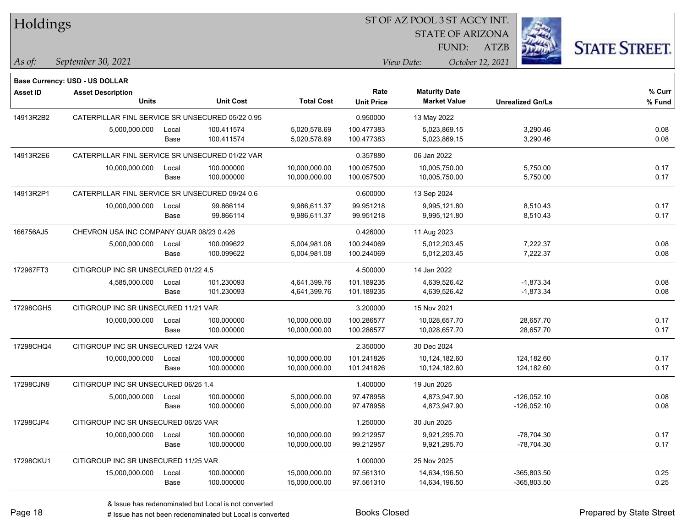| Holdings        |                                                  |       |                  |                   |                   |                         |                         |                      |
|-----------------|--------------------------------------------------|-------|------------------|-------------------|-------------------|-------------------------|-------------------------|----------------------|
|                 |                                                  |       |                  |                   |                   | <b>STATE OF ARIZONA</b> |                         |                      |
|                 |                                                  |       |                  |                   |                   | FUND:                   | <b>ATZB</b>             | <b>STATE STREET.</b> |
| As of:          | September 30, 2021                               |       |                  |                   |                   | View Date:              | October 12, 2021        |                      |
|                 | <b>Base Currency: USD - US DOLLAR</b>            |       |                  |                   |                   |                         |                         |                      |
| <b>Asset ID</b> | <b>Asset Description</b>                         |       |                  |                   | Rate              | <b>Maturity Date</b>    |                         | % Curr               |
|                 | <b>Units</b>                                     |       | <b>Unit Cost</b> | <b>Total Cost</b> | <b>Unit Price</b> | <b>Market Value</b>     | <b>Unrealized Gn/Ls</b> | % Fund               |
| 14913R2B2       | CATERPILLAR FINL SERVICE SR UNSECURED 05/22 0.95 |       |                  |                   | 0.950000          | 13 May 2022             |                         |                      |
|                 | 5,000,000.000                                    | Local | 100.411574       | 5,020,578.69      | 100.477383        | 5,023,869.15            | 3,290.46                | 0.08                 |
|                 |                                                  | Base  | 100.411574       | 5,020,578.69      | 100.477383        | 5,023,869.15            | 3,290.46                | 0.08                 |
| 14913R2E6       | CATERPILLAR FINL SERVICE SR UNSECURED 01/22 VAR  |       |                  |                   | 0.357880          | 06 Jan 2022             |                         |                      |
|                 | 10,000,000.000                                   | Local | 100.000000       | 10,000,000.00     | 100.057500        | 10,005,750.00           | 5,750.00                | 0.17                 |
|                 |                                                  | Base  | 100.000000       | 10,000,000.00     | 100.057500        | 10,005,750.00           | 5,750.00                | 0.17                 |
| 14913R2P1       | CATERPILLAR FINL SERVICE SR UNSECURED 09/24 0.6  |       |                  |                   | 0.600000          | 13 Sep 2024             |                         |                      |
|                 | 10,000,000.000                                   | Local | 99.866114        | 9,986,611.37      | 99.951218         | 9,995,121.80            | 8,510.43                | 0.17                 |
|                 |                                                  | Base  | 99.866114        | 9,986,611.37      | 99.951218         | 9,995,121.80            | 8,510.43                | 0.17                 |
| 166756AJ5       | CHEVRON USA INC COMPANY GUAR 08/23 0.426         |       |                  |                   | 0.426000          | 11 Aug 2023             |                         |                      |
|                 | 5,000,000.000                                    | Local | 100.099622       | 5,004,981.08      | 100.244069        | 5,012,203.45            | 7,222.37                | 0.08                 |
|                 |                                                  | Base  | 100.099622       | 5,004,981.08      | 100.244069        | 5,012,203.45            | 7,222.37                | 0.08                 |
| 172967FT3       | CITIGROUP INC SR UNSECURED 01/22 4.5             |       |                  |                   | 4.500000          | 14 Jan 2022             |                         |                      |
|                 | 4,585,000.000                                    | Local | 101.230093       | 4,641,399.76      | 101.189235        | 4,639,526.42            | $-1,873.34$             | 0.08                 |
|                 |                                                  | Base  | 101.230093       | 4,641,399.76      | 101.189235        | 4,639,526.42            | $-1,873.34$             | 0.08                 |
| 17298CGH5       | CITIGROUP INC SR UNSECURED 11/21 VAR             |       |                  |                   | 3.200000          | 15 Nov 2021             |                         |                      |
|                 | 10,000,000.000                                   | Local | 100.000000       | 10,000,000.00     | 100.286577        | 10,028,657.70           | 28,657.70               | 0.17                 |
|                 |                                                  | Base  | 100.000000       | 10,000,000.00     | 100.286577        | 10,028,657.70           | 28,657.70               | 0.17                 |
| 17298CHQ4       | CITIGROUP INC SR UNSECURED 12/24 VAR             |       |                  |                   | 2.350000          | 30 Dec 2024             |                         |                      |
|                 | 10,000,000.000                                   | Local | 100.000000       | 10,000,000.00     | 101.241826        | 10,124,182.60           | 124,182.60              | 0.17                 |
|                 |                                                  | Base  | 100.000000       | 10,000,000.00     | 101.241826        | 10,124,182.60           | 124,182.60              | 0.17                 |
| 17298CJN9       | CITIGROUP INC SR UNSECURED 06/25 1.4             |       |                  |                   | 1.400000          | 19 Jun 2025             |                         |                      |
|                 | 5,000,000.000                                    | Local | 100.000000       | 5.000.000.00      | 97.478958         | 4,873,947.90            | $-126,052.10$           | 0.08                 |
|                 |                                                  | Base  | 100.000000       | 5,000,000.00      | 97.478958         | 4,873,947.90            | $-126,052.10$           | 0.08                 |
| 17298CJP4       | CITIGROUP INC SR UNSECURED 06/25 VAR             |       |                  |                   | 1.250000          | 30 Jun 2025             |                         |                      |
|                 | 10,000,000.000                                   | Local | 100.000000       | 10,000,000.00     | 99.212957         | 9,921,295.70            | $-78,704.30$            | 0.17                 |
|                 |                                                  | Base  | 100.000000       | 10,000,000.00     | 99.212957         | 9,921,295.70            | -78,704.30              | 0.17                 |
| 17298CKU1       | CITIGROUP INC SR UNSECURED 11/25 VAR             |       |                  | 1.000000          | 25 Nov 2025       |                         |                         |                      |
|                 | 15,000,000.000                                   | Local | 100.000000       | 15,000,000.00     | 97.561310         | 14,634,196.50           | $-365,803.50$           | 0.25                 |
|                 |                                                  | Base  | 100.000000       | 15,000,000.00     | 97.561310         | 14,634,196.50           | -365,803.50             | 0.25                 |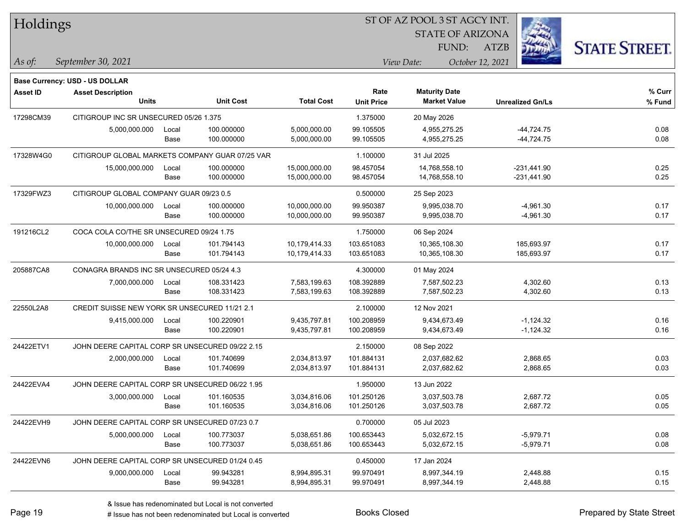| Holdings        |                                                 |       |                  |                   | 51 OF AZ POOL 3 51 AGCY INT. |                         |                  |                         |                      |  |  |
|-----------------|-------------------------------------------------|-------|------------------|-------------------|------------------------------|-------------------------|------------------|-------------------------|----------------------|--|--|
|                 |                                                 |       |                  |                   |                              | <b>STATE OF ARIZONA</b> |                  | i.                      |                      |  |  |
|                 |                                                 |       |                  |                   |                              | FUND:                   | ATZB             |                         | <b>STATE STREET.</b> |  |  |
| As of:          | September 30, 2021                              |       |                  |                   |                              | View Date:              | October 12, 2021 |                         |                      |  |  |
|                 | Base Currency: USD - US DOLLAR                  |       |                  |                   |                              |                         |                  |                         |                      |  |  |
| <b>Asset ID</b> | <b>Asset Description</b>                        |       |                  |                   | Rate                         | <b>Maturity Date</b>    |                  |                         | % Curr               |  |  |
|                 | <b>Units</b>                                    |       | <b>Unit Cost</b> | <b>Total Cost</b> | <b>Unit Price</b>            | <b>Market Value</b>     |                  | <b>Unrealized Gn/Ls</b> | % Fund               |  |  |
| 17298CM39       | CITIGROUP INC SR UNSECURED 05/26 1.375          |       |                  |                   | 1.375000                     | 20 May 2026             |                  |                         |                      |  |  |
|                 | 5,000,000.000                                   | Local | 100.000000       | 5,000,000.00      | 99.105505                    | 4,955,275.25            |                  | $-44,724.75$            | 0.08                 |  |  |
|                 |                                                 | Base  | 100.000000       | 5,000,000.00      | 99.105505                    | 4,955,275.25            |                  | $-44,724.75$            | 0.08                 |  |  |
| 17328W4G0       | CITIGROUP GLOBAL MARKETS COMPANY GUAR 07/25 VAR |       |                  |                   | 1.100000                     | 31 Jul 2025             |                  |                         |                      |  |  |
|                 | 15,000,000.000                                  | Local | 100.000000       | 15,000,000.00     | 98.457054                    | 14,768,558.10           |                  | $-231,441.90$           | 0.25                 |  |  |
|                 |                                                 | Base  | 100.000000       | 15,000,000.00     | 98.457054                    | 14,768,558.10           |                  | $-231,441.90$           | 0.25                 |  |  |
| 17329FWZ3       | CITIGROUP GLOBAL COMPANY GUAR 09/23 0.5         |       |                  |                   | 0.500000                     | 25 Sep 2023             |                  |                         |                      |  |  |
|                 | 10,000,000.000                                  | Local | 100.000000       | 10,000,000.00     | 99.950387                    | 9,995,038.70            |                  | $-4,961.30$             | 0.17                 |  |  |
|                 |                                                 | Base  | 100.000000       | 10,000,000.00     | 99.950387                    | 9,995,038.70            |                  | $-4,961.30$             | 0.17                 |  |  |
| 191216CL2       | COCA COLA CO/THE SR UNSECURED 09/24 1.75        |       |                  |                   | 1.750000                     | 06 Sep 2024             |                  |                         |                      |  |  |
|                 | 10,000,000.000                                  | Local | 101.794143       | 10,179,414.33     | 103.651083                   | 10,365,108.30           |                  | 185,693.97              | 0.17                 |  |  |
|                 |                                                 | Base  | 101.794143       | 10,179,414.33     | 103.651083                   | 10,365,108.30           |                  | 185,693.97              | 0.17                 |  |  |
| 205887CA8       | CONAGRA BRANDS INC SR UNSECURED 05/24 4.3       |       |                  |                   | 4.300000                     | 01 May 2024             |                  |                         |                      |  |  |
|                 | 7,000,000.000                                   | Local | 108.331423       | 7,583,199.63      | 108.392889                   | 7,587,502.23            |                  | 4,302.60                | 0.13                 |  |  |
|                 |                                                 | Base  | 108.331423       | 7,583,199.63      | 108.392889                   | 7,587,502.23            |                  | 4,302.60                | 0.13                 |  |  |
| 22550L2A8       | CREDIT SUISSE NEW YORK SR UNSECURED 11/21 2.1   |       |                  |                   | 2.100000                     | 12 Nov 2021             |                  |                         |                      |  |  |
|                 | 9,415,000.000                                   | Local | 100.220901       | 9,435,797.81      | 100.208959                   | 9,434,673.49            |                  | $-1,124.32$             | 0.16                 |  |  |
|                 |                                                 | Base  | 100.220901       | 9,435,797.81      | 100.208959                   | 9,434,673.49            |                  | $-1,124.32$             | 0.16                 |  |  |
| 24422ETV1       | JOHN DEERE CAPITAL CORP SR UNSECURED 09/22 2.15 |       |                  |                   | 2.150000                     | 08 Sep 2022             |                  |                         |                      |  |  |
|                 | 2,000,000.000                                   | Local | 101.740699       | 2,034,813.97      | 101.884131                   | 2,037,682.62            |                  | 2,868.65                | 0.03                 |  |  |
|                 |                                                 | Base  | 101.740699       | 2,034,813.97      | 101.884131                   | 2,037,682.62            |                  | 2,868.65                | 0.03                 |  |  |
| 24422EVA4       | JOHN DEERE CAPITAL CORP SR UNSECURED 06/22 1.95 |       |                  |                   | 1.950000                     | 13 Jun 2022             |                  |                         |                      |  |  |
|                 | 3,000,000.000                                   | Local | 101.160535       | 3,034,816.06      | 101.250126                   | 3,037,503.78            |                  | 2.687.72                | 0.05                 |  |  |
|                 |                                                 | Base  | 101.160535       | 3,034,816.06      | 101.250126                   | 3,037,503.78            |                  | 2,687.72                | 0.05                 |  |  |
| 24422EVH9       | JOHN DEERE CAPITAL CORP SR UNSECURED 07/23 0.7  |       |                  |                   | 0.700000                     | 05 Jul 2023             |                  |                         |                      |  |  |
|                 | 5,000,000.000                                   | Local | 100.773037       | 5,038,651.86      | 100.653443                   | 5,032,672.15            |                  | $-5,979.71$             | 0.08                 |  |  |
|                 |                                                 | Base  | 100.773037       | 5,038,651.86      | 100.653443                   | 5,032,672.15            |                  | $-5,979.71$             | 0.08                 |  |  |
| 24422EVN6       | JOHN DEERE CAPITAL CORP SR UNSECURED 01/24 0.45 |       |                  |                   | 0.450000                     | 17 Jan 2024             |                  |                         |                      |  |  |
|                 | 9,000,000.000                                   | Local | 99.943281        | 8,994,895.31      | 99.970491                    | 8,997,344.19            |                  | 2,448.88                | 0.15                 |  |  |
|                 |                                                 | Base  | 99.943281        | 8,994,895.31      | 99.970491                    | 8,997,344.19            |                  | 2,448.88                | 0.15                 |  |  |

 $\overline{\text{SUSP}}$ 

٦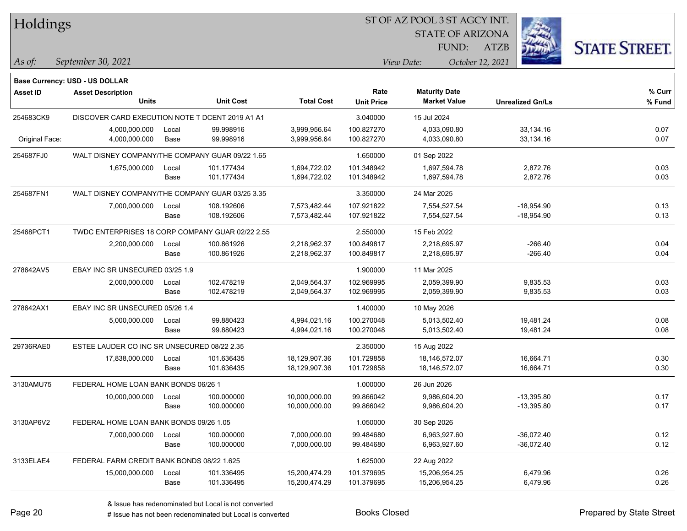| Holdings        |                                                                   |       |                  |                   |                   | ST OF AZ POOL 3 ST AGCY INT. |                         |                      |  |
|-----------------|-------------------------------------------------------------------|-------|------------------|-------------------|-------------------|------------------------------|-------------------------|----------------------|--|
|                 |                                                                   |       |                  |                   |                   | <b>STATE OF ARIZONA</b>      |                         |                      |  |
|                 |                                                                   |       |                  |                   |                   | FUND:                        | ATZB                    | <b>STATE STREET.</b> |  |
| As of:          | September 30, 2021                                                |       |                  |                   | View Date:        |                              |                         |                      |  |
|                 |                                                                   |       |                  |                   |                   |                              | October 12, 2021        |                      |  |
| <b>Asset ID</b> | <b>Base Currency: USD - US DOLLAR</b><br><b>Asset Description</b> |       |                  |                   | Rate              | <b>Maturity Date</b>         |                         | % Curr               |  |
|                 | <b>Units</b>                                                      |       | <b>Unit Cost</b> | <b>Total Cost</b> | <b>Unit Price</b> | <b>Market Value</b>          | <b>Unrealized Gn/Ls</b> | % Fund               |  |
| 254683CK9       | DISCOVER CARD EXECUTION NOTE T DCENT 2019 A1 A1                   |       |                  |                   | 3.040000          | 15 Jul 2024                  |                         |                      |  |
|                 | 4,000,000.000                                                     | Local | 99.998916        | 3,999,956.64      | 100.827270        | 4,033,090.80                 | 33,134.16               | 0.07                 |  |
| Original Face:  | 4,000,000.000                                                     | Base  | 99.998916        | 3,999,956.64      | 100.827270        | 4,033,090.80                 | 33,134.16               | 0.07                 |  |
| 254687FJ0       | WALT DISNEY COMPANY/THE COMPANY GUAR 09/22 1.65                   |       |                  |                   | 1.650000          | 01 Sep 2022                  |                         |                      |  |
|                 | 1,675,000.000                                                     | Local | 101.177434       | 1,694,722.02      | 101.348942        | 1,697,594.78                 | 2,872.76                | 0.03                 |  |
|                 |                                                                   | Base  | 101.177434       | 1,694,722.02      | 101.348942        | 1,697,594.78                 | 2,872.76                | 0.03                 |  |
| 254687FN1       | WALT DISNEY COMPANY/THE COMPANY GUAR 03/25 3.35                   |       |                  |                   | 3.350000          | 24 Mar 2025                  |                         |                      |  |
|                 | 7,000,000.000                                                     | Local | 108.192606       | 7,573,482.44      | 107.921822        | 7,554,527.54                 | $-18,954.90$            | 0.13                 |  |
|                 |                                                                   | Base  | 108.192606       | 7,573,482.44      | 107.921822        | 7,554,527.54                 | $-18,954.90$            | 0.13                 |  |
| 25468PCT1       | TWDC ENTERPRISES 18 CORP COMPANY GUAR 02/22 2.55                  |       |                  |                   | 2.550000          | 15 Feb 2022                  |                         |                      |  |
|                 | 2,200,000.000                                                     | Local | 100.861926       | 2,218,962.37      | 100.849817        | 2,218,695.97                 | $-266.40$               | 0.04                 |  |
|                 |                                                                   | Base  | 100.861926       | 2,218,962.37      | 100.849817        | 2,218,695.97                 | $-266.40$               | 0.04                 |  |
| 278642AV5       | EBAY INC SR UNSECURED 03/25 1.9                                   |       |                  |                   | 1.900000          | 11 Mar 2025                  |                         |                      |  |
|                 | 2,000,000.000                                                     | Local | 102.478219       | 2,049,564.37      | 102.969995        | 2,059,399.90                 | 9,835.53                | 0.03                 |  |
|                 |                                                                   | Base  | 102.478219       | 2,049,564.37      | 102.969995        | 2,059,399.90                 | 9,835.53                | 0.03                 |  |
| 278642AX1       | EBAY INC SR UNSECURED 05/26 1.4                                   |       |                  |                   | 1.400000          | 10 May 2026                  |                         |                      |  |
|                 | 5,000,000.000                                                     | Local | 99.880423        | 4,994,021.16      | 100.270048        | 5,013,502.40                 | 19,481.24               | 0.08                 |  |
|                 |                                                                   | Base  | 99.880423        | 4,994,021.16      | 100.270048        | 5,013,502.40                 | 19,481.24               | 0.08                 |  |
| 29736RAE0       | ESTEE LAUDER CO INC SR UNSECURED 08/22 2.35                       |       |                  |                   | 2.350000          | 15 Aug 2022                  |                         |                      |  |
|                 | 17,838,000.000                                                    | Local | 101.636435       | 18,129,907.36     | 101.729858        | 18,146,572.07                | 16,664.71               | 0.30                 |  |
|                 |                                                                   | Base  | 101.636435       | 18,129,907.36     | 101.729858        | 18,146,572.07                | 16,664.71               | 0.30                 |  |
| 3130AMU75       | FEDERAL HOME LOAN BANK BONDS 06/26 1                              |       |                  |                   | 1.000000          | 26 Jun 2026                  |                         |                      |  |
|                 | 10,000,000.000                                                    | Local | 100.000000       | 10,000,000.00     | 99.866042         | 9,986,604.20                 | $-13,395.80$            | 0.17                 |  |
|                 |                                                                   | Base  | 100.000000       | 10,000,000.00     | 99.866042         | 9,986,604.20                 | $-13,395.80$            | 0.17                 |  |
| 3130AP6V2       | FEDERAL HOME LOAN BANK BONDS 09/26 1.05                           |       |                  |                   | 1.050000          | 30 Sep 2026                  |                         |                      |  |
|                 | 7,000,000.000                                                     | Local | 100.000000       | 7,000,000.00      | 99.484680         | 6,963,927.60                 | $-36,072.40$            | 0.12                 |  |
|                 |                                                                   | Base  | 100.000000       | 7,000,000.00      | 99.484680         | 6,963,927.60                 | $-36,072.40$            | 0.12                 |  |
| 3133ELAE4       | FEDERAL FARM CREDIT BANK BONDS 08/22 1.625                        |       |                  |                   | 1.625000          | 22 Aug 2022                  |                         |                      |  |
|                 | 15,000,000.000                                                    | Local | 101.336495       | 15,200,474.29     | 101.379695        | 15,206,954.25                | 6,479.96                | 0.26                 |  |
|                 |                                                                   | Base  | 101.336495       | 15,200,474.29     | 101.379695        | 15,206,954.25                | 6,479.96                | 0.26                 |  |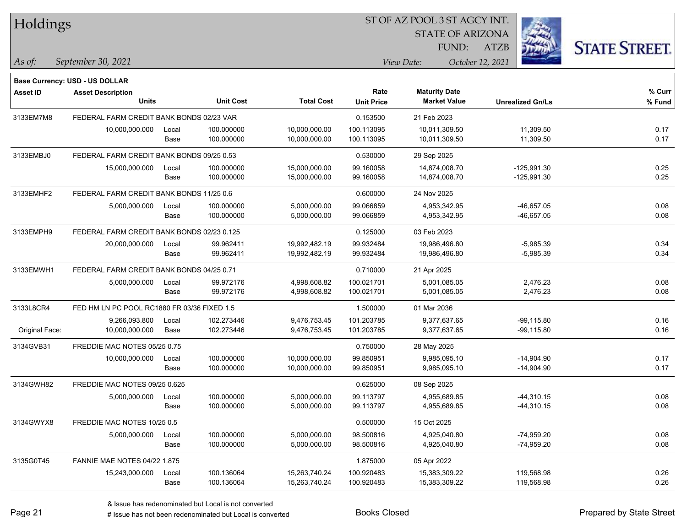| Holdings        |                                             |       |                  |                   |                   | ST OF AZ POOL 3 ST AGCY INT. |                  |                         |                      |
|-----------------|---------------------------------------------|-------|------------------|-------------------|-------------------|------------------------------|------------------|-------------------------|----------------------|
|                 |                                             |       |                  |                   |                   | <b>STATE OF ARIZONA</b>      |                  |                         |                      |
|                 |                                             |       |                  |                   |                   | <b>FUND:</b>                 | <b>ATZB</b>      |                         | <b>STATE STREET.</b> |
| As of:          | September 30, 2021                          |       |                  |                   |                   | View Date:                   | October 12, 2021 |                         |                      |
|                 | <b>Base Currency: USD - US DOLLAR</b>       |       |                  |                   |                   |                              |                  |                         |                      |
| <b>Asset ID</b> | <b>Asset Description</b>                    |       |                  |                   | Rate              | <b>Maturity Date</b>         |                  |                         | % Curr               |
|                 | <b>Units</b>                                |       | <b>Unit Cost</b> | <b>Total Cost</b> | <b>Unit Price</b> | <b>Market Value</b>          |                  | <b>Unrealized Gn/Ls</b> | % Fund               |
| 3133EM7M8       | FEDERAL FARM CREDIT BANK BONDS 02/23 VAR    |       |                  |                   | 0.153500          | 21 Feb 2023                  |                  |                         |                      |
|                 | 10,000,000.000                              | Local | 100.000000       | 10,000,000.00     | 100.113095        | 10,011,309.50                |                  | 11,309.50               | 0.17                 |
|                 |                                             | Base  | 100.000000       | 10,000,000.00     | 100.113095        | 10,011,309.50                |                  | 11,309.50               | 0.17                 |
| 3133EMBJ0       | FEDERAL FARM CREDIT BANK BONDS 09/25 0.53   |       |                  |                   | 0.530000          | 29 Sep 2025                  |                  |                         |                      |
|                 | 15,000,000.000                              | Local | 100.000000       | 15,000,000.00     | 99.160058         | 14,874,008.70                |                  | $-125,991.30$           | 0.25                 |
|                 |                                             | Base  | 100.000000       | 15,000,000.00     | 99.160058         | 14,874,008.70                |                  | $-125,991.30$           | 0.25                 |
| 3133EMHF2       | FEDERAL FARM CREDIT BANK BONDS 11/25 0.6    |       |                  |                   | 0.600000          | 24 Nov 2025                  |                  |                         |                      |
|                 | 5,000,000.000                               | Local | 100.000000       | 5,000,000.00      | 99.066859         | 4,953,342.95                 |                  | -46,657.05              | 0.08                 |
|                 |                                             | Base  | 100.000000       | 5,000,000.00      | 99.066859         | 4,953,342.95                 |                  | -46,657.05              | 0.08                 |
| 3133EMPH9       | FEDERAL FARM CREDIT BANK BONDS 02/23 0.125  |       |                  |                   | 0.125000          | 03 Feb 2023                  |                  |                         |                      |
|                 | 20,000,000.000                              | Local | 99.962411        | 19,992,482.19     | 99.932484         | 19,986,496.80                |                  | $-5,985.39$             | 0.34                 |
|                 |                                             | Base  | 99.962411        | 19,992,482.19     | 99.932484         | 19,986,496.80                |                  | $-5,985.39$             | 0.34                 |
| 3133EMWH1       | FEDERAL FARM CREDIT BANK BONDS 04/25 0.71   |       |                  |                   | 0.710000          | 21 Apr 2025                  |                  |                         |                      |
|                 | 5,000,000.000                               | Local | 99.972176        | 4,998,608.82      | 100.021701        | 5,001,085.05                 |                  | 2,476.23                | 0.08                 |
|                 |                                             | Base  | 99.972176        | 4,998,608.82      | 100.021701        | 5,001,085.05                 |                  | 2,476.23                | 0.08                 |
| 3133L8CR4       | FED HM LN PC POOL RC1880 FR 03/36 FIXED 1.5 |       |                  |                   | 1.500000          | 01 Mar 2036                  |                  |                         |                      |
|                 | 9,266,093.800                               | Local | 102.273446       | 9,476,753.45      | 101.203785        | 9,377,637.65                 |                  | -99,115.80              | 0.16                 |
| Original Face:  | 10,000,000.000                              | Base  | 102.273446       | 9,476,753.45      | 101.203785        | 9,377,637.65                 |                  | -99,115.80              | 0.16                 |
| 3134GVB31       | FREDDIE MAC NOTES 05/25 0.75                |       |                  |                   | 0.750000          | 28 May 2025                  |                  |                         |                      |
|                 | 10,000,000.000                              | Local | 100.000000       | 10,000,000.00     | 99.850951         | 9,985,095.10                 |                  | $-14,904.90$            | 0.17                 |
|                 |                                             | Base  | 100.000000       | 10,000,000.00     | 99.850951         | 9,985,095.10                 |                  | $-14,904.90$            | 0.17                 |
| 3134GWH82       | FREDDIE MAC NOTES 09/25 0.625               |       |                  |                   | 0.625000          | 08 Sep 2025                  |                  |                         |                      |
|                 | 5,000,000.000                               | Local | 100.000000       | 5,000,000.00      | 99.113797         | 4,955,689.85                 |                  | $-44,310.15$            | 0.08                 |
|                 |                                             | Base  | 100.000000       | 5,000,000.00      | 99.113797         | 4,955,689.85                 |                  | $-44,310.15$            | 0.08                 |
| 3134GWYX8       | FREDDIE MAC NOTES 10/25 0.5                 |       |                  |                   | 0.500000          | 15 Oct 2025                  |                  |                         |                      |
|                 | 5,000,000.000                               | Local | 100.000000       | 5,000,000.00      | 98.500816         | 4,925,040.80                 |                  | $-74,959.20$            | 0.08                 |
|                 |                                             | Base  | 100.000000       | 5,000,000.00      | 98.500816         | 4,925,040.80                 |                  | $-74,959.20$            | 0.08                 |
| 3135G0T45       | FANNIE MAE NOTES 04/22 1.875                |       |                  |                   | 1.875000          | 05 Apr 2022                  |                  |                         |                      |
|                 | 15,243,000.000                              | Local | 100.136064       | 15,263,740.24     | 100.920483        | 15,383,309.22                |                  | 119,568.98              | 0.26                 |
|                 |                                             | Base  | 100.136064       | 15,263,740.24     | 100.920483        | 15,383,309.22                |                  | 119,568.98              | 0.26                 |

 $\overline{\phantom{0}}$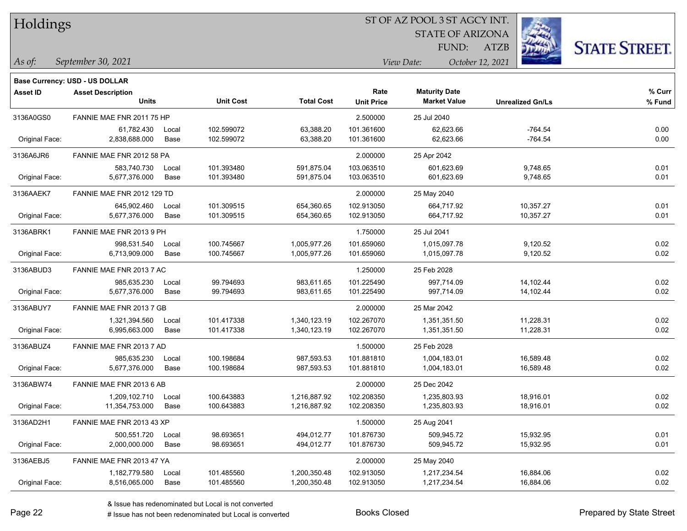| Holdings |
|----------|
|          |

STATE OF ARIZONA

ATZB



*September 30, 2021 As of: View Date: October 12, 2021*

**Base Currency: USD - US DOLLAR**

| <b>Asset ID</b> | <b>Asset Description</b><br><b>Units</b> |                           | <b>Unit Cost</b> | <b>Total Cost</b> | Rate<br><b>Unit Price</b> | <b>Maturity Date</b><br><b>Market Value</b> | <b>Unrealized Gn/Ls</b> | % Curr<br>% Fund |
|-----------------|------------------------------------------|---------------------------|------------------|-------------------|---------------------------|---------------------------------------------|-------------------------|------------------|
| 3136A0GS0       |                                          | FANNIE MAE FNR 2011 75 HP |                  |                   | 2.500000                  | 25 Jul 2040                                 |                         |                  |
|                 | 61,782.430                               | Local                     | 102.599072       | 63,388.20         | 101.361600                | 62,623.66                                   | $-764.54$               | 0.00             |
| Original Face:  | 2,838,688.000                            | Base                      | 102.599072       | 63,388.20         | 101.361600                | 62,623.66                                   | $-764.54$               | 0.00             |
| 3136A6JR6       | FANNIE MAE FNR 2012 58 PA                |                           |                  |                   | 2.000000                  | 25 Apr 2042                                 |                         |                  |
|                 | 583,740.730                              | Local                     | 101.393480       | 591,875.04        | 103.063510                | 601,623.69                                  | 9,748.65                | 0.01             |
| Original Face:  | 5,677,376.000                            | Base                      | 101.393480       | 591,875.04        | 103.063510                | 601,623.69                                  | 9,748.65                | 0.01             |
| 3136AAEK7       | FANNIE MAE FNR 2012 129 TD               |                           |                  |                   | 2.000000                  | 25 May 2040                                 |                         |                  |
|                 | 645,902.460                              | Local                     | 101.309515       | 654,360.65        | 102.913050                | 664,717.92                                  | 10,357.27               | 0.01             |
| Original Face:  | 5,677,376.000                            | Base                      | 101.309515       | 654,360.65        | 102.913050                | 664,717.92                                  | 10,357.27               | 0.01             |
| 3136ABRK1       | FANNIE MAE FNR 2013 9 PH                 |                           |                  |                   | 1.750000                  | 25 Jul 2041                                 |                         |                  |
|                 | 998.531.540                              | Local                     | 100.745667       | 1,005,977.26      | 101.659060                | 1,015,097.78                                | 9,120.52                | 0.02             |
| Original Face:  | 6,713,909.000                            | Base                      | 100.745667       | 1,005,977.26      | 101.659060                | 1,015,097.78                                | 9,120.52                | 0.02             |
| 3136ABUD3       | FANNIE MAE FNR 2013 7 AC                 |                           |                  |                   | 1.250000                  | 25 Feb 2028                                 |                         |                  |
|                 | 985,635.230                              | Local                     | 99.794693        | 983,611.65        | 101.225490                | 997,714.09                                  | 14,102.44               | 0.02             |
| Original Face:  | 5,677,376.000                            | Base                      | 99.794693        | 983,611.65        | 101.225490                | 997,714.09                                  | 14,102.44               | 0.02             |
| 3136ABUY7       | FANNIE MAE FNR 2013 7 GB                 |                           |                  |                   | 2.000000                  | 25 Mar 2042                                 |                         |                  |
|                 | 1,321,394.560                            | Local                     | 101.417338       | 1,340,123.19      | 102.267070                | 1,351,351.50                                | 11,228.31               | 0.02             |
| Original Face:  | 6,995,663.000                            | Base                      | 101.417338       | 1,340,123.19      | 102.267070                | 1,351,351.50                                | 11,228.31               | 0.02             |
| 3136ABUZ4       | FANNIE MAE FNR 2013 7 AD                 |                           |                  |                   | 1.500000                  | 25 Feb 2028                                 |                         |                  |
|                 | 985,635.230                              | Local                     | 100.198684       | 987,593.53        | 101.881810                | 1,004,183.01                                | 16,589.48               | 0.02             |
| Original Face:  | 5,677,376.000                            | Base                      | 100.198684       | 987,593.53        | 101.881810                | 1,004,183.01                                | 16,589.48               | 0.02             |
| 3136ABW74       | FANNIE MAE FNR 2013 6 AB                 |                           |                  |                   | 2.000000                  | 25 Dec 2042                                 |                         |                  |
|                 | 1,209,102.710                            | Local                     | 100.643883       | 1,216,887.92      | 102.208350                | 1,235,803.93                                | 18,916.01               | 0.02             |
| Original Face:  | 11,354,753.000                           | Base                      | 100.643883       | 1,216,887.92      | 102.208350                | 1,235,803.93                                | 18,916.01               | 0.02             |
| 3136AD2H1       | FANNIE MAE FNR 2013 43 XP                |                           |                  |                   | 1.500000                  | 25 Aug 2041                                 |                         |                  |
|                 | 500,551.720                              | Local                     | 98.693651        | 494,012.77        | 101.876730                | 509,945.72                                  | 15,932.95               | 0.01             |
| Original Face:  | 2,000,000.000                            | Base                      | 98.693651        | 494,012.77        | 101.876730                | 509,945.72                                  | 15,932.95               | 0.01             |
| 3136AEBJ5       | FANNIE MAE FNR 2013 47 YA                |                           |                  |                   | 2.000000                  | 25 May 2040                                 |                         |                  |
|                 | 1,182,779.580                            | Local                     | 101.485560       | 1,200,350.48      | 102.913050                | 1,217,234.54                                | 16,884.06               | 0.02             |
| Original Face:  | 8,516,065.000                            | Base                      | 101.485560       | 1,200,350.48      | 102.913050                | 1,217,234.54                                | 16,884.06               | 0.02             |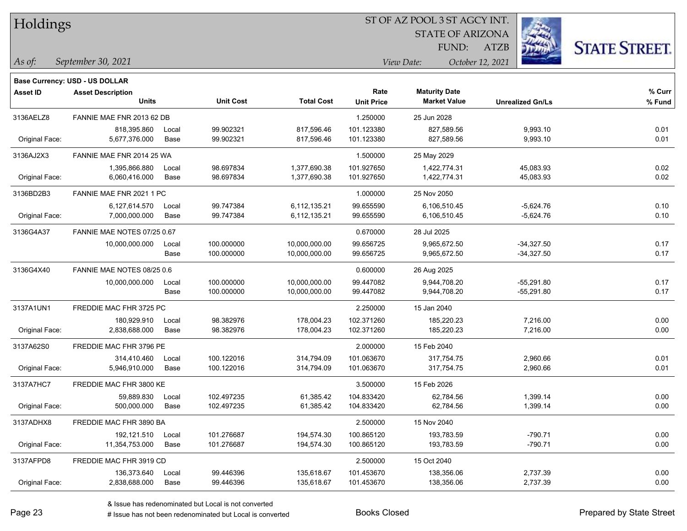| Holdings |  |
|----------|--|
|----------|--|

STATE OF ARIZONA

ATZB



**Base Currency: USD - US DOLLAR**

*September 30, 2021 As of: View Date: October 12, 2021* FUND:

| Asset ID       | <b>Asset Description</b>    |       |                  |                   | Rate              | <b>Maturity Date</b> |                         | % Curr |
|----------------|-----------------------------|-------|------------------|-------------------|-------------------|----------------------|-------------------------|--------|
|                | <b>Units</b>                |       | <b>Unit Cost</b> | <b>Total Cost</b> | <b>Unit Price</b> | <b>Market Value</b>  | <b>Unrealized Gn/Ls</b> | % Fund |
| 3136AELZ8      | FANNIE MAE FNR 2013 62 DB   |       |                  |                   | 1.250000          | 25 Jun 2028          |                         |        |
|                | 818,395.860                 | Local | 99.902321        | 817,596.46        | 101.123380        | 827,589.56           | 9,993.10                | 0.01   |
| Original Face: | 5,677,376.000               | Base  | 99.902321        | 817,596.46        | 101.123380        | 827,589.56           | 9,993.10                | 0.01   |
| 3136AJ2X3      | FANNIE MAE FNR 2014 25 WA   |       |                  |                   | 1.500000          | 25 May 2029          |                         |        |
|                | 1,395,866.880               | Local | 98.697834        | 1,377,690.38      | 101.927650        | 1,422,774.31         | 45,083.93               | 0.02   |
| Original Face: | 6,060,416.000               | Base  | 98.697834        | 1,377,690.38      | 101.927650        | 1,422,774.31         | 45,083.93               | 0.02   |
| 3136BD2B3      | FANNIE MAE FNR 2021 1 PC    |       |                  |                   | 1.000000          | 25 Nov 2050          |                         |        |
|                | 6,127,614.570               | Local | 99.747384        | 6,112,135.21      | 99.655590         | 6,106,510.45         | $-5,624.76$             | 0.10   |
| Original Face: | 7,000,000.000               | Base  | 99.747384        | 6,112,135.21      | 99.655590         | 6,106,510.45         | $-5,624.76$             | 0.10   |
| 3136G4A37      | FANNIE MAE NOTES 07/25 0.67 |       |                  |                   | 0.670000          | 28 Jul 2025          |                         |        |
|                | 10,000,000.000              | Local | 100.000000       | 10,000,000.00     | 99.656725         | 9,965,672.50         | $-34,327.50$            | 0.17   |
|                |                             | Base  | 100.000000       | 10,000,000.00     | 99.656725         | 9,965,672.50         | $-34,327.50$            | 0.17   |
| 3136G4X40      | FANNIE MAE NOTES 08/25 0.6  |       |                  |                   | 0.600000          | 26 Aug 2025          |                         |        |
|                | 10,000,000.000              | Local | 100.000000       | 10,000,000.00     | 99.447082         | 9,944,708.20         | $-55,291.80$            | 0.17   |
|                |                             | Base  | 100.000000       | 10,000,000.00     | 99.447082         | 9,944,708.20         | $-55,291.80$            | 0.17   |
| 3137A1UN1      | FREDDIE MAC FHR 3725 PC     |       |                  |                   | 2.250000          | 15 Jan 2040          |                         |        |
|                | 180,929.910                 | Local | 98.382976        | 178,004.23        | 102.371260        | 185,220.23           | 7,216.00                | 0.00   |
| Original Face: | 2,838,688.000               | Base  | 98.382976        | 178,004.23        | 102.371260        | 185,220.23           | 7,216.00                | 0.00   |
| 3137A62S0      | FREDDIE MAC FHR 3796 PE     |       |                  |                   | 2.000000          | 15 Feb 2040          |                         |        |
|                | 314,410.460                 | Local | 100.122016       | 314,794.09        | 101.063670        | 317,754.75           | 2,960.66                | 0.01   |
| Original Face: | 5,946,910.000               | Base  | 100.122016       | 314,794.09        | 101.063670        | 317,754.75           | 2,960.66                | 0.01   |
| 3137A7HC7      | FREDDIE MAC FHR 3800 KE     |       |                  |                   | 3.500000          | 15 Feb 2026          |                         |        |
|                | 59.889.830                  | Local | 102.497235       | 61,385.42         | 104.833420        | 62,784.56            | 1,399.14                | 0.00   |
| Original Face: | 500,000.000                 | Base  | 102.497235       | 61,385.42         | 104.833420        | 62,784.56            | 1,399.14                | 0.00   |
| 3137ADHX8      | FREDDIE MAC FHR 3890 BA     |       |                  |                   | 2.500000          | 15 Nov 2040          |                         |        |
|                | 192,121.510                 | Local | 101.276687       | 194,574.30        | 100.865120        | 193,783.59           | $-790.71$               | 0.00   |
| Original Face: | 11,354,753.000              | Base  | 101.276687       | 194,574.30        | 100.865120        | 193,783.59           | $-790.71$               | 0.00   |
| 3137AFPD8      | FREDDIE MAC FHR 3919 CD     |       |                  |                   | 2.500000          | 15 Oct 2040          |                         |        |
|                | 136,373.640                 | Local | 99.446396        | 135,618.67        | 101.453670        | 138,356.06           | 2,737.39                | 0.00   |
| Original Face: | 2.838.688.000               | Base  | 99.446396        | 135,618.67        | 101.453670        | 138,356.06           | 2,737.39                | 0.00   |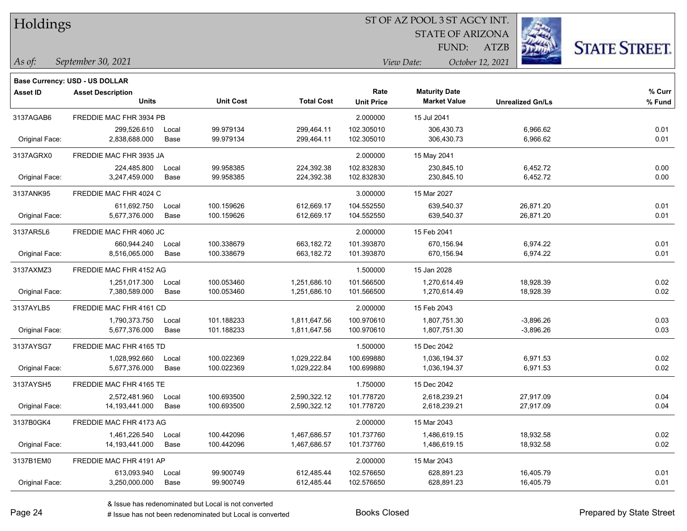| Holdings |
|----------|
|          |

STATE OF ARIZONA

ATZB



*September 30, 2021 As of: View Date: October 12, 2021*

**Base Currency: USD - US DOLLAR**

| Asset ID       | <b>Asset Description</b><br><b>Units</b> |       | <b>Unit Cost</b> | <b>Total Cost</b> | Rate<br><b>Unit Price</b> | <b>Maturity Date</b><br><b>Market Value</b> | <b>Unrealized Gn/Ls</b> | % Curr<br>% Fund |
|----------------|------------------------------------------|-------|------------------|-------------------|---------------------------|---------------------------------------------|-------------------------|------------------|
|                |                                          |       |                  |                   |                           |                                             |                         |                  |
| 3137AGAB6      | FREDDIE MAC FHR 3934 PB                  |       |                  |                   | 2.000000                  | 15 Jul 2041                                 |                         |                  |
|                | 299,526.610                              | Local | 99.979134        | 299,464.11        | 102.305010                | 306,430.73                                  | 6,966.62                | 0.01             |
| Original Face: | 2,838,688.000                            | Base  | 99.979134        | 299,464.11        | 102.305010                | 306,430.73                                  | 6,966.62                | 0.01             |
| 3137AGRX0      | FREDDIE MAC FHR 3935 JA                  |       |                  |                   | 2.000000                  | 15 May 2041                                 |                         |                  |
|                | 224,485.800                              | Local | 99.958385        | 224,392.38        | 102.832830                | 230,845.10                                  | 6,452.72                | 0.00             |
| Original Face: | 3,247,459.000                            | Base  | 99.958385        | 224,392.38        | 102.832830                | 230,845.10                                  | 6,452.72                | 0.00             |
| 3137ANK95      | FREDDIE MAC FHR 4024 C                   |       |                  |                   | 3.000000                  | 15 Mar 2027                                 |                         |                  |
|                | 611,692.750                              | Local | 100.159626       | 612,669.17        | 104.552550                | 639,540.37                                  | 26,871.20               | 0.01             |
| Original Face: | 5,677,376.000                            | Base  | 100.159626       | 612,669.17        | 104.552550                | 639,540.37                                  | 26,871.20               | 0.01             |
| 3137AR5L6      | FREDDIE MAC FHR 4060 JC                  |       |                  |                   | 2.000000                  | 15 Feb 2041                                 |                         |                  |
|                | 660,944.240                              | Local | 100.338679       | 663,182.72        | 101.393870                | 670,156.94                                  | 6,974.22                | 0.01             |
| Original Face: | 8,516,065.000                            | Base  | 100.338679       | 663,182.72        | 101.393870                | 670,156.94                                  | 6,974.22                | 0.01             |
| 3137AXMZ3      | FREDDIE MAC FHR 4152 AG                  |       |                  |                   | 1.500000                  | 15 Jan 2028                                 |                         |                  |
|                | 1,251,017.300                            | Local | 100.053460       | 1,251,686.10      | 101.566500                | 1,270,614.49                                | 18,928.39               | 0.02             |
| Original Face: | 7,380,589.000                            | Base  | 100.053460       | 1,251,686.10      | 101.566500                | 1,270,614.49                                | 18,928.39               | 0.02             |
| 3137AYLB5      | FREDDIE MAC FHR 4161 CD                  |       |                  |                   | 2.000000                  | 15 Feb 2043                                 |                         |                  |
|                | 1,790,373.750                            | Local | 101.188233       | 1,811,647.56      | 100.970610                | 1,807,751.30                                | $-3,896.26$             | 0.03             |
| Original Face: | 5,677,376.000                            | Base  | 101.188233       | 1,811,647.56      | 100.970610                | 1,807,751.30                                | $-3,896.26$             | 0.03             |
| 3137AYSG7      | FREDDIE MAC FHR 4165 TD                  |       |                  |                   | 1.500000                  | 15 Dec 2042                                 |                         |                  |
|                | 1,028,992.660                            | Local | 100.022369       | 1,029,222.84      | 100.699880                | 1,036,194.37                                | 6,971.53                | 0.02             |
| Original Face: | 5,677,376.000                            | Base  | 100.022369       | 1,029,222.84      | 100.699880                | 1,036,194.37                                | 6,971.53                | 0.02             |
| 3137AYSH5      | FREDDIE MAC FHR 4165 TE                  |       |                  |                   | 1.750000                  | 15 Dec 2042                                 |                         |                  |
|                | 2,572,481.960                            | Local | 100.693500       | 2,590,322.12      | 101.778720                | 2,618,239.21                                | 27,917.09               | 0.04             |
| Original Face: | 14,193,441.000                           | Base  | 100.693500       | 2,590,322.12      | 101.778720                | 2,618,239.21                                | 27,917.09               | 0.04             |
| 3137B0GK4      | FREDDIE MAC FHR 4173 AG                  |       |                  |                   | 2.000000                  | 15 Mar 2043                                 |                         |                  |
|                | 1,461,226.540                            | Local | 100.442096       | 1,467,686.57      | 101.737760                | 1,486,619.15                                | 18,932.58               | 0.02             |
| Original Face: | 14,193,441.000                           | Base  | 100.442096       | 1,467,686.57      | 101.737760                | 1,486,619.15                                | 18,932.58               | 0.02             |
| 3137B1EM0      | FREDDIE MAC FHR 4191 AP                  |       |                  |                   | 2.000000                  | 15 Mar 2043                                 |                         |                  |
|                | 613,093.940                              | Local | 99.900749        | 612,485.44        | 102.576650                | 628,891.23                                  | 16,405.79               | 0.01             |
| Original Face: | 3,250,000.000                            | Base  | 99.900749        | 612,485.44        | 102.576650                | 628,891.23                                  | 16,405.79               | 0.01             |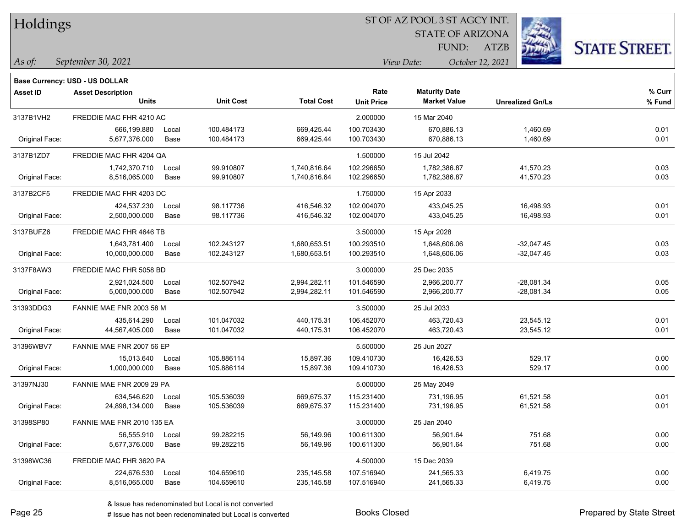| Holdings |
|----------|
|          |

STATE OF ARIZONA

ATZB



*September 30, 2021 As of: View Date: October 12, 2021*

**Base Currency: USD - US DOLLAR**

| Asset ID       | <b>Asset Description</b><br><b>Units</b> |       | <b>Unit Cost</b> | <b>Total Cost</b> | Rate<br><b>Unit Price</b> | <b>Maturity Date</b><br><b>Market Value</b> | <b>Unrealized Gn/Ls</b> | % Curr<br>% Fund |
|----------------|------------------------------------------|-------|------------------|-------------------|---------------------------|---------------------------------------------|-------------------------|------------------|
|                |                                          |       |                  |                   |                           |                                             |                         |                  |
| 3137B1VH2      | FREDDIE MAC FHR 4210 AC                  |       |                  |                   | 2.000000                  | 15 Mar 2040                                 |                         |                  |
|                | 666,199.880                              | Local | 100.484173       | 669,425.44        | 100.703430                | 670,886.13                                  | 1,460.69                | 0.01             |
| Original Face: | 5,677,376.000                            | Base  | 100.484173       | 669,425.44        | 100.703430                | 670,886.13                                  | 1,460.69                | 0.01             |
| 3137B1ZD7      | FREDDIE MAC FHR 4204 QA                  |       |                  |                   | 1.500000                  | 15 Jul 2042                                 |                         |                  |
|                | 1,742,370.710                            | Local | 99.910807        | 1,740,816.64      | 102.296650                | 1,782,386.87                                | 41,570.23               | 0.03             |
| Original Face: | 8,516,065.000                            | Base  | 99.910807        | 1,740,816.64      | 102.296650                | 1,782,386.87                                | 41,570.23               | 0.03             |
| 3137B2CF5      | FREDDIE MAC FHR 4203 DC                  |       |                  |                   | 1.750000                  | 15 Apr 2033                                 |                         |                  |
|                | 424,537.230                              | Local | 98.117736        | 416,546.32        | 102.004070                | 433,045.25                                  | 16,498.93               | 0.01             |
| Original Face: | 2,500,000.000                            | Base  | 98.117736        | 416,546.32        | 102.004070                | 433,045.25                                  | 16,498.93               | 0.01             |
| 3137BUFZ6      | FREDDIE MAC FHR 4646 TB                  |       |                  |                   | 3.500000                  | 15 Apr 2028                                 |                         |                  |
|                | 1,643,781.400                            | Local | 102.243127       | 1,680,653.51      | 100.293510                | 1,648,606.06                                | $-32,047.45$            | 0.03             |
| Original Face: | 10,000,000.000                           | Base  | 102.243127       | 1,680,653.51      | 100.293510                | 1,648,606.06                                | $-32,047.45$            | 0.03             |
| 3137F8AW3      | FREDDIE MAC FHR 5058 BD                  |       |                  |                   | 3.000000                  | 25 Dec 2035                                 |                         |                  |
|                | 2,921,024.500                            | Local | 102.507942       | 2,994,282.11      | 101.546590                | 2,966,200.77                                | $-28,081.34$            | 0.05             |
| Original Face: | 5,000,000.000                            | Base  | 102.507942       | 2,994,282.11      | 101.546590                | 2,966,200.77                                | $-28,081.34$            | 0.05             |
| 31393DDG3      | FANNIE MAE FNR 2003 58 M                 |       |                  |                   | 3.500000                  | 25 Jul 2033                                 |                         |                  |
|                | 435,614.290                              | Local | 101.047032       | 440,175.31        | 106.452070                | 463,720.43                                  | 23,545.12               | 0.01             |
| Original Face: | 44,567,405.000                           | Base  | 101.047032       | 440,175.31        | 106.452070                | 463,720.43                                  | 23,545.12               | 0.01             |
| 31396WBV7      | FANNIE MAE FNR 2007 56 EP                |       |                  |                   | 5.500000                  | 25 Jun 2027                                 |                         |                  |
|                | 15,013.640                               | Local | 105.886114       | 15,897.36         | 109.410730                | 16,426.53                                   | 529.17                  | 0.00             |
| Original Face: | 1,000,000.000                            | Base  | 105.886114       | 15,897.36         | 109.410730                | 16,426.53                                   | 529.17                  | 0.00             |
| 31397NJ30      | FANNIE MAE FNR 2009 29 PA                |       |                  |                   | 5.000000                  | 25 May 2049                                 |                         |                  |
|                | 634,546.620                              | Local | 105.536039       | 669,675.37        | 115.231400                | 731,196.95                                  | 61,521.58               | 0.01             |
| Original Face: | 24,898,134.000                           | Base  | 105.536039       | 669,675.37        | 115.231400                | 731,196.95                                  | 61,521.58               | 0.01             |
| 31398SP80      | FANNIE MAE FNR 2010 135 EA               |       |                  |                   | 3.000000                  | 25 Jan 2040                                 |                         |                  |
|                | 56,555.910                               | Local | 99.282215        | 56,149.96         | 100.611300                | 56,901.64                                   | 751.68                  | 0.00             |
| Original Face: | 5,677,376.000                            | Base  | 99.282215        | 56,149.96         | 100.611300                | 56,901.64                                   | 751.68                  | 0.00             |
| 31398WC36      | FREDDIE MAC FHR 3620 PA                  |       |                  |                   | 4.500000                  | 15 Dec 2039                                 |                         |                  |
|                | 224,676.530                              | Local | 104.659610       | 235, 145.58       | 107.516940                | 241,565.33                                  | 6,419.75                | 0.00             |
| Original Face: | 8,516,065.000                            | Base  | 104.659610       | 235,145.58        | 107.516940                | 241,565.33                                  | 6,419.75                | 0.00             |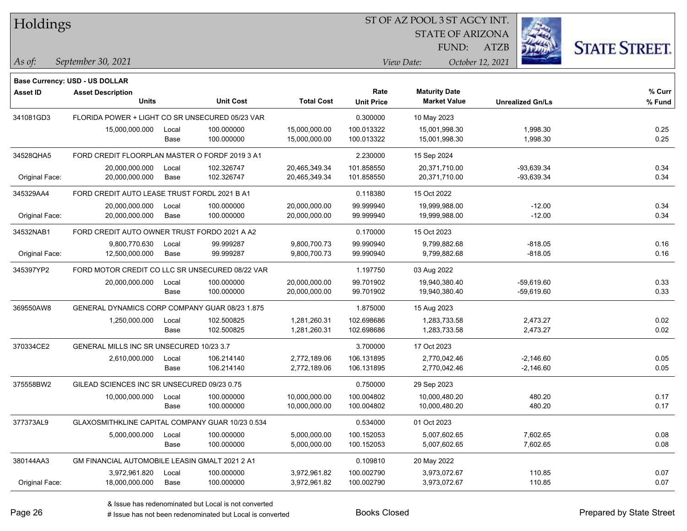Holdings

### ST OF AZ POOL 3 ST AGCY INT.

STATE OF ARIZONA

ATZB



*September 30, 2021 As of: View Date: October 12, 2021*

**Base Currency: USD - US DOLLAR**

| <b>Asset ID</b> | <b>Asset Description</b><br><b>Units</b>         |               | <b>Unit Cost</b>         | <b>Total Cost</b>              | Rate<br><b>Unit Price</b> | <b>Maturity Date</b><br><b>Market Value</b> | <b>Unrealized Gn/Ls</b> | $%$ Curr<br>% Fund |
|-----------------|--------------------------------------------------|---------------|--------------------------|--------------------------------|---------------------------|---------------------------------------------|-------------------------|--------------------|
| 341081GD3       | FLORIDA POWER + LIGHT CO SR UNSECURED 05/23 VAR  |               |                          |                                | 0.300000                  | 10 May 2023                                 |                         |                    |
|                 |                                                  |               |                          |                                |                           |                                             |                         |                    |
|                 | 15,000,000.000                                   | Local<br>Base | 100.000000<br>100.000000 | 15,000,000.00<br>15,000,000.00 | 100.013322<br>100.013322  | 15,001,998.30<br>15,001,998.30              | 1,998.30<br>1,998.30    | 0.25<br>0.25       |
|                 |                                                  |               |                          |                                |                           |                                             |                         |                    |
| 34528QHA5       | FORD CREDIT FLOORPLAN MASTER O FORDF 2019 3 A1   |               |                          |                                | 2.230000                  | 15 Sep 2024                                 |                         |                    |
|                 | 20,000,000.000                                   | Local         | 102.326747               | 20,465,349.34                  | 101.858550                | 20,371,710.00                               | -93,639.34              | 0.34               |
| Original Face:  | 20,000,000.000                                   | Base          | 102.326747               | 20,465,349.34                  | 101.858550                | 20,371,710.00                               | -93,639.34              | 0.34               |
| 345329AA4       | FORD CREDIT AUTO LEASE TRUST FORDL 2021 B A1     |               |                          |                                | 0.118380                  | 15 Oct 2022                                 |                         |                    |
|                 | 20,000,000.000                                   | Local         | 100.000000               | 20,000,000.00                  | 99.999940                 | 19,999,988.00                               | $-12.00$                | 0.34               |
| Original Face:  | 20,000,000.000                                   | Base          | 100.000000               | 20,000,000.00                  | 99.999940                 | 19,999,988.00                               | $-12.00$                | 0.34               |
| 34532NAB1       | FORD CREDIT AUTO OWNER TRUST FORDO 2021 A A2     |               |                          |                                | 0.170000                  | 15 Oct 2023                                 |                         |                    |
|                 | 9,800,770.630                                    | Local         | 99.999287                | 9,800,700.73                   | 99.990940                 | 9,799,882.68                                | $-818.05$               | 0.16               |
| Original Face:  | 12,500,000.000                                   | Base          | 99.999287                | 9,800,700.73                   | 99.990940                 | 9,799,882.68                                | $-818.05$               | 0.16               |
| 345397YP2       | FORD MOTOR CREDIT CO LLC SR UNSECURED 08/22 VAR  |               |                          |                                | 1.197750                  | 03 Aug 2022                                 |                         |                    |
|                 | 20,000,000.000                                   | Local         | 100.000000               | 20,000,000.00                  | 99.701902                 | 19,940,380.40                               | $-59,619.60$            | 0.33               |
|                 |                                                  | Base          | 100.000000               | 20,000,000.00                  | 99.701902                 | 19,940,380.40                               | $-59,619.60$            | 0.33               |
| 369550AW8       | GENERAL DYNAMICS CORP COMPANY GUAR 08/23 1.875   |               |                          | 1.875000                       | 15 Aug 2023               |                                             |                         |                    |
|                 | 1,250,000.000                                    | Local         | 102.500825               | 1,281,260.31                   | 102.698686                | 1,283,733.58                                | 2,473.27                | 0.02               |
|                 |                                                  | Base          | 102.500825               | 1,281,260.31                   | 102.698686                | 1,283,733.58                                | 2,473.27                | 0.02               |
| 370334CE2       | GENERAL MILLS INC SR UNSECURED 10/23 3.7         |               |                          |                                | 3.700000                  | 17 Oct 2023                                 |                         |                    |
|                 | 2,610,000.000                                    | Local         | 106.214140               | 2,772,189.06                   | 106.131895                | 2.770.042.46                                | $-2,146.60$             | 0.05               |
|                 |                                                  | Base          | 106.214140               | 2,772,189.06                   | 106.131895                | 2,770,042.46                                | $-2,146.60$             | 0.05               |
| 375558BW2       | GILEAD SCIENCES INC SR UNSECURED 09/23 0.75      |               |                          |                                | 0.750000                  | 29 Sep 2023                                 |                         |                    |
|                 | 10,000,000.000                                   | Local         | 100.000000               | 10,000,000.00                  | 100.004802                | 10,000,480.20                               | 480.20                  | 0.17               |
|                 |                                                  | Base          | 100.000000               | 10,000,000.00                  | 100.004802                | 10,000,480.20                               | 480.20                  | 0.17               |
| 377373AL9       | GLAXOSMITHKLINE CAPITAL COMPANY GUAR 10/23 0.534 |               |                          |                                | 0.534000                  | 01 Oct 2023                                 |                         |                    |
|                 | 5,000,000.000                                    | Local         | 100.000000               | 5,000,000.00                   | 100.152053                | 5,007,602.65                                | 7,602.65                | 0.08               |
|                 |                                                  | Base          | 100.000000               | 5,000,000.00                   | 100.152053                | 5,007,602.65                                | 7,602.65                | 0.08               |
| 380144AA3       | GM FINANCIAL AUTOMOBILE LEASIN GMALT 2021 2 A1   |               |                          |                                | 0.109810                  | 20 May 2022                                 |                         |                    |
|                 | 3,972,961.820                                    | Local         | 100.000000               | 3,972,961.82                   | 100.002790                | 3,973,072.67                                | 110.85                  | 0.07               |
| Original Face:  | 18,000,000.000                                   | Base          | 100.000000               | 3,972,961.82                   | 100.002790                | 3,973,072.67                                | 110.85                  | 0.07               |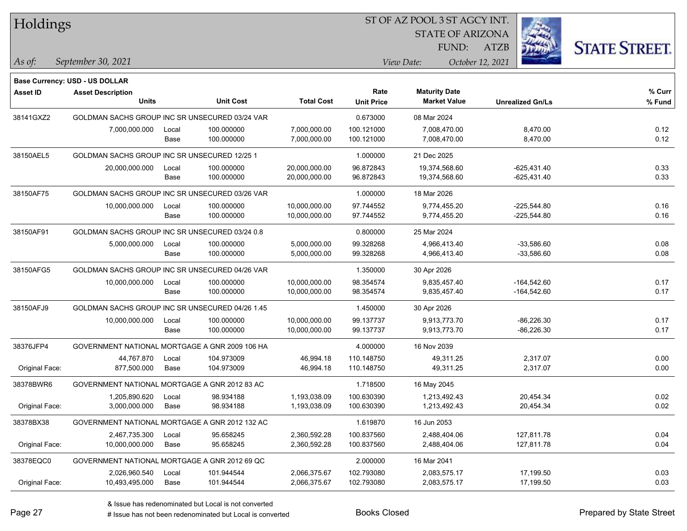| Holdings        |                                                 |       |                  |                   | ST OF AZ POOL 3 ST AGCY INT. |                         |                         |                      |  |
|-----------------|-------------------------------------------------|-------|------------------|-------------------|------------------------------|-------------------------|-------------------------|----------------------|--|
|                 |                                                 |       |                  |                   |                              | <b>STATE OF ARIZONA</b> |                         |                      |  |
|                 |                                                 |       |                  |                   |                              | FUND:                   | <b>ATZB</b>             | <b>STATE STREET.</b> |  |
| As of:          | September 30, 2021                              |       |                  |                   |                              | View Date:              | October 12, 2021        |                      |  |
|                 | <b>Base Currency: USD - US DOLLAR</b>           |       |                  |                   |                              |                         |                         |                      |  |
| <b>Asset ID</b> | <b>Asset Description</b>                        |       |                  |                   | Rate                         | <b>Maturity Date</b>    |                         | % Curr               |  |
|                 | <b>Units</b>                                    |       | <b>Unit Cost</b> | <b>Total Cost</b> | <b>Unit Price</b>            | <b>Market Value</b>     | <b>Unrealized Gn/Ls</b> | % Fund               |  |
| 38141GXZ2       | GOLDMAN SACHS GROUP INC SR UNSECURED 03/24 VAR  |       |                  |                   | 0.673000                     | 08 Mar 2024             |                         |                      |  |
|                 | 7,000,000.000                                   | Local | 100.000000       | 7,000,000.00      | 100.121000                   | 7,008,470.00            | 8,470.00                | 0.12                 |  |
|                 |                                                 | Base  | 100.000000       | 7,000,000.00      | 100.121000                   | 7,008,470.00            | 8,470.00                | 0.12                 |  |
| 38150AEL5       | GOLDMAN SACHS GROUP INC SR UNSECURED 12/25 1    |       |                  |                   | 1.000000                     | 21 Dec 2025             |                         |                      |  |
|                 | 20,000,000.000                                  | Local | 100.000000       | 20,000,000.00     | 96.872843                    | 19,374,568.60           | $-625,431.40$           | 0.33                 |  |
|                 |                                                 | Base  | 100.000000       | 20,000,000.00     | 96.872843                    | 19,374,568.60           | $-625,431.40$           | 0.33                 |  |
| 38150AF75       | GOLDMAN SACHS GROUP INC SR UNSECURED 03/26 VAR  |       |                  |                   | 1.000000                     | 18 Mar 2026             |                         |                      |  |
|                 | 10,000,000.000                                  | Local | 100.000000       | 10,000,000.00     | 97.744552                    | 9.774.455.20            | $-225,544.80$           | 0.16                 |  |
|                 |                                                 | Base  | 100.000000       | 10,000,000.00     | 97.744552                    | 9,774,455.20            | $-225,544.80$           | 0.16                 |  |
| 38150AF91       | GOLDMAN SACHS GROUP INC SR UNSECURED 03/24 0.8  |       |                  |                   | 0.800000                     | 25 Mar 2024             |                         |                      |  |
|                 | 5,000,000.000                                   | Local | 100.000000       | 5,000,000.00      | 99.328268                    | 4,966,413.40            | $-33,586.60$            | 0.08                 |  |
|                 |                                                 | Base  | 100.000000       | 5,000,000.00      | 99.328268                    | 4,966,413.40            | $-33,586.60$            | 0.08                 |  |
| 38150AFG5       | GOLDMAN SACHS GROUP INC SR UNSECURED 04/26 VAR  |       |                  |                   | 1.350000                     | 30 Apr 2026             |                         |                      |  |
|                 | 10,000,000.000                                  | Local | 100.000000       | 10,000,000.00     | 98.354574                    | 9,835,457.40            | $-164,542.60$           | 0.17                 |  |
|                 |                                                 | Base  | 100.000000       | 10,000,000.00     | 98.354574                    | 9,835,457.40            | $-164,542.60$           | 0.17                 |  |
| 38150AFJ9       | GOLDMAN SACHS GROUP INC SR UNSECURED 04/26 1.45 |       |                  |                   | 1.450000                     | 30 Apr 2026             |                         |                      |  |
|                 | 10,000,000.000                                  | Local | 100.000000       | 10,000,000.00     | 99.137737                    | 9,913,773.70            | $-86,226.30$            | 0.17                 |  |
|                 |                                                 | Base  | 100.000000       | 10,000,000.00     | 99.137737                    | 9,913,773.70            | $-86,226.30$            | 0.17                 |  |
| 38376JFP4       | GOVERNMENT NATIONAL MORTGAGE A GNR 2009 106 HA  |       |                  |                   | 4.000000                     | 16 Nov 2039             |                         |                      |  |
|                 | 44,767.870                                      | Local | 104.973009       | 46,994.18         | 110.148750                   | 49,311.25               | 2,317.07                | 0.00                 |  |
| Original Face:  | 877,500.000                                     | Base  | 104.973009       | 46,994.18         | 110.148750                   | 49,311.25               | 2,317.07                | 0.00                 |  |
| 38378BWR6       | GOVERNMENT NATIONAL MORTGAGE A GNR 2012 83 AC   |       |                  |                   | 1.718500                     | 16 May 2045             |                         |                      |  |
|                 | 1,205,890.620                                   | Local | 98.934188        | 1,193,038.09      | 100.630390                   | 1,213,492.43            | 20,454.34               | 0.02                 |  |
| Original Face:  | 3,000,000.000                                   | Base  | 98.934188        | 1,193,038.09      | 100.630390                   | 1,213,492.43            | 20,454.34               | 0.02                 |  |
| 38378BX38       | GOVERNMENT NATIONAL MORTGAGE A GNR 2012 132 AC  |       |                  |                   | 1.619870                     | 16 Jun 2053             |                         |                      |  |
|                 | 2,467,735.300                                   | Local | 95.658245        | 2,360,592.28      | 100.837560                   | 2,488,404.06            | 127,811.78              | 0.04                 |  |
| Original Face:  | 10,000,000.000                                  | Base  | 95.658245        | 2,360,592.28      | 100.837560                   | 2,488,404.06            | 127,811.78              | 0.04                 |  |
| 38378EQC0       | GOVERNMENT NATIONAL MORTGAGE A GNR 2012 69 QC   |       |                  |                   | 2.000000                     | 16 Mar 2041             |                         |                      |  |
|                 | 2,026,960.540                                   | Local | 101.944544       | 2,066,375.67      | 102.793080                   | 2,083,575.17            | 17,199.50               | 0.03                 |  |
| Original Face:  | 10,493,495.000                                  | Base  | 101.944544       | 2,066,375.67      | 102.793080                   | 2,083,575.17            | 17,199.50               | 0.03                 |  |

 $\overline{\phantom{a}}$ 

 $\overline{\phantom{a}}$ 

 $\overline{\phantom{0}}$ 

 $\overline{\phantom{0}}$ 

 $\overline{\phantom{0}}$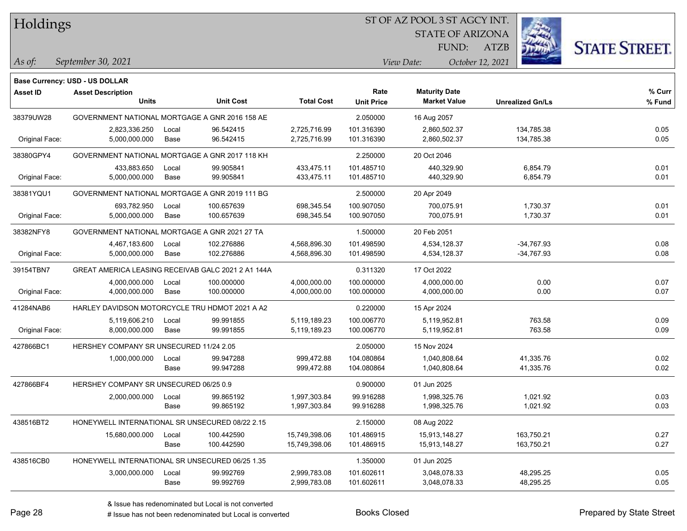Holdings

### ST OF AZ POOL 3 ST AGCY INT.

STATE OF ARIZONA

ATZB



*September 30, 2021 As of: View Date: October 12, 2021*

**Base Currency: USD - US DOLLAR**

| <b>Asset ID</b> | <b>Asset Description</b>                           |       |                  |                   | Rate              | <b>Maturity Date</b> |                         | % Curr |
|-----------------|----------------------------------------------------|-------|------------------|-------------------|-------------------|----------------------|-------------------------|--------|
|                 | <b>Units</b>                                       |       | <b>Unit Cost</b> | <b>Total Cost</b> | <b>Unit Price</b> | <b>Market Value</b>  | <b>Unrealized Gn/Ls</b> | % Fund |
| 38379UW28       | GOVERNMENT NATIONAL MORTGAGE A GNR 2016 158 AE     |       |                  |                   | 2.050000          | 16 Aug 2057          |                         |        |
|                 | 2,823,336.250                                      | Local | 96.542415        | 2,725,716.99      | 101.316390        | 2,860,502.37         | 134,785.38              | 0.05   |
| Original Face:  | 5,000,000.000                                      | Base  | 96.542415        | 2,725,716.99      | 101.316390        | 2,860,502.37         | 134,785.38              | 0.05   |
| 38380GPY4       | GOVERNMENT NATIONAL MORTGAGE A GNR 2017 118 KH     |       |                  |                   | 2.250000          | 20 Oct 2046          |                         |        |
|                 | 433,883.650                                        | Local | 99.905841        | 433,475.11        | 101.485710        | 440,329.90           | 6,854.79                | 0.01   |
| Original Face:  | 5,000,000.000                                      | Base  | 99.905841        | 433,475.11        | 101.485710        | 440,329.90           | 6,854.79                | 0.01   |
| 38381YQU1       | GOVERNMENT NATIONAL MORTGAGE A GNR 2019 111 BG     |       |                  |                   | 2.500000          | 20 Apr 2049          |                         |        |
|                 | 693,782.950                                        | Local | 100.657639       | 698,345.54        | 100.907050        | 700,075.91           | 1,730.37                | 0.01   |
| Original Face:  | 5,000,000.000                                      | Base  | 100.657639       | 698,345.54        | 100.907050        | 700,075.91           | 1,730.37                | 0.01   |
| 38382NFY8       | GOVERNMENT NATIONAL MORTGAGE A GNR 2021 27 TA      |       |                  |                   | 1.500000          | 20 Feb 2051          |                         |        |
|                 | 4,467,183.600                                      | Local | 102.276886       | 4,568,896.30      | 101.498590        | 4,534,128.37         | -34,767.93              | 0.08   |
| Original Face:  | 5,000,000.000                                      | Base  | 102.276886       | 4,568,896.30      | 101.498590        | 4,534,128.37         | $-34,767.93$            | 0.08   |
| 39154TBN7       | GREAT AMERICA LEASING RECEIVAB GALC 2021 2 A1 144A |       |                  |                   | 0.311320          | 17 Oct 2022          |                         |        |
|                 | 4,000,000.000                                      | Local | 100.000000       | 4,000,000.00      | 100.000000        | 4,000,000.00         | 0.00                    | 0.07   |
| Original Face:  | 4,000,000.000                                      | Base  | 100.000000       | 4,000,000.00      | 100.000000        | 4,000,000.00         | 0.00                    | 0.07   |
| 41284NAB6       | HARLEY DAVIDSON MOTORCYCLE TRU HDMOT 2021 A A2     |       |                  |                   | 0.220000          | 15 Apr 2024          |                         |        |
|                 | 5,119,606.210                                      | Local | 99.991855        | 5,119,189.23      | 100.006770        | 5,119,952.81         | 763.58                  | 0.09   |
| Original Face:  | 8,000,000.000                                      | Base  | 99.991855        | 5,119,189.23      | 100.006770        | 5,119,952.81         | 763.58                  | 0.09   |
| 427866BC1       | HERSHEY COMPANY SR UNSECURED 11/24 2.05            |       |                  |                   | 2.050000          | 15 Nov 2024          |                         |        |
|                 | 1,000,000.000                                      | Local | 99.947288        | 999,472.88        | 104.080864        | 1.040.808.64         | 41,335.76               | 0.02   |
|                 |                                                    | Base  | 99.947288        | 999,472.88        | 104.080864        | 1,040,808.64         | 41,335.76               | 0.02   |
| 427866BF4       | HERSHEY COMPANY SR UNSECURED 06/25 0.9             |       |                  |                   | 0.900000          | 01 Jun 2025          |                         |        |
|                 | 2,000,000.000                                      | Local | 99.865192        | 1,997,303.84      | 99.916288         | 1,998,325.76         | 1,021.92                | 0.03   |
|                 |                                                    | Base  | 99.865192        | 1,997,303.84      | 99.916288         | 1,998,325.76         | 1,021.92                | 0.03   |
| 438516BT2       | HONEYWELL INTERNATIONAL SR UNSECURED 08/22 2.15    |       |                  |                   | 2.150000          | 08 Aug 2022          |                         |        |
|                 | 15,680,000.000                                     | Local | 100.442590       | 15,749,398.06     | 101.486915        | 15,913,148.27        | 163,750.21              | 0.27   |
|                 |                                                    | Base  | 100.442590       | 15,749,398.06     | 101.486915        | 15,913,148.27        | 163,750.21              | 0.27   |
| 438516CB0       | HONEYWELL INTERNATIONAL SR UNSECURED 06/25 1.35    |       |                  |                   | 1.350000          | 01 Jun 2025          |                         |        |
|                 | 3,000,000.000                                      | Local | 99.992769        | 2,999,783.08      | 101.602611        | 3,048,078.33         | 48,295.25               | 0.05   |
|                 |                                                    | Base  | 99.992769        | 2,999,783.08      | 101.602611        | 3,048,078.33         | 48,295.25               | 0.05   |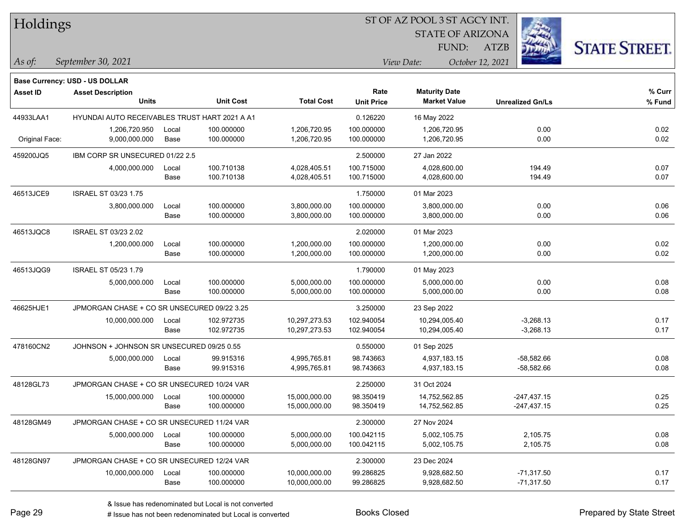| Holdings |
|----------|
|----------|

STATE OF ARIZONA

ATZB



*September 30, 2021 As of: View Date: October 12, 2021*

**Base Currency: USD - US DOLLAR**

| <b>Asset ID</b> | <b>Asset Description</b>                      |       |                  |                   | Rate              | <b>Maturity Date</b> |                         | % Curr |
|-----------------|-----------------------------------------------|-------|------------------|-------------------|-------------------|----------------------|-------------------------|--------|
|                 | <b>Units</b>                                  |       | <b>Unit Cost</b> | <b>Total Cost</b> | <b>Unit Price</b> | <b>Market Value</b>  | <b>Unrealized Gn/Ls</b> | % Fund |
| 44933LAA1       | HYUNDAI AUTO RECEIVABLES TRUST HART 2021 A A1 |       |                  |                   | 0.126220          | 16 May 2022          |                         |        |
|                 | 1,206,720.950                                 | Local | 100.000000       | 1,206,720.95      | 100.000000        | 1,206,720.95         | 0.00                    | 0.02   |
| Original Face:  | 9,000,000.000                                 | Base  | 100.000000       | 1,206,720.95      | 100.000000        | 1,206,720.95         | 0.00                    | 0.02   |
| 459200JQ5       | IBM CORP SR UNSECURED 01/22 2.5               |       |                  |                   | 2.500000          | 27 Jan 2022          |                         |        |
|                 | 4,000,000.000                                 | Local | 100.710138       | 4,028,405.51      | 100.715000        | 4,028,600.00         | 194.49                  | 0.07   |
|                 |                                               | Base  | 100.710138       | 4,028,405.51      | 100.715000        | 4,028,600.00         | 194.49                  | 0.07   |
| 46513JCE9       | <b>ISRAEL ST 03/23 1.75</b>                   |       |                  |                   | 1.750000          | 01 Mar 2023          |                         |        |
|                 | 3,800,000.000                                 | Local | 100.000000       | 3,800,000.00      | 100.000000        | 3,800,000.00         | 0.00                    | 0.06   |
|                 |                                               | Base  | 100.000000       | 3,800,000.00      | 100.000000        | 3,800,000.00         | 0.00                    | 0.06   |
| 46513JQC8       | ISRAEL ST 03/23 2.02                          |       |                  |                   | 2.020000          | 01 Mar 2023          |                         |        |
|                 | 1,200,000.000                                 | Local | 100.000000       | 1,200,000.00      | 100.000000        | 1,200,000.00         | 0.00                    | 0.02   |
|                 |                                               | Base  | 100.000000       | 1,200,000.00      | 100.000000        | 1,200,000.00         | 0.00                    | 0.02   |
| 46513JQG9       | <b>ISRAEL ST 05/23 1.79</b>                   |       |                  |                   | 1.790000          | 01 May 2023          |                         |        |
|                 | 5,000,000.000                                 | Local | 100.000000       | 5,000,000.00      | 100.000000        | 5,000,000.00         | 0.00                    | 0.08   |
|                 |                                               | Base  | 100.000000       | 5,000,000.00      | 100.000000        | 5,000,000.00         | 0.00                    | 0.08   |
| 46625HJE1       | JPMORGAN CHASE + CO SR UNSECURED 09/22 3.25   |       |                  |                   | 3.250000          | 23 Sep 2022          |                         |        |
|                 | 10,000,000.000                                | Local | 102.972735       | 10,297,273.53     | 102.940054        | 10,294,005.40        | $-3,268.13$             | 0.17   |
|                 |                                               | Base  | 102.972735       | 10,297,273.53     | 102.940054        | 10,294,005.40        | $-3,268.13$             | 0.17   |
| 478160CN2       | JOHNSON + JOHNSON SR UNSECURED 09/25 0.55     |       |                  |                   | 0.550000          | 01 Sep 2025          |                         |        |
|                 | 5,000,000.000                                 | Local | 99.915316        | 4,995,765.81      | 98.743663         | 4,937,183.15         | $-58,582.66$            | 0.08   |
|                 |                                               | Base  | 99.915316        | 4,995,765.81      | 98.743663         | 4,937,183.15         | $-58,582.66$            | 0.08   |
| 48128GL73       | JPMORGAN CHASE + CO SR UNSECURED 10/24 VAR    |       |                  |                   | 2.250000          | 31 Oct 2024          |                         |        |
|                 | 15,000,000.000                                | Local | 100.000000       | 15,000,000.00     | 98.350419         | 14,752,562.85        | $-247,437.15$           | 0.25   |
|                 |                                               | Base  | 100.000000       | 15,000,000.00     | 98.350419         | 14,752,562.85        | $-247,437.15$           | 0.25   |
| 48128GM49       | JPMORGAN CHASE + CO SR UNSECURED 11/24 VAR    |       |                  |                   | 2.300000          | 27 Nov 2024          |                         |        |
|                 | 5,000,000.000                                 | Local | 100.000000       | 5,000,000.00      | 100.042115        | 5,002,105.75         | 2,105.75                | 0.08   |
|                 |                                               | Base  | 100.000000       | 5,000,000.00      | 100.042115        | 5,002,105.75         | 2,105.75                | 0.08   |
| 48128GN97       | JPMORGAN CHASE + CO SR UNSECURED 12/24 VAR    |       |                  |                   | 2.300000          | 23 Dec 2024          |                         |        |
|                 | 10,000,000.000                                | Local | 100.000000       | 10,000,000.00     | 99.286825         | 9,928,682.50         | $-71,317.50$            | 0.17   |
|                 |                                               | Base  | 100.000000       | 10,000,000.00     | 99.286825         | 9,928,682.50         | $-71,317.50$            | 0.17   |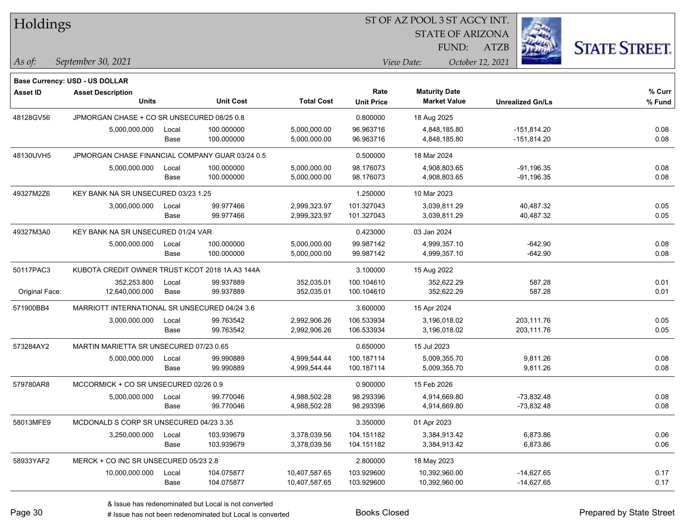| Holdings        |                                                 |       |                  |                   |                           | ST OF AZ POOL 3 ST AGCY INT.                |                         |                      |
|-----------------|-------------------------------------------------|-------|------------------|-------------------|---------------------------|---------------------------------------------|-------------------------|----------------------|
|                 |                                                 |       |                  |                   |                           | <b>STATE OF ARIZONA</b>                     |                         |                      |
|                 |                                                 |       |                  |                   |                           | FUND:                                       | <b>ATZB</b>             | <b>STATE STREET.</b> |
| $\vert$ As of:  | September 30, 2021                              |       |                  |                   |                           | View Date:                                  | October 12, 2021        |                      |
|                 |                                                 |       |                  |                   |                           |                                             |                         |                      |
|                 | Base Currency: USD - US DOLLAR                  |       |                  |                   |                           |                                             |                         |                      |
| <b>Asset ID</b> | <b>Asset Description</b><br><b>Units</b>        |       | <b>Unit Cost</b> | <b>Total Cost</b> | Rate<br><b>Unit Price</b> | <b>Maturity Date</b><br><b>Market Value</b> | <b>Unrealized Gn/Ls</b> | $%$ Curr<br>% Fund   |
| 48128GV56       | JPMORGAN CHASE + CO SR UNSECURED 08/25 0.8      |       |                  |                   | 0.800000                  | 18 Aug 2025                                 |                         |                      |
|                 | 5,000,000.000                                   | Local | 100.000000       | 5,000,000.00      | 96.963716                 | 4,848,185.80                                | $-151,814.20$           | 0.08                 |
|                 |                                                 | Base  | 100.000000       | 5,000,000.00      | 96.963716                 | 4,848,185.80                                | $-151,814.20$           | 0.08                 |
| 48130UVH5       | JPMORGAN CHASE FINANCIAL COMPANY GUAR 03/24 0.5 |       |                  |                   | 0.500000                  | 18 Mar 2024                                 |                         |                      |
|                 | 5,000,000.000                                   | Local | 100.000000       | 5,000,000.00      | 98.176073                 | 4,908,803.65                                | $-91,196.35$            | 0.08                 |
|                 |                                                 | Base  | 100.000000       | 5,000,000.00      | 98.176073                 | 4,908,803.65                                | $-91,196.35$            | 0.08                 |
| 49327M2Z6       | KEY BANK NA SR UNSECURED 03/23 1.25             |       |                  |                   | 1.250000                  | 10 Mar 2023                                 |                         |                      |
|                 | 3,000,000.000                                   | Local | 99.977466        | 2,999,323.97      | 101.327043                | 3,039,811.29                                | 40,487.32               | 0.05                 |
|                 |                                                 | Base  | 99.977466        | 2,999,323.97      | 101.327043                | 3,039,811.29                                | 40,487.32               | 0.05                 |
| 49327M3A0       | KEY BANK NA SR UNSECURED 01/24 VAR              |       |                  |                   | 0.423000                  | 03 Jan 2024                                 |                         |                      |
|                 | 5,000,000.000                                   | Local | 100.000000       | 5,000,000.00      | 99.987142                 | 4,999,357.10                                | $-642.90$               | 0.08                 |
|                 |                                                 | Base  | 100.000000       | 5,000,000.00      | 99.987142                 | 4,999,357.10                                | $-642.90$               | 0.08                 |
| 50117PAC3       | KUBOTA CREDIT OWNER TRUST KCOT 2018 1A A3 144A  |       |                  |                   | 3.100000                  | 15 Aug 2022                                 |                         |                      |
|                 | 352,253.800                                     | Local | 99.937889        | 352,035.01        | 100.104610                | 352,622.29                                  | 587.28                  | 0.01                 |
| Original Face:  | 12,640,000.000                                  | Base  | 99.937889        | 352,035.01        | 100.104610                | 352,622.29                                  | 587.28                  | 0.01                 |
| 571900BB4       | MARRIOTT INTERNATIONAL SR UNSECURED 04/24 3.6   |       |                  |                   | 3.600000                  | 15 Apr 2024                                 |                         |                      |
|                 | 3,000,000.000                                   | Local | 99.763542        | 2,992,906.26      | 106.533934                | 3,196,018.02                                | 203,111.76              | 0.05                 |
|                 |                                                 | Base  | 99.763542        | 2,992,906.26      | 106.533934                | 3,196,018.02                                | 203,111.76              | 0.05                 |
| 573284AY2       | MARTIN MARIETTA SR UNSECURED 07/23 0.65         |       |                  |                   | 0.650000                  | 15 Jul 2023                                 |                         |                      |
|                 | 5,000,000.000                                   | Local | 99.990889        | 4,999,544.44      | 100.187114                | 5,009,355.70                                | 9,811.26                | 0.08                 |
|                 |                                                 | Base  | 99.990889        | 4,999,544.44      | 100.187114                | 5,009,355.70                                | 9,811.26                | 0.08                 |
| 579780AR8       | MCCORMICK + CO SR UNSECURED 02/26 0.9           |       |                  |                   | 0.900000                  | 15 Feb 2026                                 |                         |                      |
|                 | 5,000,000.000                                   | Local | 99.770046        | 4,988,502.28      | 98.293396                 | 4,914,669.80                                | $-73,832.48$            | 0.08                 |
|                 |                                                 | Base  | 99.770046        | 4,988,502.28      | 98.293396                 | 4,914,669.80                                | $-73,832.48$            | 0.08                 |
| 58013MFE9       | MCDONALD S CORP SR UNSECURED 04/23 3.35         |       |                  |                   | 3.350000                  | 01 Apr 2023                                 |                         |                      |
|                 | 3,250,000.000                                   | Local | 103.939679       | 3,378,039.56      | 104.151182                | 3,384,913.42                                | 6,873.86                | 0.06                 |
|                 |                                                 | Base  | 103.939679       | 3,378,039.56      | 104.151182                | 3,384,913.42                                | 6,873.86                | 0.06                 |
| 58933YAF2       | MERCK + CO INC SR UNSECURED 05/23 2.8           |       |                  |                   | 2.800000                  | 18 May 2023                                 |                         |                      |
|                 | 10,000,000.000                                  | Local | 104.075877       | 10,407,587.65     | 103.929600                | 10,392,960.00                               | $-14,627.65$            | 0.17                 |
|                 |                                                 | Base  | 104.075877       | 10,407,587.65     | 103.929600                | 10,392,960.00                               | $-14,627.65$            | 0.17                 |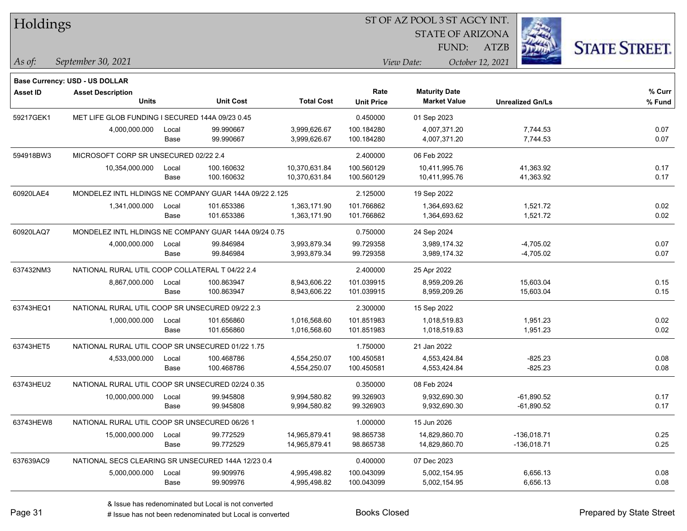| Holdings        |                                                        |       |                  |                   |                           | ST OF AZ POOL 3 ST AGCY INT.                |                         |                      |
|-----------------|--------------------------------------------------------|-------|------------------|-------------------|---------------------------|---------------------------------------------|-------------------------|----------------------|
|                 |                                                        |       |                  |                   |                           | <b>STATE OF ARIZONA</b>                     |                         |                      |
|                 |                                                        |       |                  |                   |                           | FUND:                                       | <b>ATZB</b>             | <b>STATE STREET.</b> |
| As of:          | September 30, 2021                                     |       |                  |                   |                           | View Date:                                  | October 12, 2021        |                      |
|                 |                                                        |       |                  |                   |                           |                                             |                         |                      |
|                 | <b>Base Currency: USD - US DOLLAR</b>                  |       |                  |                   |                           |                                             |                         |                      |
| <b>Asset ID</b> | <b>Asset Description</b><br><b>Units</b>               |       | <b>Unit Cost</b> | <b>Total Cost</b> | Rate<br><b>Unit Price</b> | <b>Maturity Date</b><br><b>Market Value</b> | <b>Unrealized Gn/Ls</b> | % Curr<br>% Fund     |
| 59217GEK1       | MET LIFE GLOB FUNDING I SECURED 144A 09/23 0.45        |       |                  |                   | 0.450000                  | 01 Sep 2023                                 |                         |                      |
|                 | 4,000,000.000                                          | Local | 99.990667        | 3,999,626.67      | 100.184280                | 4,007,371.20                                | 7,744.53                | 0.07                 |
|                 |                                                        | Base  | 99.990667        | 3,999,626.67      | 100.184280                | 4,007,371.20                                | 7,744.53                | 0.07                 |
| 594918BW3       | MICROSOFT CORP SR UNSECURED 02/22 2.4                  |       |                  |                   | 2.400000                  | 06 Feb 2022                                 |                         |                      |
|                 | 10,354,000.000                                         | Local | 100.160632       | 10,370,631.84     | 100.560129                | 10,411,995.76                               | 41,363.92               | 0.17                 |
|                 |                                                        | Base  | 100.160632       | 10,370,631.84     | 100.560129                | 10,411,995.76                               | 41,363.92               | 0.17                 |
| 60920LAE4       | MONDELEZ INTL HLDINGS NE COMPANY GUAR 144A 09/22 2.125 |       |                  |                   | 2.125000                  | 19 Sep 2022                                 |                         |                      |
|                 | 1,341,000.000                                          | Local | 101.653386       | 1,363,171.90      | 101.766862                | 1,364,693.62                                | 1,521.72                | 0.02                 |
|                 |                                                        | Base  | 101.653386       | 1,363,171.90      | 101.766862                | 1,364,693.62                                | 1,521.72                | 0.02                 |
| 60920LAQ7       | MONDELEZ INTL HLDINGS NE COMPANY GUAR 144A 09/24 0.75  |       |                  |                   | 0.750000                  | 24 Sep 2024                                 |                         |                      |
|                 | 4,000,000.000                                          | Local | 99.846984        | 3,993,879.34      | 99.729358                 | 3,989,174.32                                | $-4,705.02$             | 0.07                 |
|                 |                                                        | Base  | 99.846984        | 3,993,879.34      | 99.729358                 | 3,989,174.32                                | $-4,705.02$             | 0.07                 |
| 637432NM3       | NATIONAL RURAL UTIL COOP COLLATERAL T 04/22 2.4        |       |                  |                   | 2.400000                  | 25 Apr 2022                                 |                         |                      |
|                 | 8,867,000.000                                          | Local | 100.863947       | 8,943,606.22      | 101.039915                | 8,959,209.26                                | 15,603.04               | 0.15                 |
|                 |                                                        | Base  | 100.863947       | 8,943,606.22      | 101.039915                | 8,959,209.26                                | 15,603.04               | 0.15                 |
| 63743HEQ1       | NATIONAL RURAL UTIL COOP SR UNSECURED 09/22 2.3        |       |                  |                   | 2.300000                  | 15 Sep 2022                                 |                         |                      |
|                 | 1,000,000.000                                          | Local | 101.656860       | 1,016,568.60      | 101.851983                | 1,018,519.83                                | 1,951.23                | 0.02                 |
|                 |                                                        | Base  | 101.656860       | 1,016,568.60      | 101.851983                | 1,018,519.83                                | 1,951.23                | 0.02                 |
| 63743HET5       | NATIONAL RURAL UTIL COOP SR UNSECURED 01/22 1.75       |       |                  |                   | 1.750000                  | 21 Jan 2022                                 |                         |                      |
|                 | 4,533,000.000                                          | Local | 100.468786       | 4,554,250.07      | 100.450581                | 4,553,424.84                                | $-825.23$               | 0.08                 |
|                 |                                                        | Base  | 100.468786       | 4,554,250.07      | 100.450581                | 4,553,424.84                                | $-825.23$               | 0.08                 |
| 63743HEU2       | NATIONAL RURAL UTIL COOP SR UNSECURED 02/24 0.35       |       |                  |                   | 0.350000                  | 08 Feb 2024                                 |                         |                      |
|                 | 10,000,000.000                                         | Local | 99.945808        | 9,994,580.82      | 99.326903                 | 9,932,690.30                                | $-61,890.52$            | 0.17                 |
|                 |                                                        | Base  | 99.945808        | 9,994,580.82      | 99.326903                 | 9,932,690.30                                | -61,890.52              | 0.17                 |
| 63743HEW8       | NATIONAL RURAL UTIL COOP SR UNSECURED 06/26 1          |       |                  |                   | 1.000000                  | 15 Jun 2026                                 |                         |                      |
|                 | 15,000,000.000                                         | Local | 99.772529        | 14,965,879.41     | 98.865738                 | 14,829,860.70                               | $-136,018.71$           | 0.25                 |
|                 |                                                        | Base  | 99.772529        | 14,965,879.41     | 98.865738                 | 14,829,860.70                               | $-136,018.71$           | 0.25                 |
| 637639AC9       | NATIONAL SECS CLEARING SR UNSECURED 144A 12/23 0.4     |       |                  |                   | 0.400000                  | 07 Dec 2023                                 |                         |                      |
|                 | 5,000,000.000                                          | Local | 99.909976        | 4,995,498.82      | 100.043099                | 5,002,154.95                                | 6,656.13                | 0.08                 |
|                 |                                                        | Base  | 99.909976        | 4,995,498.82      | 100.043099                | 5,002,154.95                                | 6,656.13                | 0.08                 |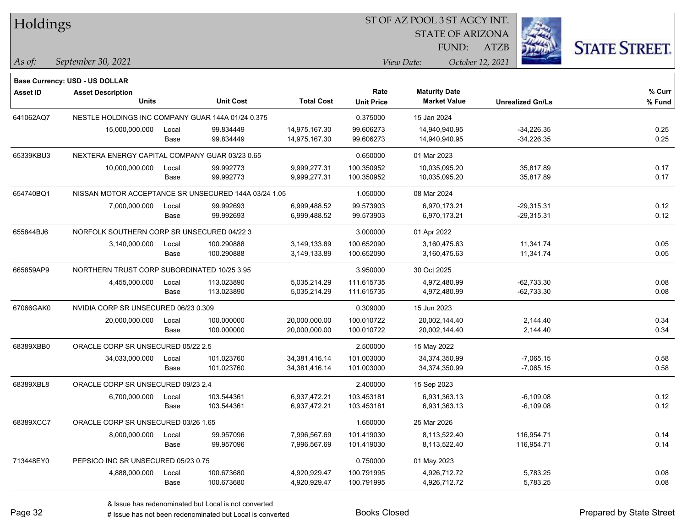| Holdings        |                                                      |       |            |                   |                   | ST OF AZ POOL 3 ST AGCY INT. |                         |                      |
|-----------------|------------------------------------------------------|-------|------------|-------------------|-------------------|------------------------------|-------------------------|----------------------|
|                 |                                                      |       |            |                   |                   | <b>STATE OF ARIZONA</b>      |                         |                      |
|                 |                                                      |       |            |                   |                   | FUND:                        | <b>ATZB</b>             | <b>STATE STREET.</b> |
| As of:          | September 30, 2021                                   |       |            |                   |                   | View Date:                   | October 12, 2021        |                      |
|                 | Base Currency: USD - US DOLLAR                       |       |            |                   |                   |                              |                         |                      |
| <b>Asset ID</b> | <b>Asset Description</b>                             |       |            |                   | Rate              | <b>Maturity Date</b>         |                         | % Curr               |
|                 | <b>Units</b>                                         |       | Unit Cost  | <b>Total Cost</b> | <b>Unit Price</b> | <b>Market Value</b>          | <b>Unrealized Gn/Ls</b> | % Fund               |
| 641062AQ7       | NESTLE HOLDINGS INC COMPANY GUAR 144A 01/24 0.375    |       |            |                   | 0.375000          | 15 Jan 2024                  |                         |                      |
|                 | 15,000,000.000                                       | Local | 99.834449  | 14,975,167.30     | 99.606273         | 14,940,940.95                | $-34,226.35$            | 0.25                 |
|                 |                                                      | Base  | 99.834449  | 14,975,167.30     | 99.606273         | 14,940,940.95                | $-34,226.35$            | 0.25                 |
| 65339KBU3       | NEXTERA ENERGY CAPITAL COMPANY GUAR 03/23 0.65       |       |            |                   |                   | 01 Mar 2023                  |                         |                      |
|                 | 10,000,000.000                                       | Local | 99.992773  | 9,999,277.31      | 100.350952        | 10,035,095.20                | 35,817.89               | 0.17                 |
|                 |                                                      | Base  | 99.992773  | 9,999,277.31      | 100.350952        | 10,035,095.20                | 35,817.89               | 0.17                 |
| 654740BQ1       | NISSAN MOTOR ACCEPTANCE SR UNSECURED 144A 03/24 1.05 |       |            |                   | 1.050000          | 08 Mar 2024                  |                         |                      |
|                 | 7,000,000.000                                        | Local | 99.992693  | 6,999,488.52      | 99.573903         | 6,970,173.21                 | $-29,315.31$            | 0.12                 |
|                 |                                                      | Base  | 99.992693  | 6,999,488.52      | 99.573903         | 6,970,173.21                 | $-29,315.31$            | 0.12                 |
| 655844BJ6       | NORFOLK SOUTHERN CORP SR UNSECURED 04/22 3           |       |            |                   | 3.000000          | 01 Apr 2022                  |                         |                      |
|                 | 3,140,000.000                                        | Local | 100.290888 | 3,149,133.89      | 100.652090        | 3,160,475.63                 | 11,341.74               | 0.05                 |
|                 |                                                      | Base  | 100.290888 | 3,149,133.89      | 100.652090        | 3,160,475.63                 | 11,341.74               | 0.05                 |
| 665859AP9       | NORTHERN TRUST CORP SUBORDINATED 10/25 3.95          |       |            |                   | 3.950000          | 30 Oct 2025                  |                         |                      |
|                 | 4,455,000.000                                        | Local | 113.023890 | 5,035,214.29      | 111.615735        | 4,972,480.99                 | $-62,733.30$            | 0.08                 |
|                 |                                                      | Base  | 113.023890 | 5,035,214.29      | 111.615735        | 4,972,480.99                 | $-62,733.30$            | 0.08                 |
| 67066GAK0       | NVIDIA CORP SR UNSECURED 06/23 0.309                 |       |            |                   | 0.309000          | 15 Jun 2023                  |                         |                      |
|                 | 20,000,000.000                                       | Local | 100.000000 | 20,000,000.00     | 100.010722        | 20,002,144.40                | 2,144.40                | 0.34                 |
|                 |                                                      | Base  | 100.000000 | 20,000,000.00     | 100.010722        | 20,002,144.40                | 2,144.40                | 0.34                 |
| 68389XBB0       | ORACLE CORP SR UNSECURED 05/22 2.5                   |       |            |                   | 2.500000          | 15 May 2022                  |                         |                      |
|                 | 34,033,000.000                                       | Local | 101.023760 | 34,381,416.14     | 101.003000        | 34,374,350.99                | $-7,065.15$             | 0.58                 |
|                 |                                                      | Base  | 101.023760 | 34,381,416.14     | 101.003000        | 34,374,350.99                | $-7,065.15$             | 0.58                 |
| 68389XBL8       | ORACLE CORP SR UNSECURED 09/23 2.4                   |       |            |                   | 2.400000          | 15 Sep 2023                  |                         |                      |
|                 | 6,700,000.000                                        | Local | 103.544361 | 6,937,472.21      | 103.453181        | 6,931,363.13                 | $-6,109.08$             | 0.12                 |
|                 |                                                      | Base  | 103.544361 | 6,937,472.21      | 103.453181        | 6,931,363.13                 | $-6,109.08$             | 0.12                 |
| 68389XCC7       | ORACLE CORP SR UNSECURED 03/26 1.65                  |       |            |                   | 1.650000          | 25 Mar 2026                  |                         |                      |
|                 | 8,000,000.000                                        | Local | 99.957096  | 7,996,567.69      | 101.419030        | 8,113,522.40                 | 116,954.71              | 0.14                 |
|                 |                                                      | Base  | 99.957096  | 7,996,567.69      | 101.419030        | 8,113,522.40                 | 116,954.71              | 0.14                 |
| 713448EY0       | PEPSICO INC SR UNSECURED 05/23 0.75                  |       |            |                   | 0.750000          | 01 May 2023                  |                         |                      |
|                 | 4,888,000.000                                        | Local | 100.673680 | 4,920,929.47      | 100.791995        | 4,926,712.72                 | 5,783.25                | 0.08                 |
|                 |                                                      | Base  | 100.673680 | 4,920,929.47      | 100.791995        | 4,926,712.72                 | 5,783.25                | 0.08                 |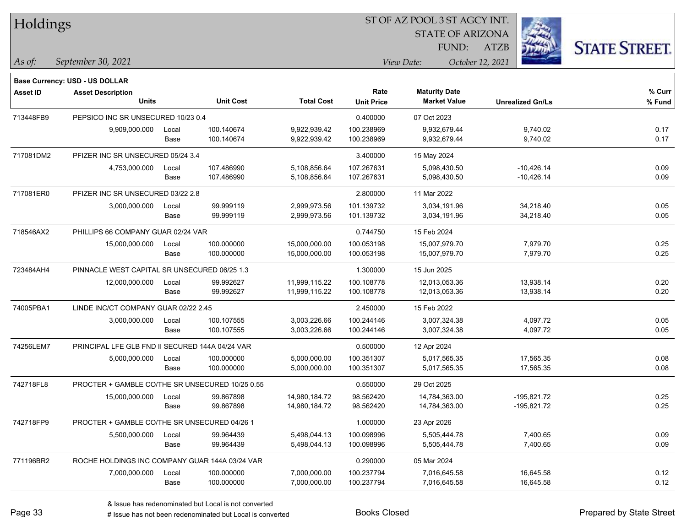| Holdings |  |
|----------|--|
|----------|--|

STATE OF ARIZONA

ATZB



*September 30, 2021 As of: View Date: October 12, 2021*

**Base Currency: USD - US DOLLAR**

| <b>Asset ID</b> | <b>Asset Description</b>                        |       |                  |                   | Rate              | <b>Maturity Date</b> |                         | % Curr |
|-----------------|-------------------------------------------------|-------|------------------|-------------------|-------------------|----------------------|-------------------------|--------|
|                 | <b>Units</b>                                    |       | <b>Unit Cost</b> | <b>Total Cost</b> | <b>Unit Price</b> | <b>Market Value</b>  | <b>Unrealized Gn/Ls</b> | % Fund |
| 713448FB9       | PEPSICO INC SR UNSECURED 10/23 0.4              |       |                  |                   | 0.400000          | 07 Oct 2023          |                         |        |
|                 | 9,909,000.000                                   | Local | 100.140674       | 9,922,939.42      | 100.238969        | 9,932,679.44         | 9,740.02                | 0.17   |
|                 |                                                 | Base  | 100.140674       | 9,922,939.42      | 100.238969        | 9,932,679.44         | 9,740.02                | 0.17   |
| 717081DM2       | PFIZER INC SR UNSECURED 05/24 3.4               |       |                  | 3.400000          | 15 May 2024       |                      |                         |        |
|                 | 4,753,000.000                                   | Local | 107.486990       | 5,108,856.64      | 107.267631        | 5,098,430.50         | $-10,426.14$            | 0.09   |
|                 |                                                 | Base  | 107.486990       | 5,108,856.64      | 107.267631        | 5,098,430.50         | $-10,426.14$            | 0.09   |
| 717081ER0       | PFIZER INC SR UNSECURED 03/22 2.8               |       |                  |                   | 2.800000          | 11 Mar 2022          |                         |        |
|                 | 3,000,000.000                                   | Local | 99.999119        | 2,999,973.56      | 101.139732        | 3,034,191.96         | 34,218.40               | 0.05   |
|                 |                                                 | Base  | 99.999119        | 2,999,973.56      | 101.139732        | 3,034,191.96         | 34,218.40               | 0.05   |
| 718546AX2       | PHILLIPS 66 COMPANY GUAR 02/24 VAR              |       |                  |                   | 0.744750          | 15 Feb 2024          |                         |        |
|                 | 15,000,000.000                                  | Local | 100.000000       | 15,000,000.00     | 100.053198        | 15,007,979.70        | 7,979.70                | 0.25   |
|                 |                                                 | Base  | 100.000000       | 15,000,000.00     | 100.053198        | 15,007,979.70        | 7,979.70                | 0.25   |
| 723484AH4       | PINNACLE WEST CAPITAL SR UNSECURED 06/25 1.3    |       |                  |                   | 1.300000          | 15 Jun 2025          |                         |        |
|                 | 12,000,000.000                                  | Local | 99.992627        | 11,999,115.22     | 100.108778        | 12,013,053.36        | 13,938.14               | 0.20   |
|                 |                                                 | Base  | 99.992627        | 11,999,115.22     | 100.108778        | 12,013,053.36        | 13,938.14               | 0.20   |
| 74005PBA1       | LINDE INC/CT COMPANY GUAR 02/22 2.45            |       |                  |                   | 2.450000          | 15 Feb 2022          |                         |        |
|                 | 3,000,000.000                                   | Local | 100.107555       | 3,003,226.66      | 100.244146        | 3,007,324.38         | 4,097.72                | 0.05   |
|                 |                                                 | Base  | 100.107555       | 3,003,226.66      | 100.244146        | 3,007,324.38         | 4,097.72                | 0.05   |
| 74256LEM7       | PRINCIPAL LFE GLB FND II SECURED 144A 04/24 VAR |       |                  |                   | 0.500000          | 12 Apr 2024          |                         |        |
|                 | 5,000,000.000                                   | Local | 100.000000       | 5,000,000.00      | 100.351307        | 5,017,565.35         | 17,565.35               | 0.08   |
|                 |                                                 | Base  | 100.000000       | 5,000,000.00      | 100.351307        | 5,017,565.35         | 17,565.35               | 0.08   |
| 742718FL8       | PROCTER + GAMBLE CO/THE SR UNSECURED 10/25 0.55 |       |                  |                   | 0.550000          | 29 Oct 2025          |                         |        |
|                 | 15,000,000.000                                  | Local | 99.867898        | 14,980,184.72     | 98.562420         | 14,784,363.00        | -195,821.72             | 0.25   |
|                 |                                                 | Base  | 99.867898        | 14,980,184.72     | 98.562420         | 14,784,363.00        | -195,821.72             | 0.25   |
| 742718FP9       | PROCTER + GAMBLE CO/THE SR UNSECURED 04/26 1    |       |                  |                   | 1.000000          | 23 Apr 2026          |                         |        |
|                 | 5,500,000.000                                   | Local | 99.964439        | 5,498,044.13      | 100.098996        | 5,505,444.78         | 7,400.65                | 0.09   |
|                 |                                                 | Base  | 99.964439        | 5,498,044.13      | 100.098996        | 5,505,444.78         | 7,400.65                | 0.09   |
| 771196BR2       | ROCHE HOLDINGS INC COMPANY GUAR 144A 03/24 VAR  |       |                  |                   | 0.290000          | 05 Mar 2024          |                         |        |
|                 | 7,000,000.000                                   | Local | 100.000000       | 7,000,000.00      | 100.237794        | 7,016,645.58         | 16,645.58               | 0.12   |
|                 |                                                 | Base  | 100.000000       | 7,000,000.00      | 100.237794        | 7,016,645.58         | 16,645.58               | 0.12   |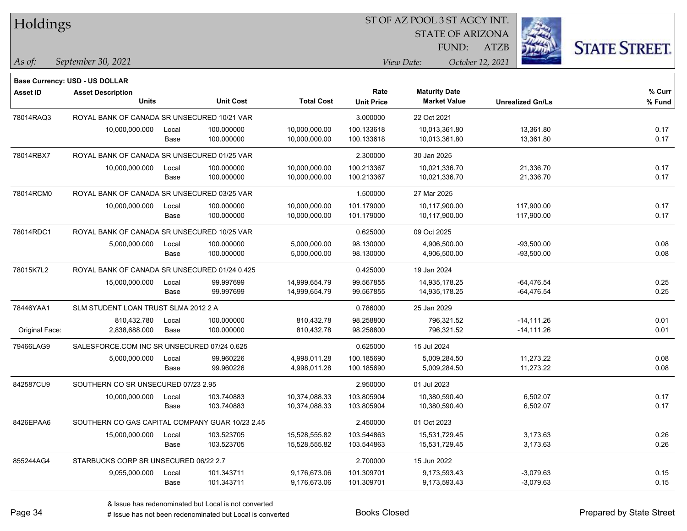| Holdings        |                                                 |       |                  |                   | ST OF AZ POOL 3 ST AGCY INT. |                                             |                         |                      |  |
|-----------------|-------------------------------------------------|-------|------------------|-------------------|------------------------------|---------------------------------------------|-------------------------|----------------------|--|
|                 |                                                 |       |                  |                   |                              | <b>STATE OF ARIZONA</b>                     |                         |                      |  |
|                 |                                                 |       |                  |                   |                              | FUND:                                       | <b>ATZB</b>             | <b>STATE STREET.</b> |  |
| $\vert$ As of:  | September 30, 2021                              |       |                  |                   |                              | View Date:                                  | October 12, 2021        |                      |  |
|                 |                                                 |       |                  |                   |                              |                                             |                         |                      |  |
|                 | <b>Base Currency: USD - US DOLLAR</b>           |       |                  |                   |                              |                                             |                         |                      |  |
| <b>Asset ID</b> | <b>Asset Description</b><br>Units               |       | <b>Unit Cost</b> | <b>Total Cost</b> | Rate<br><b>Unit Price</b>    | <b>Maturity Date</b><br><b>Market Value</b> | <b>Unrealized Gn/Ls</b> | % Curr<br>% Fund     |  |
| 78014RAQ3       | ROYAL BANK OF CANADA SR UNSECURED 10/21 VAR     |       |                  |                   | 3.000000                     | 22 Oct 2021                                 |                         |                      |  |
|                 | 10,000,000.000                                  | Local | 100.000000       | 10,000,000.00     | 100.133618                   | 10,013,361.80                               | 13,361.80               | 0.17                 |  |
|                 |                                                 | Base  | 100.000000       | 10,000,000.00     | 100.133618                   | 10,013,361.80                               | 13,361.80               | 0.17                 |  |
| 78014RBX7       | ROYAL BANK OF CANADA SR UNSECURED 01/25 VAR     |       |                  |                   | 2.300000                     | 30 Jan 2025                                 |                         |                      |  |
|                 | 10,000,000.000                                  | Local | 100.000000       | 10,000,000.00     | 100.213367                   | 10,021,336.70                               | 21,336.70               | 0.17                 |  |
|                 |                                                 | Base  | 100.000000       | 10,000,000.00     | 100.213367                   | 10,021,336.70                               | 21,336.70               | 0.17                 |  |
| 78014RCM0       | ROYAL BANK OF CANADA SR UNSECURED 03/25 VAR     |       |                  |                   | 1.500000                     | 27 Mar 2025                                 |                         |                      |  |
|                 | 10,000,000.000                                  | Local | 100.000000       | 10,000,000.00     | 101.179000                   | 10,117,900.00                               | 117,900.00              | 0.17                 |  |
|                 |                                                 | Base  | 100.000000       | 10,000,000.00     | 101.179000                   | 10,117,900.00                               | 117,900.00              | 0.17                 |  |
| 78014RDC1       | ROYAL BANK OF CANADA SR UNSECURED 10/25 VAR     |       |                  |                   | 0.625000                     | 09 Oct 2025                                 |                         |                      |  |
|                 | 5,000,000.000                                   | Local | 100.000000       | 5,000,000.00      | 98.130000                    | 4,906,500.00                                | $-93,500.00$            | 0.08                 |  |
|                 |                                                 | Base  | 100.000000       | 5,000,000.00      | 98.130000                    | 4,906,500.00                                | $-93,500.00$            | 0.08                 |  |
| 78015K7L2       | ROYAL BANK OF CANADA SR UNSECURED 01/24 0.425   |       |                  |                   | 0.425000                     | 19 Jan 2024                                 |                         |                      |  |
|                 | 15,000,000.000                                  | Local | 99.997699        | 14,999,654.79     | 99.567855                    | 14,935,178.25                               | $-64,476.54$            | 0.25                 |  |
|                 |                                                 | Base  | 99.997699        | 14,999,654.79     | 99.567855                    | 14,935,178.25                               | $-64,476.54$            | 0.25                 |  |
| 78446YAA1       | SLM STUDENT LOAN TRUST SLMA 2012 2 A            |       |                  |                   | 0.786000                     | 25 Jan 2029                                 |                         |                      |  |
|                 | 810,432.780                                     | Local | 100.000000       | 810,432.78        | 98.258800                    | 796,321.52                                  | $-14,111.26$            | 0.01                 |  |
| Original Face:  | 2,838,688.000                                   | Base  | 100.000000       | 810,432.78        | 98.258800                    | 796,321.52                                  | $-14, 111.26$           | 0.01                 |  |
| 79466LAG9       | SALESFORCE.COM INC SR UNSECURED 07/24 0.625     |       |                  |                   | 0.625000                     | 15 Jul 2024                                 |                         |                      |  |
|                 | 5,000,000.000                                   | Local | 99.960226        | 4,998,011.28      | 100.185690                   | 5,009,284.50                                | 11,273.22               | 0.08                 |  |
|                 |                                                 | Base  | 99.960226        | 4,998,011.28      | 100.185690                   | 5,009,284.50                                | 11,273.22               | 0.08                 |  |
| 842587CU9       | SOUTHERN CO SR UNSECURED 07/23 2.95             |       |                  |                   | 2.950000                     | 01 Jul 2023                                 |                         |                      |  |
|                 | 10,000,000.000                                  | Local | 103.740883       | 10,374,088.33     | 103.805904                   | 10,380,590.40                               | 6,502.07                | 0.17                 |  |
|                 |                                                 | Base  | 103.740883       | 10,374,088.33     | 103.805904                   | 10,380,590.40                               | 6,502.07                | 0.17                 |  |
| 8426EPAA6       | SOUTHERN CO GAS CAPITAL COMPANY GUAR 10/23 2.45 |       |                  |                   | 2.450000                     | 01 Oct 2023                                 |                         |                      |  |
|                 | 15,000,000.000                                  | Local | 103.523705       | 15,528,555.82     | 103.544863                   | 15,531,729.45                               | 3,173.63                | 0.26                 |  |
|                 |                                                 | Base  | 103.523705       | 15,528,555.82     | 103.544863                   | 15,531,729.45                               | 3,173.63                | 0.26                 |  |
| 855244AG4       | STARBUCKS CORP SR UNSECURED 06/22 2.7           |       |                  |                   | 2.700000                     | 15 Jun 2022                                 |                         |                      |  |
|                 | 9,055,000.000                                   | Local | 101.343711       | 9,176,673.06      | 101.309701                   | 9,173,593.43                                | $-3,079.63$             | 0.15                 |  |
|                 |                                                 | Base  | 101.343711       | 9,176,673.06      | 101.309701                   | 9,173,593.43                                | $-3,079.63$             | 0.15                 |  |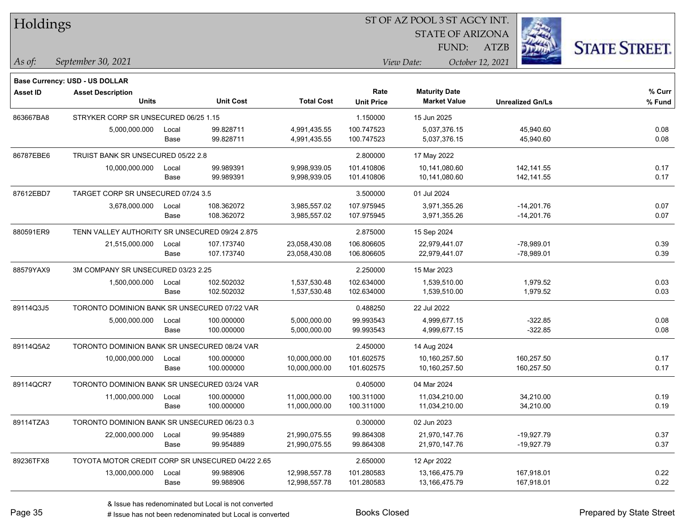| Holdings        |                                                  |       |                  |                   | ST OF AZ POOL 3 ST AGCY INT.   |                         |                         |                      |  |
|-----------------|--------------------------------------------------|-------|------------------|-------------------|--------------------------------|-------------------------|-------------------------|----------------------|--|
|                 |                                                  |       |                  |                   |                                | <b>STATE OF ARIZONA</b> |                         |                      |  |
|                 |                                                  |       |                  |                   |                                | FUND:                   | <b>ATZB</b>             | <b>STATE STREET.</b> |  |
| As of:          | September 30, 2021                               |       |                  |                   | View Date:<br>October 12, 2021 |                         |                         |                      |  |
|                 | <b>Base Currency: USD - US DOLLAR</b>            |       |                  |                   |                                |                         |                         |                      |  |
| <b>Asset ID</b> | <b>Asset Description</b>                         |       |                  |                   | Rate                           | <b>Maturity Date</b>    |                         | % Curr               |  |
|                 | Units                                            |       | <b>Unit Cost</b> | <b>Total Cost</b> | <b>Unit Price</b>              | <b>Market Value</b>     | <b>Unrealized Gn/Ls</b> | % Fund               |  |
| 863667BA8       | STRYKER CORP SR UNSECURED 06/25 1.15             |       |                  |                   | 1.150000                       | 15 Jun 2025             |                         |                      |  |
|                 | 5,000,000.000                                    | Local | 99.828711        | 4,991,435.55      | 100.747523                     | 5,037,376.15            | 45,940.60               | 0.08                 |  |
|                 |                                                  | Base  | 99.828711        | 4,991,435.55      | 100.747523                     | 5,037,376.15            | 45,940.60               | 0.08                 |  |
| 86787EBE6       | TRUIST BANK SR UNSECURED 05/22 2.8               |       |                  |                   | 2.800000                       | 17 May 2022             |                         |                      |  |
|                 | 10,000,000.000                                   | Local | 99.989391        | 9,998,939.05      | 101.410806                     | 10,141,080.60           | 142, 141.55             | 0.17                 |  |
|                 |                                                  | Base  | 99.989391        | 9,998,939.05      | 101.410806                     | 10,141,080.60           | 142, 141.55             | 0.17                 |  |
| 87612EBD7       | TARGET CORP SR UNSECURED 07/24 3.5               |       |                  |                   | 3.500000                       | 01 Jul 2024             |                         |                      |  |
|                 | 3,678,000.000                                    | Local | 108.362072       | 3,985,557.02      | 107.975945                     | 3,971,355.26            | $-14,201.76$            | 0.07                 |  |
|                 |                                                  | Base  | 108.362072       | 3,985,557.02      | 107.975945                     | 3,971,355.26            | $-14,201.76$            | 0.07                 |  |
| 880591ER9       | TENN VALLEY AUTHORITY SR UNSECURED 09/24 2.875   |       |                  |                   | 2.875000                       | 15 Sep 2024             |                         |                      |  |
|                 | 21,515,000.000                                   | Local | 107.173740       | 23,058,430.08     | 106.806605                     | 22,979,441.07           | $-78,989.01$            | 0.39                 |  |
|                 |                                                  | Base  | 107.173740       | 23,058,430.08     | 106.806605                     | 22,979,441.07           | $-78,989.01$            | 0.39                 |  |
| 88579YAX9       | 3M COMPANY SR UNSECURED 03/23 2.25               |       |                  |                   | 2.250000                       | 15 Mar 2023             |                         |                      |  |
|                 | 1,500,000.000                                    | Local | 102.502032       | 1,537,530.48      | 102.634000                     | 1,539,510.00            | 1,979.52                | 0.03                 |  |
|                 |                                                  | Base  | 102.502032       | 1,537,530.48      | 102.634000                     | 1,539,510.00            | 1,979.52                | 0.03                 |  |
| 89114Q3J5       | TORONTO DOMINION BANK SR UNSECURED 07/22 VAR     |       |                  |                   | 0.488250                       | 22 Jul 2022             |                         |                      |  |
|                 | 5,000,000.000                                    | Local | 100.000000       | 5,000,000.00      | 99.993543                      | 4,999,677.15            | $-322.85$               | 0.08                 |  |
|                 |                                                  | Base  | 100.000000       | 5,000,000.00      | 99.993543                      | 4,999,677.15            | $-322.85$               | 0.08                 |  |
| 89114Q5A2       | TORONTO DOMINION BANK SR UNSECURED 08/24 VAR     |       |                  |                   | 2.450000                       | 14 Aug 2024             |                         |                      |  |
|                 | 10,000,000.000                                   | Local | 100.000000       | 10,000,000.00     | 101.602575                     | 10,160,257.50           | 160,257.50              | 0.17                 |  |
|                 |                                                  | Base  | 100.000000       | 10,000,000.00     | 101.602575                     | 10,160,257.50           | 160,257.50              | 0.17                 |  |
| 89114QCR7       | TORONTO DOMINION BANK SR UNSECURED 03/24 VAR     |       |                  |                   | 0.405000                       | 04 Mar 2024             |                         |                      |  |
|                 | 11,000,000.000                                   | Local | 100.000000       | 11,000,000.00     | 100.311000                     | 11,034,210.00           | 34,210.00               | 0.19                 |  |
|                 |                                                  | Base  | 100.000000       | 11,000,000.00     | 100.311000                     | 11,034,210.00           | 34,210.00               | 0.19                 |  |
| 89114TZA3       | TORONTO DOMINION BANK SR UNSECURED 06/23 0.3     |       |                  |                   | 0.300000                       | 02 Jun 2023             |                         |                      |  |
|                 | 22,000,000.000                                   | Local | 99.954889        | 21,990,075.55     | 99.864308                      | 21,970,147.76           | -19,927.79              | 0.37                 |  |
|                 |                                                  | Base  | 99.954889        | 21,990,075.55     | 99.864308                      | 21,970,147.76           | $-19,927.79$            | 0.37                 |  |
| 89236TFX8       | TOYOTA MOTOR CREDIT CORP SR UNSECURED 04/22 2.65 |       |                  |                   | 2.650000                       | 12 Apr 2022             |                         |                      |  |
|                 | 13,000,000.000                                   | Local | 99.988906        | 12,998,557.78     | 101.280583                     | 13,166,475.79           | 167,918.01              | 0.22                 |  |
|                 |                                                  | Base  | 99.988906        | 12,998,557.78     | 101.280583                     | 13,166,475.79           | 167,918.01              | 0.22                 |  |

 $\overline{\phantom{0}}$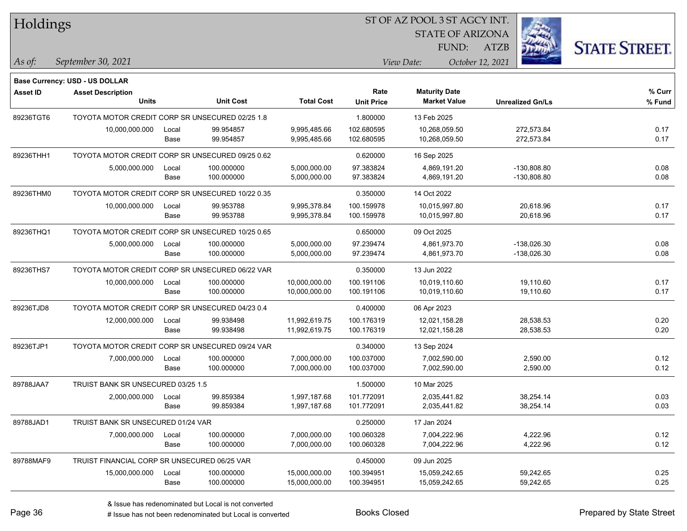| Holdings        |                                                                   |       |                  |                   |                   | ST OF AZ POOL 3 ST AGCY INT. |                         |                      |
|-----------------|-------------------------------------------------------------------|-------|------------------|-------------------|-------------------|------------------------------|-------------------------|----------------------|
|                 |                                                                   |       |                  |                   |                   | <b>STATE OF ARIZONA</b>      |                         |                      |
|                 |                                                                   |       |                  |                   |                   | FUND:                        | <b>ATZB</b>             | <b>STATE STREET.</b> |
| $ $ As of:      | September 30, 2021                                                |       |                  |                   |                   | View Date:                   | October 12, 2021        |                      |
|                 |                                                                   |       |                  |                   |                   |                              |                         |                      |
| <b>Asset ID</b> | <b>Base Currency: USD - US DOLLAR</b><br><b>Asset Description</b> |       |                  |                   | Rate              | <b>Maturity Date</b>         |                         | % Curr               |
|                 | <b>Units</b>                                                      |       | <b>Unit Cost</b> | <b>Total Cost</b> | <b>Unit Price</b> | <b>Market Value</b>          | <b>Unrealized Gn/Ls</b> | % Fund               |
| 89236TGT6       | TOYOTA MOTOR CREDIT CORP SR UNSECURED 02/25 1.8                   |       |                  |                   | 1.800000          | 13 Feb 2025                  |                         |                      |
|                 | 10,000,000.000                                                    | Local | 99.954857        | 9,995,485.66      | 102.680595        | 10,268,059.50                | 272.573.84              | 0.17                 |
|                 |                                                                   | Base  | 99.954857        | 9,995,485.66      | 102.680595        | 10,268,059.50                | 272,573.84              | 0.17                 |
| 89236THH1       | TOYOTA MOTOR CREDIT CORP SR UNSECURED 09/25 0.62                  |       |                  |                   | 0.620000          | 16 Sep 2025                  |                         |                      |
|                 | 5,000,000.000                                                     | Local | 100.000000       | 5,000,000.00      | 97.383824         | 4,869,191.20                 | -130,808.80             | 0.08                 |
|                 |                                                                   | Base  | 100.000000       | 5,000,000.00      | 97.383824         | 4,869,191.20                 | -130,808.80             | 0.08                 |
| 89236THM0       | TOYOTA MOTOR CREDIT CORP SR UNSECURED 10/22 0.35                  |       |                  |                   | 0.350000          | 14 Oct 2022                  |                         |                      |
|                 | 10,000,000.000                                                    | Local | 99.953788        | 9,995,378.84      | 100.159978        | 10,015,997.80                | 20,618.96               | 0.17                 |
|                 |                                                                   | Base  | 99.953788        | 9,995,378.84      | 100.159978        | 10,015,997.80                | 20,618.96               | 0.17                 |
| 89236THQ1       | TOYOTA MOTOR CREDIT CORP SR UNSECURED 10/25 0.65                  |       |                  |                   | 0.650000          | 09 Oct 2025                  |                         |                      |
|                 | 5,000,000.000                                                     | Local | 100.000000       | 5,000,000.00      | 97.239474         | 4,861,973.70                 | -138.026.30             | 0.08                 |
|                 |                                                                   | Base  | 100.000000       | 5,000,000.00      | 97.239474         | 4,861,973.70                 | $-138,026.30$           | 0.08                 |
| 89236THS7       | TOYOTA MOTOR CREDIT CORP SR UNSECURED 06/22 VAR                   |       |                  |                   | 0.350000          | 13 Jun 2022                  |                         |                      |
|                 | 10,000,000.000                                                    | Local | 100.000000       | 10,000,000.00     | 100.191106        | 10,019,110.60                | 19,110.60               | 0.17                 |
|                 |                                                                   | Base  | 100.000000       | 10,000,000.00     | 100.191106        | 10,019,110.60                | 19,110.60               | 0.17                 |
| 89236TJD8       | TOYOTA MOTOR CREDIT CORP SR UNSECURED 04/23 0.4                   |       |                  |                   | 0.400000          | 06 Apr 2023                  |                         |                      |
|                 | 12,000,000.000                                                    | Local | 99.938498        | 11,992,619.75     | 100.176319        | 12,021,158.28                | 28,538.53               | 0.20                 |
|                 |                                                                   | Base  | 99.938498        | 11,992,619.75     | 100.176319        | 12,021,158.28                | 28,538.53               | 0.20                 |
| 89236TJP1       | TOYOTA MOTOR CREDIT CORP SR UNSECURED 09/24 VAR                   |       |                  |                   | 0.340000          | 13 Sep 2024                  |                         |                      |
|                 | 7,000,000.000                                                     | Local | 100.000000       | 7,000,000.00      | 100.037000        | 7,002,590.00                 | 2,590.00                | 0.12                 |
|                 |                                                                   | Base  | 100.000000       | 7,000,000.00      | 100.037000        | 7,002,590.00                 | 2,590.00                | 0.12                 |
| 89788JAA7       | TRUIST BANK SR UNSECURED 03/25 1.5                                |       |                  |                   | 1.500000          | 10 Mar 2025                  |                         |                      |
|                 | 2,000,000.000                                                     | Local | 99.859384        | 1,997,187.68      | 101.772091        | 2,035,441.82                 | 38,254.14               | 0.03                 |
|                 |                                                                   | Base  | 99.859384        | 1,997,187.68      | 101.772091        | 2,035,441.82                 | 38,254.14               | 0.03                 |
| 89788JAD1       | TRUIST BANK SR UNSECURED 01/24 VAR                                |       |                  |                   | 0.250000          | 17 Jan 2024                  |                         |                      |
|                 | 7,000,000.000                                                     | Local | 100.000000       | 7,000,000.00      | 100.060328        | 7,004,222.96                 | 4,222.96                | 0.12                 |
|                 |                                                                   | Base  | 100.000000       | 7,000,000.00      | 100.060328        | 7,004,222.96                 | 4,222.96                | 0.12                 |
| 89788MAF9       | TRUIST FINANCIAL CORP SR UNSECURED 06/25 VAR                      |       |                  |                   | 0.450000          | 09 Jun 2025                  |                         |                      |
|                 | 15,000,000.000                                                    | Local | 100.000000       | 15,000,000.00     | 100.394951        | 15,059,242.65                | 59,242.65               | 0.25                 |
|                 |                                                                   | Base  | 100.000000       | 15,000,000.00     | 100.394951        | 15,059,242.65                | 59,242.65               | 0.25                 |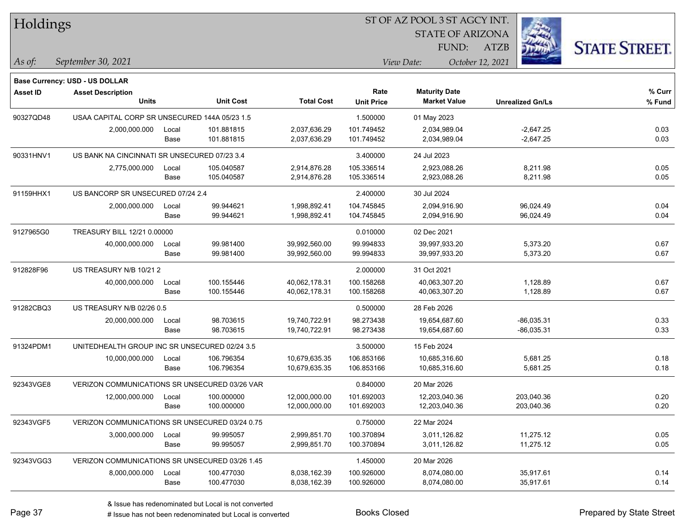| Holdings        |                                                |       |                  |                   |                   | ST OF AZ POOL 3 ST AGCY INT. |                  |                         |                      |
|-----------------|------------------------------------------------|-------|------------------|-------------------|-------------------|------------------------------|------------------|-------------------------|----------------------|
|                 |                                                |       |                  |                   |                   | <b>STATE OF ARIZONA</b>      |                  |                         |                      |
|                 |                                                |       |                  |                   |                   | FUND:                        | <b>ATZB</b>      |                         | <b>STATE STREET.</b> |
| As of:          | September 30, 2021                             |       |                  |                   |                   | View Date:                   | October 12, 2021 |                         |                      |
|                 | <b>Base Currency: USD - US DOLLAR</b>          |       |                  |                   |                   |                              |                  |                         |                      |
| <b>Asset ID</b> | <b>Asset Description</b>                       |       |                  |                   | Rate              | <b>Maturity Date</b>         |                  |                         | % Curr               |
|                 | <b>Units</b>                                   |       | <b>Unit Cost</b> | <b>Total Cost</b> | <b>Unit Price</b> | <b>Market Value</b>          |                  | <b>Unrealized Gn/Ls</b> | % Fund               |
| 90327QD48       | USAA CAPITAL CORP SR UNSECURED 144A 05/23 1.5  |       |                  |                   | 1.500000          | 01 May 2023                  |                  |                         |                      |
|                 | 2,000,000.000                                  | Local | 101.881815       | 2,037,636.29      | 101.749452        | 2,034,989.04                 |                  | $-2,647.25$             | 0.03                 |
|                 |                                                | Base  | 101.881815       | 2,037,636.29      | 101.749452        | 2,034,989.04                 |                  | $-2,647.25$             | 0.03                 |
| 90331HNV1       | US BANK NA CINCINNATI SR UNSECURED 07/23 3.4   |       |                  |                   | 3.400000          | 24 Jul 2023                  |                  |                         |                      |
|                 | 2,775,000.000                                  | Local | 105.040587       | 2,914,876.28      | 105.336514        | 2,923,088.26                 |                  | 8,211.98                | 0.05                 |
|                 |                                                | Base  | 105.040587       | 2,914,876.28      | 105.336514        | 2,923,088.26                 |                  | 8,211.98                | 0.05                 |
| 91159HHX1       | US BANCORP SR UNSECURED 07/24 2.4              |       |                  |                   | 2.400000          | 30 Jul 2024                  |                  |                         |                      |
|                 | 2,000,000.000                                  | Local | 99.944621        | 1,998,892.41      | 104.745845        | 2,094,916.90                 |                  | 96,024.49               | 0.04                 |
|                 |                                                | Base  | 99.944621        | 1,998,892.41      | 104.745845        | 2,094,916.90                 |                  | 96,024.49               | 0.04                 |
| 9127965G0       | TREASURY BILL 12/21 0.00000                    |       |                  |                   | 0.010000          | 02 Dec 2021                  |                  |                         |                      |
|                 | 40,000,000.000                                 | Local | 99.981400        | 39,992,560.00     | 99.994833         | 39,997,933.20                |                  | 5,373.20                | 0.67                 |
|                 |                                                | Base  | 99.981400        | 39,992,560.00     | 99.994833         | 39,997,933.20                |                  | 5,373.20                | 0.67                 |
| 912828F96       | US TREASURY N/B 10/21 2                        |       |                  |                   | 2.000000          | 31 Oct 2021                  |                  |                         |                      |
|                 | 40,000,000.000                                 | Local | 100.155446       | 40,062,178.31     | 100.158268        | 40,063,307.20                |                  | 1,128.89                | 0.67                 |
|                 |                                                | Base  | 100.155446       | 40,062,178.31     | 100.158268        | 40,063,307.20                |                  | 1,128.89                | 0.67                 |
| 91282CBQ3       | US TREASURY N/B 02/26 0.5                      |       |                  |                   | 0.500000          | 28 Feb 2026                  |                  |                         |                      |
|                 | 20,000,000.000                                 | Local | 98.703615        | 19,740,722.91     | 98.273438         | 19,654,687.60                |                  | $-86,035.31$            | 0.33                 |
|                 |                                                | Base  | 98.703615        | 19,740,722.91     | 98.273438         | 19,654,687.60                |                  | -86,035.31              | 0.33                 |
| 91324PDM1       | UNITEDHEALTH GROUP INC SR UNSECURED 02/24 3.5  |       |                  |                   | 3.500000          | 15 Feb 2024                  |                  |                         |                      |
|                 | 10,000,000.000                                 | Local | 106.796354       | 10,679,635.35     | 106.853166        | 10,685,316.60                |                  | 5,681.25                | 0.18                 |
|                 |                                                | Base  | 106.796354       | 10,679,635.35     | 106.853166        | 10,685,316.60                |                  | 5,681.25                | 0.18                 |
| 92343VGE8       | VERIZON COMMUNICATIONS SR UNSECURED 03/26 VAR  |       |                  |                   | 0.840000          | 20 Mar 2026                  |                  |                         |                      |
|                 | 12,000,000.000                                 | Local | 100.000000       | 12,000,000.00     | 101.692003        | 12,203,040.36                |                  | 203,040.36              | 0.20                 |
|                 |                                                | Base  | 100.000000       | 12,000,000.00     | 101.692003        | 12,203,040.36                |                  | 203,040.36              | 0.20                 |
| 92343VGF5       | VERIZON COMMUNICATIONS SR UNSECURED 03/24 0.75 |       |                  |                   | 0.750000          | 22 Mar 2024                  |                  |                         |                      |
|                 | 3,000,000.000                                  | Local | 99.995057        | 2,999,851.70      | 100.370894        | 3,011,126.82                 |                  | 11,275.12               | 0.05                 |
|                 |                                                | Base  | 99.995057        | 2,999,851.70      | 100.370894        | 3,011,126.82                 |                  | 11,275.12               | 0.05                 |
| 92343VGG3       | VERIZON COMMUNICATIONS SR UNSECURED 03/26 1.45 |       |                  |                   | 1.450000          | 20 Mar 2026                  |                  |                         |                      |
|                 | 8,000,000.000                                  | Local | 100.477030       | 8,038,162.39      | 100.926000        | 8,074,080.00                 |                  | 35,917.61               | 0.14                 |
|                 |                                                | Base  | 100.477030       | 8,038,162.39      | 100.926000        | 8,074,080.00                 |                  | 35,917.61               | 0.14                 |

# Issue has not been redenominated but Local is converted Books Closed Prepared by State Street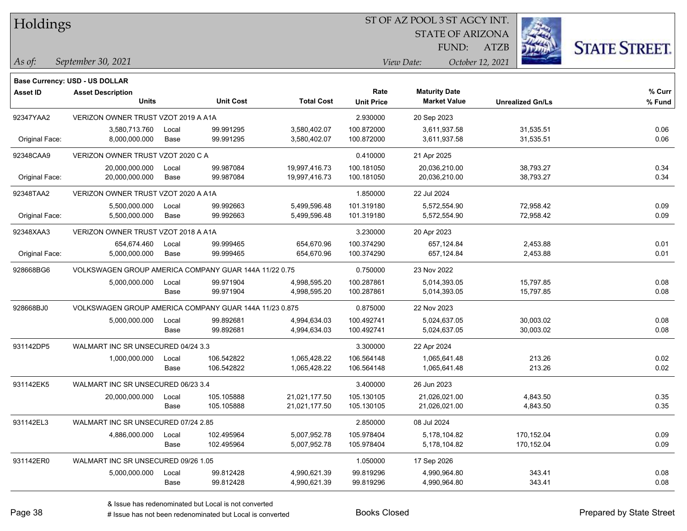| Holdings |
|----------|
|          |

**Maturity Date**

STATE OF ARIZONA

ATZB



**% Fund**

**% Curr**

*September 30, 2021 As of: View Date: October 12, 2021*

**Base Currency: USD - US DOLLAR**

FUND:

|                | <b>Units</b>                                           |       | <b>Unit Cost</b> | <b>Total Cost</b> | <b>Unit Price</b> | <b>Market Value</b> | <b>Unrealized Gn/Ls</b> | % Fun |
|----------------|--------------------------------------------------------|-------|------------------|-------------------|-------------------|---------------------|-------------------------|-------|
| 92347YAA2      | VERIZON OWNER TRUST VZOT 2019 A A1A                    |       |                  |                   | 2.930000          | 20 Sep 2023         |                         |       |
|                | 3,580,713.760                                          | Local | 99.991295        | 3,580,402.07      | 100.872000        | 3,611,937.58        | 31,535.51               | 0.06  |
| Original Face: | 8,000,000.000                                          | Base  | 99.991295        | 3,580,402.07      | 100.872000        | 3,611,937.58        | 31,535.51               | 0.06  |
| 92348CAA9      | VERIZON OWNER TRUST VZOT 2020 C A                      |       |                  |                   | 0.410000          | 21 Apr 2025         |                         |       |
|                | 20,000,000.000                                         | Local | 99.987084        | 19,997,416.73     | 100.181050        | 20,036,210.00       | 38,793.27               | 0.34  |
| Original Face: | 20,000,000.000                                         | Base  | 99.987084        | 19,997,416.73     | 100.181050        | 20,036,210.00       | 38,793.27               | 0.34  |
| 92348TAA2      | VERIZON OWNER TRUST VZOT 2020 A A1A                    |       |                  |                   | 1.850000          | 22 Jul 2024         |                         |       |
|                | 5,500,000.000                                          | Local | 99.992663        | 5,499,596.48      | 101.319180        | 5,572,554.90        | 72,958.42               | 0.09  |
| Original Face: | 5,500,000.000                                          | Base  | 99.992663        | 5,499,596.48      | 101.319180        | 5,572,554.90        | 72,958.42               | 0.09  |
| 92348XAA3      | VERIZON OWNER TRUST VZOT 2018 A A1A                    |       |                  |                   | 3.230000          | 20 Apr 2023         |                         |       |
|                | 654,674.460                                            | Local | 99.999465        | 654,670.96        | 100.374290        | 657,124.84          | 2,453.88                | 0.01  |
| Original Face: | 5,000,000.000                                          | Base  | 99.999465        | 654,670.96        | 100.374290        | 657,124.84          | 2,453.88                | 0.01  |
| 928668BG6      | VOLKSWAGEN GROUP AMERICA COMPANY GUAR 144A 11/22 0.75  |       |                  |                   | 0.750000          | 23 Nov 2022         |                         |       |
|                | 5,000,000.000                                          | Local | 99.971904        | 4,998,595.20      | 100.287861        | 5,014,393.05        | 15,797.85               | 0.08  |
|                |                                                        | Base  | 99.971904        | 4,998,595.20      | 100.287861        | 5,014,393.05        | 15,797.85               | 0.08  |
| 928668BJ0      | VOLKSWAGEN GROUP AMERICA COMPANY GUAR 144A 11/23 0.875 |       |                  |                   | 0.875000          | 22 Nov 2023         |                         |       |
|                | 5,000,000.000                                          | Local | 99.892681        | 4,994,634.03      | 100.492741        | 5,024,637.05        | 30,003.02               | 0.08  |
|                |                                                        | Base  | 99.892681        | 4,994,634.03      | 100.492741        | 5,024,637.05        | 30,003.02               | 0.08  |
| 931142DP5      | WALMART INC SR UNSECURED 04/24 3.3                     |       |                  |                   | 3.300000          | 22 Apr 2024         |                         |       |
|                | 1,000,000.000                                          | Local | 106.542822       | 1,065,428.22      | 106.564148        | 1,065,641.48        | 213.26                  | 0.02  |
|                |                                                        | Base  | 106.542822       | 1,065,428.22      | 106.564148        | 1,065,641.48        | 213.26                  | 0.02  |
| 931142EK5      | WALMART INC SR UNSECURED 06/23 3.4                     |       |                  |                   | 3.400000          | 26 Jun 2023         |                         |       |
|                | 20,000,000.000                                         | Local | 105.105888       | 21,021,177.50     | 105.130105        | 21,026,021.00       | 4,843.50                | 0.35  |
|                |                                                        | Base  | 105.105888       | 21,021,177.50     | 105.130105        | 21,026,021.00       | 4,843.50                | 0.35  |
| 931142EL3      | WALMART INC SR UNSECURED 07/24 2.85                    |       |                  | 2.850000          | 08 Jul 2024       |                     |                         |       |
|                | 4,886,000.000                                          | Local | 102.495964       | 5,007,952.78      | 105.978404        | 5,178,104.82        | 170,152.04              | 0.09  |
|                |                                                        | Base  | 102.495964       | 5,007,952.78      | 105.978404        | 5,178,104.82        | 170,152.04              | 0.09  |
| 931142ER0      | WALMART INC SR UNSECURED 09/26 1.05                    |       |                  |                   | 1.050000          | 17 Sep 2026         |                         |       |

**Asset ID Asset Description Rate**

5,000,000.000 Local 99.812428 4,990,621.39 99.819296 4,990,964.80 343.41 0.08

Base 99.812428 4,990,621.39 99.819296 4,990,964.80 343.41 0.08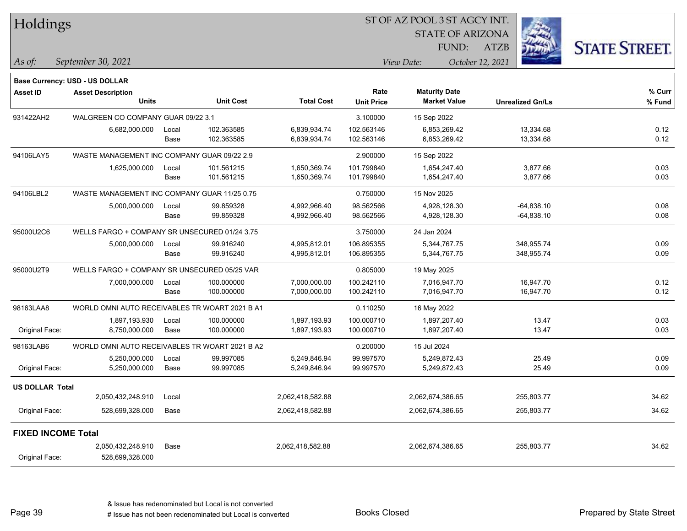|                           | Holdings                                       |       |                  |                   |                   | 51 OF AZ POOL 3 51 AGCY INT. |                         |                      |
|---------------------------|------------------------------------------------|-------|------------------|-------------------|-------------------|------------------------------|-------------------------|----------------------|
|                           |                                                |       |                  |                   |                   | <b>STATE OF ARIZONA</b>      |                         |                      |
|                           |                                                |       |                  |                   |                   | FUND:                        | <b>ATZB</b>             | <b>STATE STREET.</b> |
| As of:                    | September 30, 2021                             |       |                  |                   |                   | View Date:                   | October 12, 2021        |                      |
|                           | Base Currency: USD - US DOLLAR                 |       |                  |                   |                   |                              |                         |                      |
| <b>Asset ID</b>           | <b>Asset Description</b>                       |       |                  |                   | Rate              | <b>Maturity Date</b>         |                         | % Curr               |
|                           | <b>Units</b>                                   |       | <b>Unit Cost</b> | <b>Total Cost</b> | <b>Unit Price</b> | <b>Market Value</b>          | <b>Unrealized Gn/Ls</b> | % Fund               |
| 931422AH2                 | WALGREEN CO COMPANY GUAR 09/22 3.1             |       |                  |                   | 3.100000          | 15 Sep 2022                  |                         |                      |
|                           | 6,682,000.000                                  | Local | 102.363585       | 6,839,934.74      | 102.563146        | 6,853,269.42                 | 13,334.68               | 0.12                 |
|                           |                                                | Base  | 102.363585       | 6,839,934.74      | 102.563146        | 6,853,269.42                 | 13,334.68               | 0.12                 |
| 94106LAY5                 | WASTE MANAGEMENT INC COMPANY GUAR 09/22 2.9    |       |                  |                   | 2.900000          | 15 Sep 2022                  |                         |                      |
|                           | 1,625,000.000                                  | Local | 101.561215       | 1,650,369.74      | 101.799840        | 1,654,247.40                 | 3,877.66                | 0.03                 |
|                           |                                                | Base  | 101.561215       | 1,650,369.74      | 101.799840        | 1,654,247.40                 | 3,877.66                | 0.03                 |
| 94106LBL2                 | WASTE MANAGEMENT INC COMPANY GUAR 11/25 0.75   |       |                  |                   | 0.750000          | 15 Nov 2025                  |                         |                      |
|                           | 5,000,000.000                                  | Local | 99.859328        | 4,992,966.40      | 98.562566         | 4,928,128.30                 | -64,838.10              | 0.08                 |
|                           |                                                | Base  | 99.859328        | 4,992,966.40      | 98.562566         | 4,928,128.30                 | $-64,838.10$            | 0.08                 |
| 95000U2C6                 | WELLS FARGO + COMPANY SR UNSECURED 01/24 3.75  |       |                  |                   | 3.750000          | 24 Jan 2024                  |                         |                      |
|                           | 5,000,000.000                                  | Local | 99.916240        | 4,995,812.01      | 106.895355        | 5,344,767.75                 | 348,955.74              | 0.09                 |
|                           |                                                | Base  | 99.916240        | 4,995,812.01      | 106.895355        | 5,344,767.75                 | 348,955.74              | 0.09                 |
| 95000U2T9                 | WELLS FARGO + COMPANY SR UNSECURED 05/25 VAR   |       |                  |                   | 0.805000          | 19 May 2025                  |                         |                      |
|                           | 7,000,000.000                                  | Local | 100.000000       | 7,000,000.00      | 100.242110        | 7,016,947.70                 | 16,947.70               | 0.12                 |
|                           |                                                | Base  | 100.000000       | 7,000,000.00      | 100.242110        | 7,016,947.70                 | 16,947.70               | 0.12                 |
| 98163LAA8                 | WORLD OMNI AUTO RECEIVABLES TR WOART 2021 B A1 |       |                  |                   | 0.110250          | 16 May 2022                  |                         |                      |
|                           | 1,897,193.930                                  | Local | 100.000000       | 1,897,193.93      | 100.000710        | 1,897,207.40                 | 13.47                   | 0.03                 |
| Original Face:            | 8,750,000.000                                  | Base  | 100.000000       | 1,897,193.93      | 100.000710        | 1,897,207.40                 | 13.47                   | 0.03                 |
| 98163LAB6                 | WORLD OMNI AUTO RECEIVABLES TR WOART 2021 B A2 |       |                  |                   | 0.200000          | 15 Jul 2024                  |                         |                      |
|                           | 5,250,000.000                                  | Local | 99.997085        | 5,249,846.94      | 99.997570         | 5,249,872.43                 | 25.49                   | 0.09                 |
| Original Face:            | 5,250,000.000                                  | Base  | 99.997085        | 5,249,846.94      | 99.997570         | 5,249,872.43                 | 25.49                   | 0.09                 |
| <b>US DOLLAR Total</b>    |                                                |       |                  |                   |                   |                              |                         |                      |
|                           | 2,050,432,248.910                              | Local |                  | 2,062,418,582.88  |                   | 2,062,674,386.65             | 255,803.77              | 34.62                |
| Original Face:            | 528,699,328.000                                | Base  |                  | 2,062,418,582.88  |                   | 2,062,674,386.65             | 255,803.77              | 34.62                |
| <b>FIXED INCOME Total</b> |                                                |       |                  |                   |                   |                              |                         |                      |
|                           | 2,050,432,248.910                              | Base  |                  | 2,062,418,582.88  |                   | 2,062,674,386.65             | 255,803.77              | 34.62                |
| Original Face:            | 528,699,328.000                                |       |                  |                   |                   |                              |                         |                      |

 $STOTAT$   $17 DOOT$  3  $ST A GOX$  INT.

Page 39

٦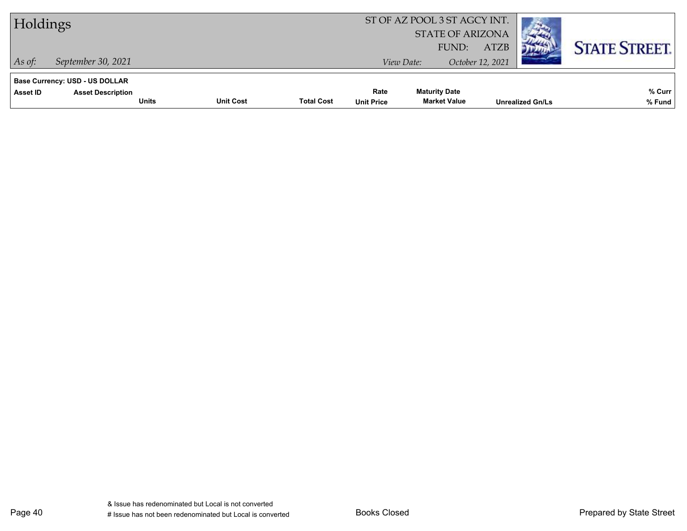| Holdings                                                                                      |                  |                   |                           |                                             |                                 |                         |                      |
|-----------------------------------------------------------------------------------------------|------------------|-------------------|---------------------------|---------------------------------------------|---------------------------------|-------------------------|----------------------|
| $\vert$ As of:<br>September 30, 2021                                                          |                  |                   |                           | FUND:<br>View Date:                         | <b>ATZB</b><br>October 12, 2021 |                         | <b>STATE STREET.</b> |
| <b>Base Currency: USD - US DOLLAR</b><br>Asset ID<br><b>Asset Description</b><br><b>Units</b> | <b>Unit Cost</b> | <b>Total Cost</b> | Rate<br><b>Unit Price</b> | <b>Maturity Date</b><br><b>Market Value</b> |                                 | <b>Unrealized Gn/Ls</b> | % Curr<br>% Fund     |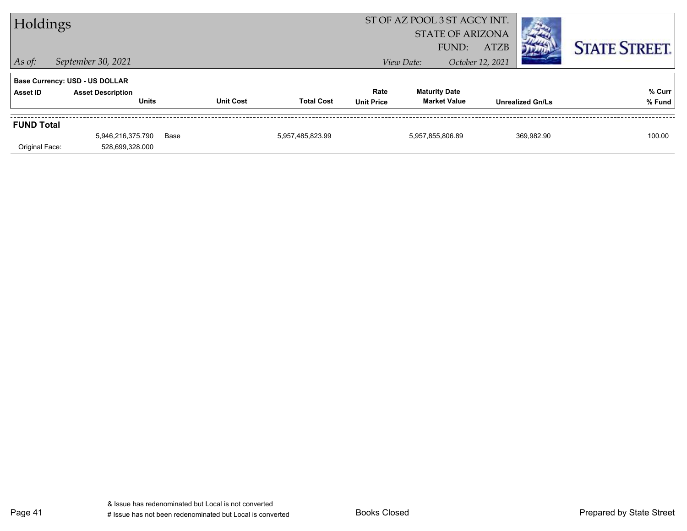| Holdings          |                                          |      |                  | ST OF AZ POOL 3 ST AGCY INT.<br><b>STATE OF ARIZONA</b> |                           |                                             |                  |                         |                      |
|-------------------|------------------------------------------|------|------------------|---------------------------------------------------------|---------------------------|---------------------------------------------|------------------|-------------------------|----------------------|
|                   |                                          |      |                  |                                                         |                           | FUND:                                       | <b>ATZB</b>      |                         | <b>STATE STREET.</b> |
| $\vert$ As of:    | September 30, 2021                       |      |                  |                                                         |                           | View Date:                                  | October 12, 2021 |                         |                      |
|                   | <b>Base Currency: USD - US DOLLAR</b>    |      |                  |                                                         |                           |                                             |                  |                         |                      |
| Asset ID          | <b>Asset Description</b><br><b>Units</b> |      | <b>Unit Cost</b> | <b>Total Cost</b>                                       | Rate<br><b>Unit Price</b> | <b>Maturity Date</b><br><b>Market Value</b> |                  | <b>Unrealized Gn/Ls</b> | % Curr<br>% Fund     |
| <b>FUND Total</b> |                                          |      |                  |                                                         |                           |                                             |                  |                         |                      |
|                   | 5,946,216,375.790                        | Base |                  | 5,957,485,823.99                                        |                           | 5,957,855,806.89                            |                  | 369,982.90              | 100.00               |
| Original Face:    | 528,699,328.000                          |      |                  |                                                         |                           |                                             |                  |                         |                      |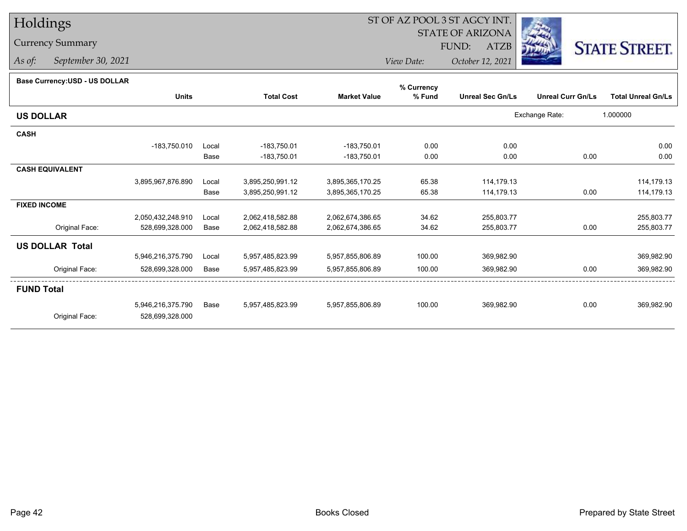# Holdings

## Currency Summary

*As of: September 30, 2021*

# ST OF AZ POOL 3 ST AGCY INT.

STATE OF ARIZONA

FUND: ATZB



*View Date:October 12, 2021*

#### **Base Currency:USD - US DOLLAR**

|                        |                   |       |                   |                     | % Currency |                         |                          |                           |
|------------------------|-------------------|-------|-------------------|---------------------|------------|-------------------------|--------------------------|---------------------------|
|                        | <b>Units</b>      |       | <b>Total Cost</b> | <b>Market Value</b> | % Fund     | <b>Unreal Sec Gn/Ls</b> | <b>Unreal Curr Gn/Ls</b> | <b>Total Unreal Gn/Ls</b> |
| <b>US DOLLAR</b>       |                   |       |                   |                     |            |                         | Exchange Rate:           | 1.000000                  |
| <b>CASH</b>            |                   |       |                   |                     |            |                         |                          |                           |
|                        | -183,750.010      | Local | $-183,750.01$     | $-183,750.01$       | 0.00       | 0.00                    |                          | 0.00                      |
|                        |                   | Base  | $-183,750.01$     | -183,750.01         | 0.00       | 0.00                    | 0.00                     | 0.00                      |
| <b>CASH EQUIVALENT</b> |                   |       |                   |                     |            |                         |                          |                           |
|                        | 3,895,967,876.890 | Local | 3,895,250,991.12  | 3,895,365,170.25    | 65.38      | 114,179.13              |                          | 114,179.13                |
|                        |                   | Base  | 3,895,250,991.12  | 3,895,365,170.25    | 65.38      | 114,179.13              | 0.00                     | 114,179.13                |
| <b>FIXED INCOME</b>    |                   |       |                   |                     |            |                         |                          |                           |
|                        | 2,050,432,248.910 | Local | 2,062,418,582.88  | 2,062,674,386.65    | 34.62      | 255,803.77              |                          | 255,803.77                |
| Original Face:         | 528,699,328.000   | Base  | 2,062,418,582.88  | 2,062,674,386.65    | 34.62      | 255,803.77              | 0.00                     | 255,803.77                |
| <b>US DOLLAR Total</b> |                   |       |                   |                     |            |                         |                          |                           |
|                        | 5,946,216,375.790 | Local | 5,957,485,823.99  | 5,957,855,806.89    | 100.00     | 369,982.90              |                          | 369,982.90                |
| Original Face:         | 528,699,328.000   | Base  | 5,957,485,823.99  | 5,957,855,806.89    | 100.00     | 369,982.90              | 0.00                     | 369,982.90                |
| <b>FUND Total</b>      |                   |       |                   |                     |            |                         |                          |                           |
|                        | 5,946,216,375.790 | Base  | 5,957,485,823.99  | 5,957,855,806.89    | 100.00     | 369,982.90              | 0.00                     | 369,982.90                |
| Original Face:         | 528,699,328.000   |       |                   |                     |            |                         |                          |                           |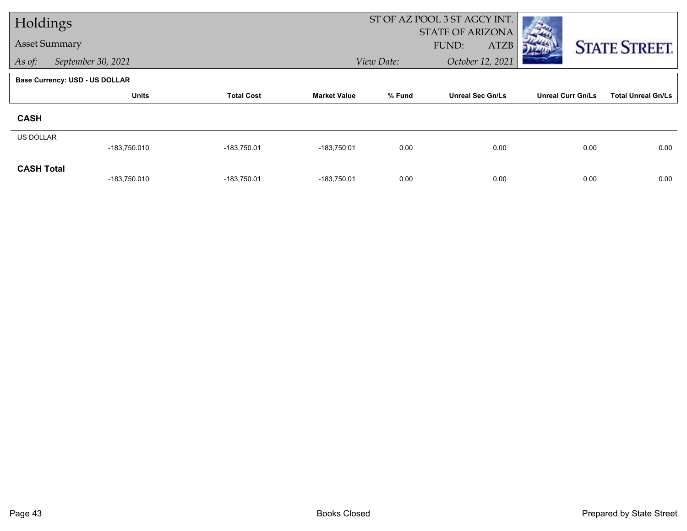| Holdings             |                                       |                                                                               |               |                          | ST OF AZ POOL 3 ST AGCY INT. |      |                      |
|----------------------|---------------------------------------|-------------------------------------------------------------------------------|---------------|--------------------------|------------------------------|------|----------------------|
| <b>Asset Summary</b> |                                       |                                                                               |               |                          | STATE OF ARIZONA             |      |                      |
|                      |                                       |                                                                               |               |                          | FUND:<br><b>ATZB</b>         |      | <b>STATE STREET.</b> |
| As of:               | September 30, 2021                    |                                                                               |               | View Date:               | October 12, 2021             |      |                      |
|                      | <b>Base Currency: USD - US DOLLAR</b> |                                                                               |               |                          |                              |      |                      |
|                      | <b>Units</b>                          | % Fund<br><b>Unreal Sec Gn/Ls</b><br><b>Total Cost</b><br><b>Market Value</b> |               | <b>Unreal Curr Gn/Ls</b> | <b>Total Unreal Gn/Ls</b>    |      |                      |
| <b>CASH</b>          |                                       |                                                                               |               |                          |                              |      |                      |
| <b>US DOLLAR</b>     |                                       |                                                                               |               |                          |                              |      |                      |
|                      | -183,750.010                          | $-183,750.01$                                                                 | $-183,750.01$ | 0.00                     | 0.00                         | 0.00 | 0.00                 |
| <b>CASH Total</b>    |                                       |                                                                               |               |                          |                              |      |                      |
|                      | -183,750.010                          | $-183,750.01$                                                                 | $-183,750.01$ | 0.00                     | 0.00                         | 0.00 | 0.00                 |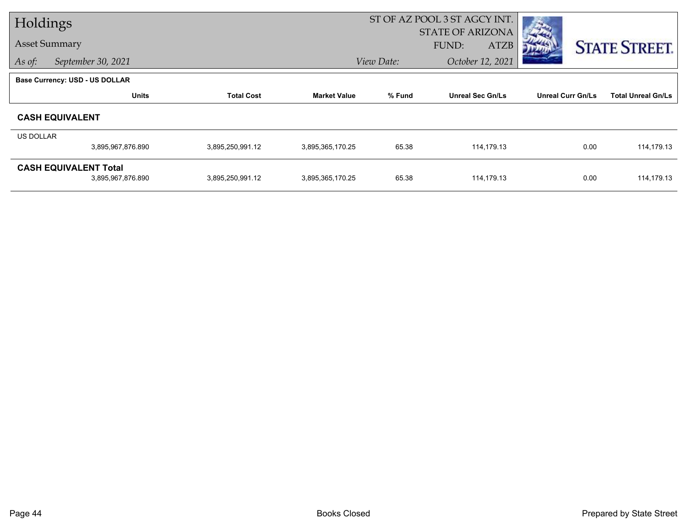|                  | Holdings                              |                   |                     | ST OF AZ POOL 3 ST AGCY INT. |                         |                          |                           |
|------------------|---------------------------------------|-------------------|---------------------|------------------------------|-------------------------|--------------------------|---------------------------|
|                  |                                       |                   |                     |                              | <b>STATE OF ARIZONA</b> |                          |                           |
|                  | <b>Asset Summary</b>                  |                   |                     |                              | <b>ATZB</b><br>FUND:    |                          | <b>STATE STREET.</b>      |
| As of:           | September 30, 2021                    |                   |                     | View Date:                   | October 12, 2021        |                          |                           |
|                  | <b>Base Currency: USD - US DOLLAR</b> |                   |                     |                              |                         |                          |                           |
|                  | <b>Units</b>                          | <b>Total Cost</b> | <b>Market Value</b> | % Fund                       | <b>Unreal Sec Gn/Ls</b> | <b>Unreal Curr Gn/Ls</b> | <b>Total Unreal Gn/Ls</b> |
|                  | <b>CASH EQUIVALENT</b>                |                   |                     |                              |                         |                          |                           |
| <b>US DOLLAR</b> |                                       |                   |                     |                              |                         |                          |                           |
|                  | 3,895,967,876.890                     | 3,895,250,991.12  | 3,895,365,170.25    | 65.38                        | 114,179.13              | 0.00                     | 114,179.13                |
|                  | <b>CASH EQUIVALENT Total</b>          |                   |                     |                              |                         |                          |                           |
|                  | 3,895,967,876.890                     | 3,895,250,991.12  | 3,895,365,170.25    | 65.38                        | 114,179.13              | 0.00                     | 114,179.13                |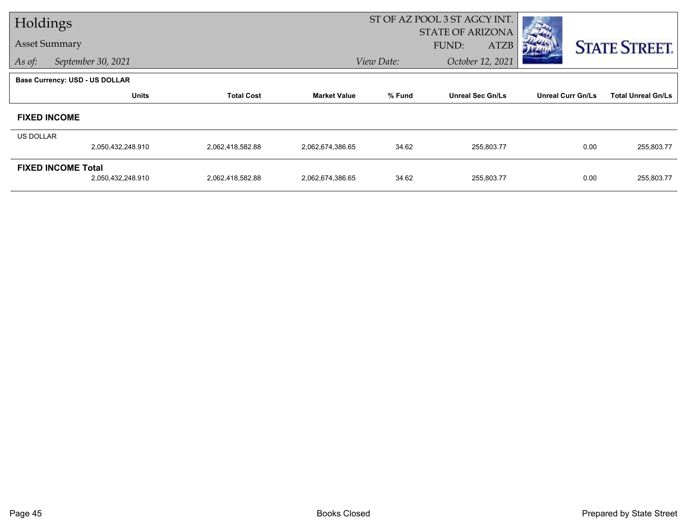| Holdings         |                                       |                   |                     | ST OF AZ POOL 3 ST AGCY INT. |                         |                          |                           |
|------------------|---------------------------------------|-------------------|---------------------|------------------------------|-------------------------|--------------------------|---------------------------|
|                  |                                       |                   |                     |                              | <b>STATE OF ARIZONA</b> |                          |                           |
|                  | <b>Asset Summary</b>                  |                   |                     |                              | <b>ATZB</b><br>FUND:    |                          | <b>STATE STREET.</b>      |
| As of:           | September 30, 2021                    |                   |                     | View Date:                   | October 12, 2021        |                          |                           |
|                  | <b>Base Currency: USD - US DOLLAR</b> |                   |                     |                              |                         |                          |                           |
|                  | <b>Units</b>                          | <b>Total Cost</b> | <b>Market Value</b> | % Fund                       | <b>Unreal Sec Gn/Ls</b> | <b>Unreal Curr Gn/Ls</b> | <b>Total Unreal Gn/Ls</b> |
|                  | <b>FIXED INCOME</b>                   |                   |                     |                              |                         |                          |                           |
| <b>US DOLLAR</b> |                                       |                   |                     |                              |                         |                          |                           |
|                  | 2,050,432,248.910                     | 2,062,418,582.88  | 2,062,674,386.65    | 34.62                        | 255,803.77              | 0.00                     | 255,803.77                |
|                  | <b>FIXED INCOME Total</b>             |                   |                     |                              |                         |                          |                           |
|                  | 2,050,432,248.910                     | 2,062,418,582.88  | 2,062,674,386.65    | 34.62                        | 255,803.77              | 0.00                     | 255,803.77                |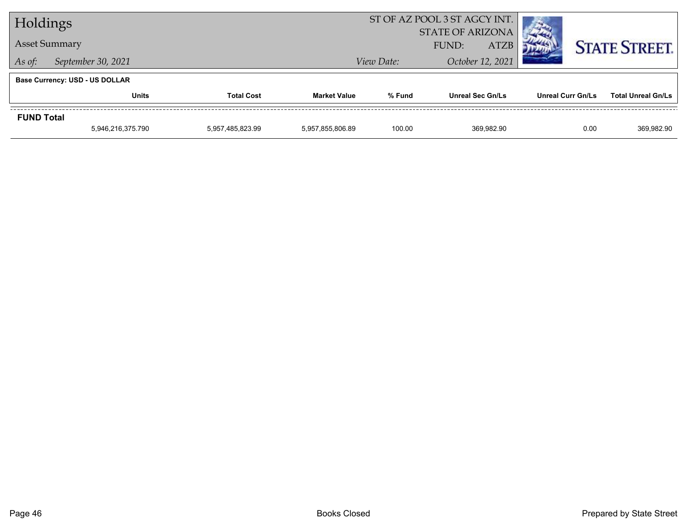| Holdings          |                                       |                   |                     | ST OF AZ POOL 3 ST AGCY INT. |                         |                   |                           |
|-------------------|---------------------------------------|-------------------|---------------------|------------------------------|-------------------------|-------------------|---------------------------|
|                   |                                       |                   |                     | <b>STATE OF ARIZONA</b>      |                         |                   |                           |
|                   | <b>Asset Summary</b>                  |                   |                     | <b>ATZB</b><br><b>FUND:</b>  |                         |                   | <b>STATE STREET.</b>      |
| As of:            | September 30, 2021                    |                   | View Date:          | October 12, 2021             |                         |                   |                           |
|                   | <b>Base Currency: USD - US DOLLAR</b> |                   |                     |                              |                         |                   |                           |
|                   | <b>Units</b>                          | <b>Total Cost</b> | <b>Market Value</b> | % Fund                       | <b>Unreal Sec Gn/Ls</b> | Unreal Curr Gn/Ls | <b>Total Unreal Gn/Ls</b> |
| <b>FUND Total</b> |                                       |                   |                     |                              |                         |                   |                           |
|                   | 5,946,216,375.790                     | 5,957,485,823.99  | 5.957.855.806.89    | 100.00                       | 369.982.90              | 0.00              | 369,982.90                |